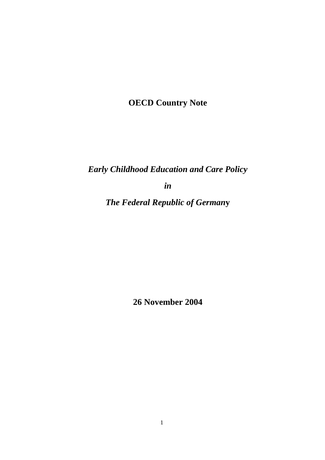**OECD Country Note** 

*Early Childhood Education and Care Policy* 

*in* 

*The Federal Republic of German***y** 

**26 November 2004**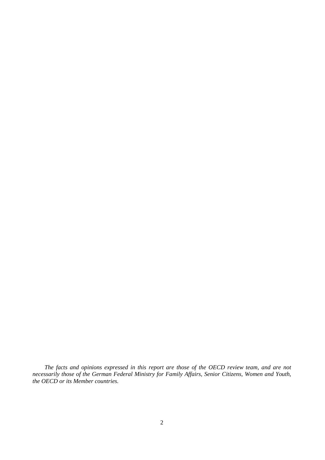*The facts and opinions expressed in this report are those of the OECD review team, and are not necessarily those of the German Federal Ministry for Family Affairs, Senior Citizens, Women and Youth, the OECD or its Member countries.*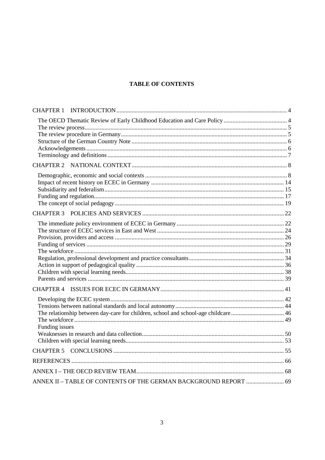# **TABLE OF CONTENTS**

| The relationship between day-care for children, school and school-age childcare 46<br>Funding issues |  |
|------------------------------------------------------------------------------------------------------|--|
|                                                                                                      |  |
|                                                                                                      |  |
|                                                                                                      |  |
| ANNEX II - TABLE OF CONTENTS OF THE GERMAN BACKGROUND REPORT  69                                     |  |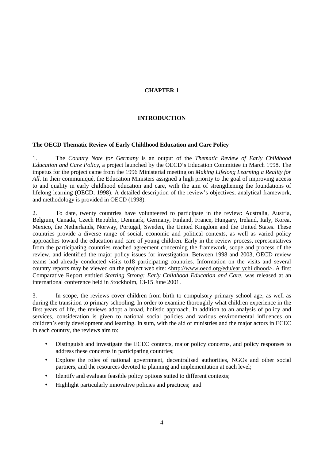# **CHAPTER 1**

# **INTRODUCTION**

## **The OECD Thematic Review of Early Childhood Education and Care Policy**

1. The *Country Note for Germany* is an output of the *Thematic Review of Early Childhood Education and Care Policy*, a project launched by the OECD's Education Committee in March 1998. The impetus for the project came from the 1996 Ministerial meeting on *Making Lifelong Learning a Reality for All*. In their communiqué, the Education Ministers assigned a high priority to the goal of improving access to and quality in early childhood education and care, with the aim of strengthening the foundations of lifelong learning (OECD, 1998). A detailed description of the review's objectives, analytical framework, and methodology is provided in OECD (1998).

2. To date, twenty countries have volunteered to participate in the review: Australia, Austria, Belgium, Canada, Czech Republic, Denmark, Germany, Finland, France, Hungary, Ireland, Italy, Korea, Mexico, the Netherlands, Norway, Portugal, Sweden, the United Kingdom and the United States. These countries provide a diverse range of social, economic and political contexts, as well as varied policy approaches toward the education and care of young children. Early in the review process, representatives from the participating countries reached agreement concerning the framework, scope and process of the review, and identified the major policy issues for investigation. Between 1998 and 2003, OECD review teams had already conducted visits to18 participating countries. Information on the visits and several country reports may be viewed on the project web site: *<*http://www.oecd.org/edu/earlychildhood>. A first Comparative Report entitled *Starting Strong: Early Childhood Education and Care*, was released at an international conference held in Stockholm, 13-15 June 2001.

3. In scope, the reviews cover children from birth to compulsory primary school age, as well as during the transition to primary schooling. In order to examine thoroughly what children experience in the first years of life, the reviews adopt a broad, holistic approach. In addition to an analysis of policy and services, consideration is given to national social policies and various environmental influences on children's early development and learning. In sum, with the aid of ministries and the major actors in ECEC in each country, the reviews aim to:

- Distinguish and investigate the ECEC contexts, major policy concerns, and policy responses to address these concerns in participating countries;
- Explore the roles of national government, decentralised authorities, NGOs and other social partners, and the resources devoted to planning and implementation at each level;
- Identify and evaluate feasible policy options suited to different contexts;
- Highlight particularly innovative policies and practices; and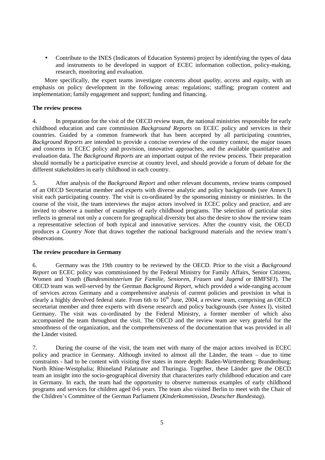• Contribute to the INES (Indicators of Education Systems) project by identifying the types of data and instruments to be developed in support of ECEC information collection, policy-making, research, monitoring and evaluation.

More specifically, the expert teams investigate concerns about *quality, access* and *equity*, with an emphasis on policy development in the following areas: regulations; staffing; program content and implementation; family engagement and support; funding and financing.

# **The review process**

4. In preparation for the visit of the OECD review team, the national ministries responsible for early childhood education and care commission *Background Reports* on ECEC policy and services in their countries. Guided by a common framework that has been accepted by all participating countries, *Background Reports* are intended to provide a concise overview of the country context, the major issues and concerns in ECEC policy and provision, innovative approaches, and the available quantitative and evaluation data. The *Background Reports* are an important output of the review process. Their preparation should normally be a participative exercise at country level, and should provide a forum of debate for the different stakeholders in early childhood in each country.

5. After analysis of the *Background Report* and other relevant documents, review teams composed of an OECD Secretariat member and experts with diverse analytic and policy backgrounds (see Annex I) visit each participating country. The visit is co-ordinated by the sponsoring ministry or ministries. In the course of the visit, the team interviews the major actors involved in ECEC policy and practice, and are invited to observe a number of examples of early childhood programs. The selection of particular sites reflects in general not only a concern for geographical diversity but also the desire to show the review team a representative selection of both typical and innovative services. After the country visit, the OECD produces a *Country Note* that draws together the national background materials and the review team's observations.

### **The review procedure in Germany**

6. Germany was the 19th country to be reviewed by the OECD. Prior to the visit a *Background Report* on ECEC policy was commissioned by the Federal Ministry for Family Affairs, Senior Citizens, Women and Youth (*Bundesministerium für Familie, Senioren, Frauen und Jugend* or BMFSFJ). The OECD team was well-served by the German *Background Report*, which provided a wide-ranging account of services across Germany and a comprehensive analysis of current policies and provision in what is clearly a highly devolved federal state. From 6th to  $16<sup>th</sup>$  June, 2004, a review team, comprising an OECD secretariat member and three experts with diverse research and policy backgrounds (see Annex I), visited Germany. The visit was co-ordinated by the Federal Ministry, a former member of which also accompanied the team throughout the visit. The OECD and the review team are very grateful for the smoothness of the organization, and the comprehensiveness of the documentation that was provided in all the Länder visited.

7. During the course of the visit, the team met with many of the major actors involved in ECEC policy and practice in Germany. Although invited to almost all the Länder, the team – due to time constraints - had to be content with visiting five states in more depth: Baden-Württemberg; Brandenburg; North Rhine-Westphalia; Rhineland Palatinate and Thuringia. Together, these Länder gave the OECD team an insight into the socio-geographical diversity that characterizes early childhood education and care in Germany. In each, the team had the opportunity to observe numerous examples of early childhood programs and services for children aged 0-6 years. The team also visited Berlin to meet with the Chair of the Children's Committee of the German Parliament (*Kinderkommission, Deutscher Bundestag*).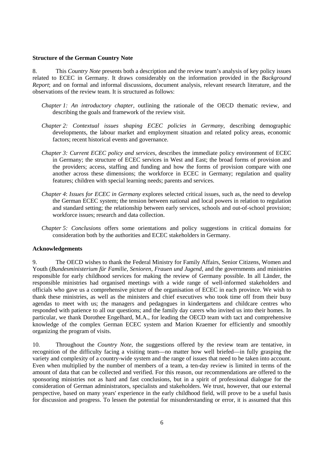### **Structure of the German Country Note**

8. This *Country Note* presents both a description and the review team's analysis of key policy issues related to ECEC in Germany. It draws considerably on the information provided in the *Background Report*; and on formal and informal discussions, document analysis, relevant research literature, and the observations of the review team. It is structured as follows:

- *Chapter 1: An introductory chapter*, outlining the rationale of the OECD thematic review, and describing the goals and framework of the review visit.
- *Chapter 2: Contextual issues shaping ECEC policies in Germany*, describing demographic developments, the labour market and employment situation and related policy areas, economic factors; recent historical events and governance.
- *Chapter 3: Current ECEC policy and services*, describes the immediate policy environment of ECEC in Germany; the structure of ECEC services in West and East; the broad forms of provision and the providers; access, staffing and funding and how the forms of provision compare with one another across these dimensions; the workforce in ECEC in Germany; regulation and quality features; children with special learning needs; parents and services.
- *Chapter 4*: *Issues for ECEC in Germany* explores selected critical issues, such as, the need to develop the German ECEC system; the tension between national and local powers in relation to regulation and standard setting; the relationship between early services, schools and out-of-school provision; workforce issues; research and data collection.
- *Chapter 5: Conclusions* offers some orientations and policy suggestions in critical domains for consideration both by the authorities and ECEC stakeholders in Germany.

# **Acknowledgements**

9. The OECD wishes to thank the Federal Ministry for Family Affairs, Senior Citizens, Women and Youth (*Bundesministerium für Familie, Senioren, Frauen und Jugend,* and the governments and ministries responsible for early childhood services for making the review of Germany possible. In all Länder, the responsible ministries had organised meetings with a wide range of well-informed stakeholders and officials who gave us a comprehensive picture of the organisation of ECEC in each province. We wish to thank these ministries, as well as the ministers and chief executives who took time off from their busy agendas to meet with us; the managers and pedagogues in kindergartens and childcare centres who responded with patience to all our questions; and the family day carers who invited us into their homes. In particular, we thank Dorothee Engelhard, M.A., for leading the OECD team with tact and comprehensive knowledge of the complex German ECEC system and Marion Kraemer for efficiently and smoothly organizing the program of visits.

10. Throughout the *Country Note*, the suggestions offered by the review team are tentative, in recognition of the difficulty facing a visiting team—no matter how well briefed—in fully grasping the variety and complexity of a country-wide system and the range of issues that need to be taken into account. Even when multiplied by the number of members of a team, a ten-day review is limited in terms of the amount of data that can be collected and verified. For this reason, our recommendations are offered to the sponsoring ministries not as hard and fast conclusions, but in a spirit of professional dialogue for the consideration of German administrators, specialists and stakeholders. We trust, however, that our external perspective, based on many years' experience in the early childhood field, will prove to be a useful basis for discussion and progress. To lessen the potential for misunderstanding or error, it is assumed that this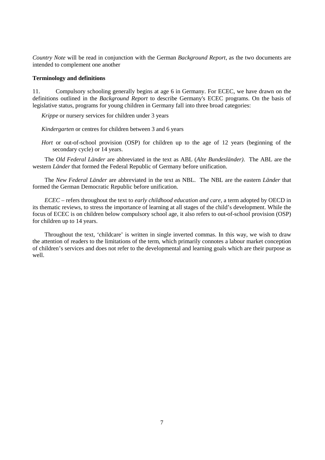*Country Note* will be read in conjunction with the German *Background Report*, as the two documents are intended to complement one another

#### **Terminology and definitions**

11. Compulsory schooling generally begins at age 6 in Germany. For ECEC, we have drawn on the definitions outlined in the *Background Report* to describe Germany's ECEC programs. On the basis of legislative status, programs for young children in Germany fall into three broad categories:

*Krippe* or nursery services for children under 3 years

*Kindergarten* or centres for children between 3 and 6 years

*Hort* or out-of-school provision (OSP) for children up to the age of 12 years (beginning of the secondary cycle) or 14 years.

The *Old Federal Länder* are abbreviated in the text as ABL (*Alte Bundesländer)*. The ABL are the western *Länder* that formed the Federal Republic of Germany before unification.

The *New Federal Länder* are abbreviated in the text as NBL. The NBL are the eastern *Länder* that formed the German Democratic Republic before unification.

*ECEC* – refers throughout the text to *early childhood education and care*, a term adopted by OECD in its thematic reviews, to stress the importance of learning at all stages of the child's development. While the focus of ECEC is on children below compulsory school age, it also refers to out-of-school provision (OSP) for children up to 14 years.

Throughout the text, 'childcare' is written in single inverted commas. In this way, we wish to draw the attention of readers to the limitations of the term, which primarily connotes a labour market conception of children's services and does not refer to the developmental and learning goals which are their purpose as well.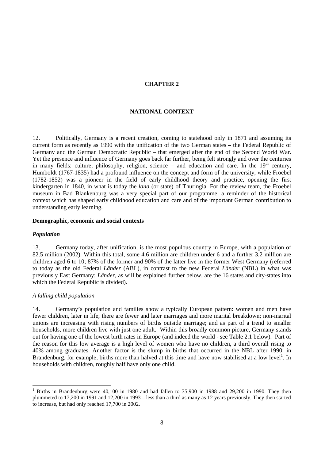# **CHAPTER 2**

## **NATIONAL CONTEXT**

12. Politically, Germany is a recent creation, coming to statehood only in 1871 and assuming its current form as recently as 1990 with the unification of the two German states – the Federal Republic of Germany and the German Democratic Republic – that emerged after the end of the Second World War. Yet the presence and influence of Germany goes back far further, being felt strongly and over the centuries in many fields: culture, philosophy, religion, science – and education and care. In the  $19<sup>th</sup>$  century, Humboldt (1767-1835) had a profound influence on the concept and form of the university, while Froebel (1782-1852) was a pioneer in the field of early childhood theory and practice, opening the first kindergarten in 1840, in what is today the *land* (or state) of Thuringia. For the review team, the Froebel museum in Bad Blankenburg was a very special part of our programme, a reminder of the historical context which has shaped early childhood education and care and of the important German contribution to understanding early learning.

### **Demographic, economic and social contexts**

#### *Population*

 $\overline{a}$ 

13. Germany today, after unification, is the most populous country in Europe, with a population of 82.5 million (2002). Within this total, some 4.6 million are children under 6 and a further 3.2 million are children aged 6 to 10; 87% of the former and 90% of the latter live in the former West Germany (referred to today as the old Federal *Länder* (ABL), in contrast to the new Federal *Länder* (NBL) in what was previously East Germany: *Länder*, as will be explained further below, are the 16 states and city-states into which the Federal Republic is divided).

## *A falling child population*

14. Germany's population and families show a typically European pattern: women and men have fewer children, later in life; there are fewer and later marriages and more marital breakdown; non-marital unions are increasing with rising numbers of births outside marriage; and as part of a trend to smaller households, more children live with just one adult. Within this broadly common picture, Germany stands out for having one of the lowest birth rates in Europe (and indeed the world - see Table 2.1 below). Part of the reason for this low average is a high level of women who have no children, a third overall rising to 40% among graduates. Another factor is the slump in births that occurred in the NBL after 1990: in Brandenburg, for example, births more than halved at this time and have now stabilised at a low level<sup>1</sup>. In households with children, roughly half have only one child.

<sup>1</sup> Births in Brandenburg were 40,100 in 1980 and had fallen to 35,900 in 1988 and 29,200 in 1990. They then plummeted to 17,200 in 1991 and 12,200 in 1993 – less than a third as many as 12 years previously. They then started to increase, but had only reached 17,700 in 2002.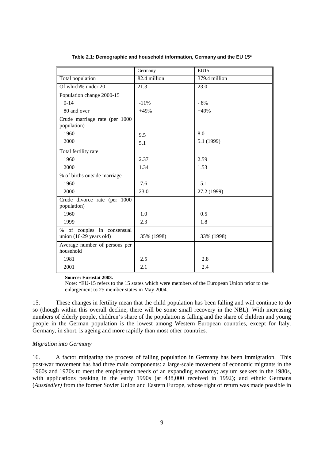|                                                       | Germany      | EU15          |
|-------------------------------------------------------|--------------|---------------|
| Total population                                      | 82.4 million | 379.4 million |
| Of which% under 20                                    | 21.3         | 23.0          |
| Population change 2000-15                             |              |               |
| $0-14$                                                | $-11%$       | $-8%$         |
| 80 and over                                           | $+49%$       | $+49%$        |
| Crude marriage rate (per 1000<br>population)          |              |               |
| 1960                                                  | 9.5          | 8.0           |
| 2000                                                  | 5.1          | 5.1 (1999)    |
| Total fertility rate                                  |              |               |
| 1960                                                  | 2.37         | 2.59          |
| 2000                                                  | 1.34         | 1.53          |
| % of births outside marriage                          |              |               |
| 1960                                                  | 7.6          | 5.1           |
| 2000                                                  | 23.0         | 27.2 (1999)   |
| Crude divorce rate (per 1000<br>population)           |              |               |
| 1960                                                  | 1.0          | 0.5           |
| 1999                                                  | 2.3          | 1.8           |
| % of couples in consensual<br>union (16-29 years old) | 35% (1998)   | 33% (1998)    |
| Average number of persons per<br>household            |              |               |
| 1981                                                  | 2.5          | 2.8           |
| 2001                                                  | 2.1          | 2.4           |

**Table 2.1: Demographic and household information, Germany and the EU 15\*** 

 **Source: Eurostat 2003.** 

 Note: \*EU-15 refers to the 15 states which were members of the European Union prior to the enlargement to 25 member states in May 2004.

15. These changes in fertility mean that the child population has been falling and will continue to do so (though within this overall decline, there will be some small recovery in the NBL). With increasing numbers of elderly people, children's share of the population is falling and the share of children and young people in the German population is the lowest among Western European countries, except for Italy. Germany, in short, is ageing and more rapidly than most other countries.

# *Migration into Germany*

16. A factor mitigating the process of falling population in Germany has been immigration. This post-war movement has had three main components: a large-scale movement of economic migrants in the 1960s and 1970s to meet the employment needs of an expanding economy; asylum seekers in the 1980s, with applications peaking in the early 1990s (at 438,000 received in 1992); and ethnic Germans (*Aussiedler)* from the former Soviet Union and Eastern Europe, whose right of return was made possible in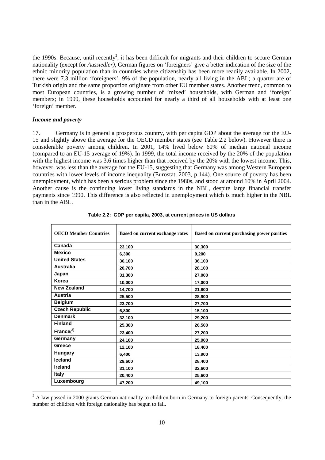the 1990s. Because, until recently<sup>2</sup>, it has been difficult for migrants and their children to secure German nationality (except for *Aussiedler),* German figures on 'foreigners' give a better indication of the size of the ethnic minority population than in countries where citizenship has been more readily available. In 2002, there were 7.3 million 'foreigners', 9% of the population, nearly all living in the ABL; a quarter are of Turkish origin and the same proportion originate from other EU member states. Another trend, common to most European countries, is a growing number of 'mixed' households, with German and 'foreign' members; in 1999, these households accounted for nearly a third of all households with at least one 'foreign' member.

#### *Income and poverty*

17. Germany is in general a prosperous country, with per capita GDP about the average for the EU-15 and slightly above the average for the OECD member states (see Table 2.2 below). However there is considerable poverty among children. In 2001, 14% lived below 60% of median national income (compared to an EU-15 average of 19%). In 1999, the total income received by the 20% of the population with the highest income was 3.6 times higher than that received by the 20% with the lowest income. This, however, was less than the average for the EU-15, suggesting that Germany was among Western European countries with lower levels of income inequality (Eurostat, 2003, p.144). One source of poverty has been unemployment, which has been a serious problem since the 1980s, and stood at around 10% in April 2004. Another cause is the continuing lower living standards in the NBL, despite large financial transfer payments since 1990. This difference is also reflected in unemployment which is much higher in the NBL than in the ABL.

| <b>OECD Member Countries</b> | <b>Based on current exchange rates</b> | Based on current purchasing power parities |
|------------------------------|----------------------------------------|--------------------------------------------|
| Canada                       | 23,100                                 | 30,300                                     |
| <b>Mexico</b>                | 6,300                                  | 9,200                                      |
| <b>United States</b>         | 36,100                                 | 36,100                                     |
| <b>Australia</b>             | 20,700                                 | 28,100                                     |
| Japan                        | 31,300                                 | 27,000                                     |
| Korea                        | 10,000                                 | 17,000                                     |
| <b>New Zealand</b>           | 14,700                                 | 21,800                                     |
| <b>Austria</b>               | 25,500                                 | 28,900                                     |
| <b>Belgium</b>               | 23,700                                 | 27,700                                     |
| <b>Czech Republic</b>        | 6,800                                  | 15,100                                     |
| <b>Denmark</b>               | 32,100                                 | 29,200                                     |
| <b>Finland</b>               | 25,300                                 | 26,500                                     |
| $\text{France}^{(2)}$        | 23,400                                 | 27,200                                     |
| Germany                      | 24,100                                 | 25,900                                     |
| Greece                       | 12,100                                 | 18,400                                     |
| Hungary                      | 6,400                                  | 13,900                                     |
| <b>Iceland</b>               | 29,600                                 | 28,400                                     |
| Ireland                      | 31,100                                 | 32,600                                     |
| <b>Italy</b>                 | 20,400                                 | 25,600                                     |
| Luxembourg                   | 47,200                                 | 49,100                                     |

|  |  |  | Table 2.2: GDP per capita, 2003, at current prices in US dollars |
|--|--|--|------------------------------------------------------------------|
|--|--|--|------------------------------------------------------------------|

 $2^2$  A law passed in 2000 grants German nationality to children born in Germany to foreign parents. Consequently, the number of children with foreign nationality has begun to fall.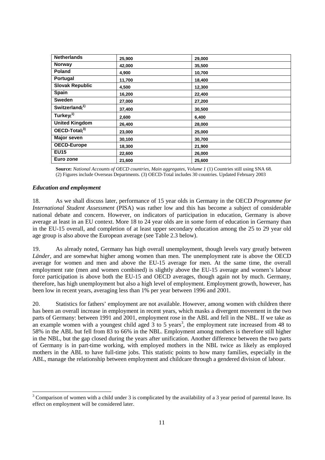| <b>Netherlands</b>     | 25,900 | 29,000 |
|------------------------|--------|--------|
| <b>Norway</b>          | 42,000 | 35,500 |
| <b>Poland</b>          | 4,900  | 10,700 |
| Portugal               | 11,700 | 18,400 |
| <b>Slovak Republic</b> | 4,500  | 12,300 |
| Spain                  | 16,200 | 22,400 |
| <b>Sweden</b>          | 27,000 | 27,200 |
| Switzerland $(1)$      | 37,400 | 30,500 |
| Turkey $(1)$           | 2,600  | 6,400  |
| <b>United Kingdom</b>  | 26,400 | 28,000 |
| $OECD-Total13$         | 23,000 | 25,000 |
| <b>Major seven</b>     | 30,100 | 30,700 |
| <b>OECD-Europe</b>     | 18,300 | 21,900 |
| <b>EU15</b>            | 22,600 | 26,000 |
| Euro zone              | 21,600 | 25,600 |

**Source:** *National Accounts of OECD countries, Main aggregates, Volume 1* (1) Countries still using SNA 68. (2) Figures include Overseas Departments. (3) OECD-Total includes 30 countries. Updated February 2003

## *Education and employment*

18. As we shall discuss later, performance of 15 year olds in Germany in the OECD *Programme for International Student Assessment* (PISA) was rather low and this has become a subject of considerable national debate and concern. However, on indicators of participation in education, Germany is above average at least in an EU context. More 18 to 24 year olds are in some form of education in Germany than in the EU-15 overall, and completion of at least upper secondary education among the 25 to 29 year old age group is also above the European average (see Table 2.3 below).

19. As already noted, Germany has high overall unemployment, though levels vary greatly between *Länder,* and are somewhat higher among women than men. The unemployment rate is above the OECD average for women and men and above the EU-15 average for men. At the same time, the overall employment rate (men and women combined) is slightly above the EU-15 average and women's labour force participation is above both the EU-15 and OECD averages, though again not by much. Germany, therefore, has high unemployment but also a high level of employment. Employment growth, however, has been low in recent years, averaging less than 1% per year between 1996 and 2001.

20. Statistics for fathers' employment are not available. However, among women with children there has been an overall increase in employment in recent years, which masks a divergent movement in the two parts of Germany: between 1991 and 2001, employment rose in the ABL and fell in the NBL. If we take as an example women with a youngest child aged  $3$  to 5 years<sup>3</sup>, the employment rate increased from 48 to 58% in the ABL but fell from 83 to 66% in the NBL. Employment among mothers is therefore still higher in the NBL, but the gap closed during the years after unification. Another difference between the two parts of Germany is in part-time working, with employed mothers in the NBL twice as likely as employed mothers in the ABL to have full-time jobs. This statistic points to how many families, especially in the ABL, manage the relationship between employment and childcare through a gendered division of labour.

 $3$  Comparison of women with a child under 3 is complicated by the availability of a 3 year period of parental leave. Its effect on employment will be considered later.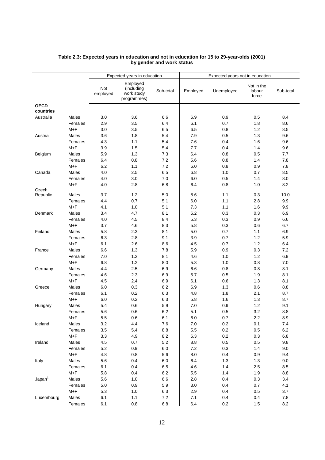|                          |                  | Expected years in education |                                                     |            | Expected years not in education |            |                               |            |
|--------------------------|------------------|-----------------------------|-----------------------------------------------------|------------|---------------------------------|------------|-------------------------------|------------|
|                          |                  | Not<br>employed             | Employed<br>(including<br>work study<br>programmes) | Sub-total  | Employed                        | Unemployed | Not in the<br>labour<br>force | Sub-total  |
| <b>OECD</b><br>countries |                  |                             |                                                     |            |                                 |            |                               |            |
| Australia                | Males<br>Females | 3.0<br>2.9                  | 3.6<br>3.5                                          | 6.6<br>6.4 | 6.9<br>6.1                      | 0.9<br>0.7 | 0.5<br>1.8                    | 8.4<br>8.6 |
|                          | $M + F$          | 3.0                         | 3.5                                                 | 6.5        | 6.5                             | 0.8        | 1.2                           | 8.5        |
| Austria                  | Males            | 3.6                         | 1.8                                                 | 5.4        | 7.9                             | 0.5        | 1.3                           | 9.6        |
|                          | Females          | 4.3                         | 1.1                                                 | 5.4        | 7.6                             | 0.4        | 1.6                           | 9.6        |
|                          | $M + F$          | 3.9                         | 1.5                                                 | 5.4        | 7.7                             | 0.4        | 1.4                           | 9.6        |
| Belgium                  | Males            | 5.9                         | 1.3                                                 | 7.3        | 6.4                             | 0.8        | 0.5                           | 7.7        |
|                          | Females          | 6.4                         | 0.8                                                 | 7.2        | 5.6                             | 0.8        | 1.4                           | 7.8        |
|                          | $M + F$          | 6.2                         | 1.1                                                 | 7.2        | 6.0                             | 0.8        | 0.9                           | 7.8        |
| Canada                   | Males            | 4.0                         | 2.5                                                 | 6.5        | 6.8                             | 1.0        | 0.7                           | 8.5        |
|                          | Females          | 4.0                         | 3.0                                                 | 7.0        | 6.0                             | 0.5        | 1.4                           | 8.0        |
|                          | $M + F$          | 4.0                         | 2.8                                                 | 6.8        | 6.4                             | 0.8        | 1.0                           | 8.2        |
| Czech<br>Republic        | Males            | 3.7                         | 1.2                                                 | 5.0        | 8.6                             | 1.1        | 0.3                           | 10.0       |
|                          | Females          | 4.4                         | 0.7                                                 | 5.1        | 6.0                             | 1.1        | 2.8                           | 9.9        |
|                          | $M + F$          | 4.1                         | 1.0                                                 | 5.1        | 7.3                             | 1.1        | 1.6                           | 9.9        |
| <b>Denmark</b>           | Males            | 3.4                         | 4.7                                                 | 8.1        | 6.2                             | 0.3        | 0.3                           | 6.9        |
|                          | Females          | 4.0                         | 4.5                                                 | 8.4        | 5.3                             | 0.3        | 0.9                           | 6.6        |
|                          | $M + F$          | 3.7                         | 4.6                                                 | 8.3        | 5.8                             | 0.3        | 0.6                           | 6.7        |
| Finland                  | Males            | 5.8                         | 2.3                                                 | 8.1        | 5.0                             | 0.7        | 1.1                           | 6.9        |
|                          | Females          | 6.3                         | 2.8                                                 | 9.1        | 3.9                             | 0.7        | 1.2                           | 5.9        |
|                          | $M + F$          | 6.1                         | 2.6                                                 | 8.6        | 4.5                             | 0.7        | 1.2                           | 6.4        |
| France                   | Males            | 6.6                         | 1.3                                                 | 7.8        | 5.9                             | 0.9        | 0.3                           | 7.2        |
|                          | Females          | $7.0$                       | 1.2                                                 | 8.1        | 4.6                             | 1.0        | 1.2                           | 6.9        |
|                          | $M + F$          | 6.8                         | 1.2                                                 | 8.0        | 5.3                             | 1.0        | 0.8                           | 7.0        |
| Germany                  | Males            | 4.4                         | 2.5                                                 | 6.9        | 6.6                             | 0.8        | 0.8                           | 8.1        |
|                          | Females          | 4.6                         | 2.3                                                 | 6.9        | 5.7                             | 0.5        | 1.9                           | 8.1        |
|                          | $M + F$          | 4.5                         | 2.4                                                 | 6.9        | 6.1                             | 0.6        | 1.3                           | 8.1        |
| Greece                   | Males            | 6.0                         | 0.3                                                 | 6.2        | 6.9                             | 1.3        | 0.6                           | 8.8        |
|                          | Females          | 6.1                         | 0.2                                                 | 6.3        | 4.8                             | 1.8        | 2.1                           | 8.7        |
|                          | $M + F$          | 6.0                         | 0.2                                                 | 6.3        | 5.8                             | 1.6        | 1.3                           | 8.7        |
| Hungary                  | Males            | 5.4                         | 0.6                                                 | 5.9        | 7.0                             | 0.9        | 1.2                           | 9.1        |
|                          | Females          | 5.6                         | 0.6                                                 | 6.2        | 5.1                             | 0.5        | 3.2                           | 8.8        |
|                          | $M + F$          | 5.5                         | 0.6                                                 | 6.1        | 6.0                             | 0.7        | 2.2                           | 8.9        |
| Iceland                  | Males            | $3.2\,$                     | 4.4                                                 | $7.6$      | 7.0                             | $0.2\,$    | 0.1                           | 7.4        |
|                          | Females          | $3.5\,$                     | 5.4                                                 | 8.8        | 5.5                             | 0.2        | 0.5                           | 6.2        |
|                          | $M + F$          | 3.3                         | 4.9                                                 | 8.2        | 6.3                             | 0.2        | $0.3\,$                       | 6.8        |
| Ireland                  | Males            | 4.5                         | 0.7                                                 | 5.2        | 8.8                             | 0.5        | 0.5                           | 9.8        |
|                          | Females          | $5.2\,$                     | 0.9                                                 | $6.0\,$    | $7.2\,$                         | 0.3        | 1.4                           | 9.0        |
|                          | $M + F$          | 4.8                         | 0.8                                                 | 5.6        | 8.0                             | 0.4        | 0.9                           | 9.4        |
| Italy                    | Males            | 5.6                         | 0.4                                                 | 6.0        | 6.4                             | 1.3        | 1.3                           | 9.0        |
|                          | Females          | 6.1                         | 0.4                                                 | 6.5        | 4.6                             | 1.4        | 2.5                           | 8.5        |
|                          | $M + F$          | 5.8                         | 0.4                                                 | 6.2        | 5.5                             | 1.4        | 1.9                           | 8.8        |
| Japan <sup>1</sup>       | Males            | 5.6                         | 1.0                                                 | 6.6        | 2.8                             | 0.4        | 0.3                           | 3.4        |
|                          | Females          | $5.0\,$                     | 0.9                                                 | 5.9        | $3.0\,$                         | 0.4        | 0.7                           | 4.1        |
|                          | $M + F$          | 5.3                         | 1.0                                                 | 6.3        | 2.9                             | 0.4        | 0.5                           | 3.7        |
| Luxembourg               | Males            | 6.1                         | 1.1                                                 | 7.2        | 7.1                             | 0.4        | 0.4                           | $7.8$      |
|                          | Females          | 6.1                         | 0.8                                                 | 6.8        | 6.4                             | 0.2        | 1.5                           | 8.2        |

#### **Table 2.3: Expected years in education and not in education for 15 to 29-year-olds (2001) by gender and work status**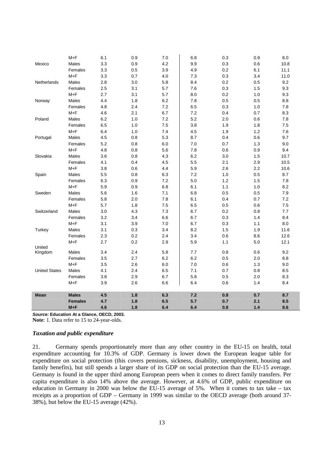| 3.3<br>Mexico<br>Males<br>0.9<br>4.2<br>9.9<br>$0.3\,$<br>0.6<br>Females<br>3.3<br>0.5<br>3.9<br>4.9<br>0.2<br>6.1 | 10.8<br>11.1<br>11.0 |
|--------------------------------------------------------------------------------------------------------------------|----------------------|
|                                                                                                                    |                      |
|                                                                                                                    |                      |
| $M + F$<br>3.3<br>0.7<br>$4.0$<br>$7.3$<br>0.3<br>3.4                                                              |                      |
| 3.0<br>0.2<br>Netherlands<br>Males<br>2.8<br>5.8<br>8.4<br>0.5                                                     | 9.2                  |
| 3.1<br>0.3<br>Females<br>2.5<br>5.7<br>7.6<br>1.5                                                                  | 9.3                  |
| $M + F$<br>2.7<br>3.1<br>5.7<br>0.2<br>1.0<br>8.0                                                                  | 9.3                  |
| Males<br>4.4<br>1.8<br>$6.2\,$<br>7.8<br>0.5<br>0.5<br>Norway                                                      | 8.8                  |
| 2.4<br>Females<br>4.8<br>7.2<br>6.5<br>0.3<br>1.0                                                                  | 7.8                  |
| $M + F$<br>2.1<br>6.7<br>7.2<br>0.7<br>4.6<br>0.4                                                                  | 8.3                  |
| Poland<br>Males<br>6.2<br>1.0<br>7.2<br>5.2<br>2.0<br>0.6                                                          | 7.8                  |
| 6.5<br>1.0<br>7.5<br>3.8<br>Females<br>1.9<br>1.8                                                                  | 7.5                  |
| $M + F$<br>6.4<br>1.0<br>7.4<br>4.5<br>1.9<br>$1.2$                                                                | 7.6                  |
| 4.5<br>0.8<br>5.3<br>0.6<br>Portugal<br>Males<br>8.7<br>0.4                                                        | 9.7                  |
| Females<br>5.2<br>0.8<br>$6.0\,$<br>$7.0\,$<br>0.7<br>$1.3$                                                        | 9.0                  |
| $M + F$<br>4.8<br>0.8<br>5.6<br>0.9<br>7.8<br>0.6                                                                  | 9.4                  |
| Males<br>3.6<br>0.8<br>4.3<br>6.2<br>3.0<br>1.5<br>Slovakia                                                        | 10.7                 |
| 0.4<br>2.9<br>Females<br>4.1<br>4.5<br>5.5<br>2.1                                                                  | 10.5                 |
| $M + F$<br>0.6<br>3.8<br>4.4<br>5.9<br>2.6<br>2.2                                                                  | 10.6                 |
| Males<br>5.5<br>0.8<br>6.3<br>7.2<br>$1.0$<br>0.5<br>Spain                                                         | 8.7                  |
| 6.3<br>0.9<br>7.2<br>$5.0\,$<br>Females<br>1.2<br>1.5                                                              | 7.8                  |
| $M + F$<br>5.9<br>0.9<br>6.8<br>1.1<br>$1.0$<br>6.1                                                                | 8.2                  |
| 5.6<br>1.6<br>0.5<br>Sweden<br>Males<br>7.1<br>6.8<br>0.5                                                          | 7.9                  |
| Females<br>5.8<br>2.0<br>7.8<br>6.1<br>0.4<br>0.7                                                                  | 7.2                  |
| $M + F$<br>1.8<br>7.5<br>0.5<br>0.6<br>5.7<br>6.5                                                                  | 7.5                  |
| 4.3<br>Males<br>3.0<br>7.3<br>6.7<br>0.2<br>0.8<br>Switzerland                                                     | 7.7                  |
| 3.2<br>Females<br>3.4<br>6.6<br>6.7<br>0.3<br>1.4                                                                  | 8.4                  |
| $M + F$<br>3.1<br>3.9<br>$7.0\,$<br>6.7<br>0.3<br>1.1                                                              | 8.0                  |
| Males<br>3.1<br>0.3<br>3.4<br>8.2<br>1.5<br>Turkey<br>1.9                                                          | 11.6                 |
| 0.2<br>2.4<br>3.4<br>8.6<br>Females<br>2.3<br>$0.6\,$                                                              | 12.6                 |
| 0.2<br>$M + F$<br>2.7<br>2.9<br>5.9<br>1.1<br>5.0                                                                  | 12.1                 |
| United<br>Males<br>3.4<br>2.4<br>5.8<br>7.7<br>0.8<br>0.6<br>Kingdom                                               | 9.2                  |
| 3.5<br>2.7<br>6.2<br>6.2<br>0.5<br>2.0<br>Females                                                                  | 8.8                  |
| $M + F$<br>2.6<br>3.5<br>6.0<br>7.0<br>0.6<br>1.3                                                                  | 9.0                  |
| <b>United States</b><br>Males<br>4.1<br>2.4<br>0.7<br>0.8<br>6.5<br>7.1                                            | 8.5                  |
| 2.9<br>Females<br>3.8<br>6.7<br>5.8<br>0.5<br>2.0                                                                  | 8.3                  |
| $M + F$<br>3.9<br>2.6<br>6.4<br>0.6<br>1.4<br>6.6                                                                  | 8.4                  |
|                                                                                                                    |                      |
| <b>Males</b><br>4.5<br>1.8<br>6.3<br>$7.2$<br>0.8<br>0.7<br>Mean                                                   | 8.7                  |
| <b>Females</b><br>4.7<br>1.8<br>6.5<br>5.7<br>0.7<br>2.1                                                           | 8.5                  |
| 4.6<br>1.8<br>6.4<br>6.4<br>0.8<br>$1.4$<br>$M + F$                                                                | 8.6                  |

**Source: Education At a Glance, OECD, 2003.** 

**Note**: 1. Data refer to 15 to 24-year-olds.

# *Taxation and public expenditure*

21. Germany spends proportionately more than any other country in the EU-15 on health, total expenditure accounting for 10.3% of GDP. Germany is lower down the European league table for expenditure on social protection (this covers pensions, sickness, disability, unemployment, housing and family benefits), but still spends a larger share of its GDP on social protection than the EU-15 average. Germany is found in the upper third among European peers when it comes to direct family transfers. Per capita expenditure is also 14% above the average. However, at 4.6% of GDP, public expenditure on education in Germany in 2000 was below the EU-15 average of 5%. When it comes to tax take – tax receipts as a proportion of GDP – Germany in 1999 was similar to the OECD average (both around 37- 38%), but below the EU-15 average (42%).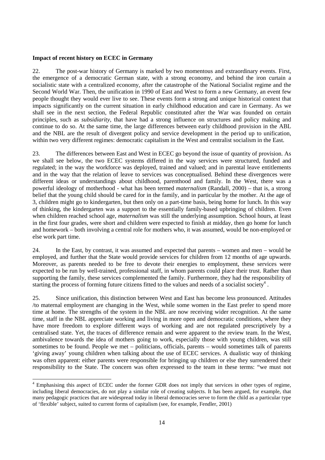#### **Impact of recent history on ECEC in Germany**

 $\overline{a}$ 

22. The post-war history of Germany is marked by two momentous and extraordinary events. First, the emergence of a democratic German state, with a strong economy, and behind the iron curtain a socialistic state with a centralized economy, after the catastrophe of the National Socialist regime and the Second World War. Then, the unification in 1990 of East and West to form a new Germany, an event few people thought they would ever live to see. These events form a strong and unique historical context that impacts significantly on the current situation in early childhood education and care in Germany. As we shall see in the next section, the Federal Republic constituted after the War was founded on certain principles, such as *subsidiarity*, that have had a strong influence on structures and policy making and continue to do so. At the same time, the large differences between early childhood provision in the ABL and the NBL are the result of divergent policy and service development in the period up to unification, within two very different regimes: democratic capitalism in the West and centralist socialism in the East.

23. The differences between East and West in ECEC go beyond the issue of quantity of provision. As we shall see below, the two ECEC systems differed in the way services were structured, funded and regulated; in the way the workforce was deployed, trained and valued; and in parental leave entitlements and in the way that the relation of leave to services was conceptualised. Behind these divergences were different ideas or understandings about childhood, parenthood and family. In the West, there was a powerful ideology of motherhood - what has been termed *maternalism* (Randall, 2000) – that is, a strong belief that the young child should be cared for in the family, and in particular by the mother. At the age of 3, children might go to kindergarten, but then only on a part-time basis, being home for lunch. In this way of thinking, the kindergarten was a support to the essentially family-based upbringing of children. Even when children reached school age, *maternalism* was still the underlying assumption. School hours, at least in the first four grades, were short and children were expected to finish at midday, then go home for lunch and homework – both involving a central role for mothers who, it was assumed, would be non-employed or else work part time.

24. In the East, by contrast, it was assumed and expected that parents – women and men – would be employed, and further that the State would provide services for children from 12 months of age upwards. Moreover, as parents needed to be free to devote their energies to employment, these services were expected to be run by well-trained, professional staff, in whom parents could place their trust. Rather than supporting the family, these services complemented the family. Furthermore, they had the responsibility of starting the process of forming future citizens fitted to the values and needs of a socialist society<sup>4</sup>.

25. Since unification, this distinction between West and East has become less pronounced. Attitudes /to maternal employment are changing in the West, while some women in the East prefer to spend more time at home. The strengths of the system in the NBL are now receiving wider recognition. At the same time, staff in the NBL appreciate working and living in more open and democratic conditions, where they have more freedom to explore different ways of working and are not regulated prescriptively by a centralised state. Yet, the traces of difference remain and were apparent to the review team. In the West, ambivalence towards the idea of mothers going to work, especially those with young children, was still sometimes to be found. People we met – politicians, officials, parents – would sometimes talk of parents 'giving away' young children when talking about the use of ECEC services. A dualistic way of thinking was often apparent: either parents were responsible for bringing up children or else they surrendered their responsibility to the State. The concern was often expressed to the team in these terms: "we must not

<sup>4</sup> Emphasising this aspect of ECEC under the former GDR does not imply that services in other types of regime, including liberal democracies, do not play a similar role of creating subjects. It has been argued, for example, that many pedagogic practices that are widespread today in liberal democracies serve to form the child as a particular type of 'flexible' subject, suited to current forms of capitalism (see, for example, Fendler, 2001)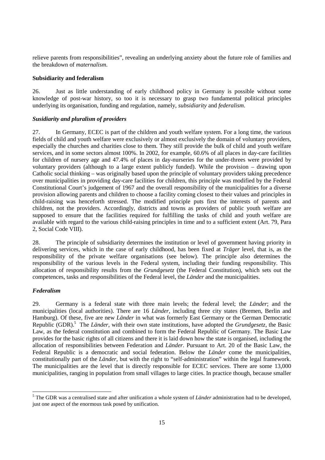relieve parents from responsibilities", revealing an underlying anxiety about the future role of families and the breakdown of *maternalism*.

### **Subsidiarity and federalism**

26. Just as little understanding of early childhood policy in Germany is possible without some knowledge of post-war history, so too it is necessary to grasp two fundamental political principles underlying its organisation, funding and regulation, namely, *subsidiarity* and *federalism*.

## *Susidiarity and pluralism of providers*

27. In Germany, ECEC is part of the children and youth welfare system. For a long time, the various fields of child and youth welfare were exclusively or almost exclusively the domain of voluntary providers, especially the churches and charities close to them. They still provide the bulk of child and youth welfare services, and in some sectors almost 100%. In 2002, for example, 60.6% of all places in day-care facilities for children of nursery age and 47.4% of places in day-nurseries for the under-threes were provided by voluntary providers (although to a large extent publicly funded). While the provision – drawing upon Catholic social thinking – was originally based upon the principle of voluntary providers taking precedence over municipalities in providing day-care facilities for children, this principle was modified by the Federal Constitutional Court's judgement of 1967 and the overall responsibility of the municipalities for a diverse provision allowing parents and children to choose a facility coming closest to their values and principles in child-raising was henceforth stressed. The modified principle puts first the interests of parents and children, not the providers. Accordingly, districts and towns as providers of public youth welfare are supposed to ensure that the facilities required for fulfilling the tasks of child and youth welfare are available with regard to the various child-raising principles in time and to a sufficient extent (Art. 79, Para 2, Social Code VIII).

28. The principle of subsidiarity determines the institution or level of government having priority in delivering services, which in the case of early childhood, has been fixed at *Träger* level, that is, as the responsibility of the private welfare organisations (see below). The principle also determines the responsibility of the various levels in the Federal system, including their funding responsibility. This allocation of responsibility results from the *Grundgesetz* (the Federal Constitution), which sets out the competences, tasks and responsibilities of the Federal level, the *Länder* and the municipalities.

# *Federalism*

29. Germany is a federal state with three main levels; the federal level; the *Länder*; and the municipalities (local authorities). There are 16 *Länder*, including three city states (Bremen, Berlin and Hamburg). Of these, five are new *Länder* in what was formerly East Germany or the German Democratic Republic (GDR).<sup>5</sup> The *Länder*, with their own state institutions, have adopted the *Grundgesetz*, the Basic Law, as the federal constitution and combined to form the Federal Republic of Germany. The Basic Law provides for the basic rights of all citizens and there it is laid down how the state is organised, including the allocation of responsibilities between Federation and *Länder*. Pursuant to Art. 20 of the Basic Law, the Federal Republic is a democratic and social federation. Below the *Länder* come the municipalities, constitutionally part of the *Länder*, but with the right to "self-administration" within the legal framework. The municipalities are the level that is directly responsible for ECEC services. There are some 13,000 municipalities, ranging in population from small villages to large cities. In practice though, because smaller

 5 The GDR was a centralised state and after unification a whole system of *Länder* administration had to be developed, just one aspect of the enormous task posed by unification.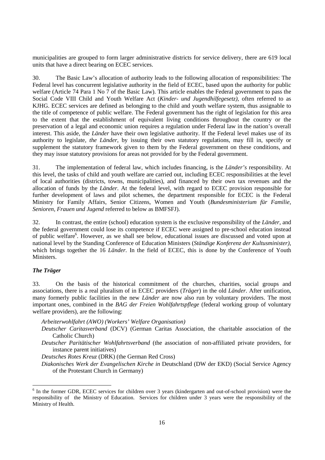municipalities are grouped to form larger administrative districts for service delivery, there are 619 local units that have a direct bearing on ECEC services.

30. The Basic Law's allocation of authority leads to the following allocation of responsibilities: The Federal level has concurrent legislative authority in the field of ECEC, based upon the authority for public welfare (Article 74 Para 1 No 7 of the Basic Law). This article enables the Federal government to pass the Social Code VIII Child and Youth Welfare Act (*Kinder- und Jugendhilfegesetz),* often referred to as KJHG. ECEC services are defined as belonging to the child and youth welfare system, thus assignable to the title of competence of public welfare. The Federal government has the right of legislation for this area to the extent that the establishment of equivalent living conditions throughout the country or the preservation of a legal and economic union requires a regulation under Federal law in the nation's overall interest. This aside, the *Länder* have their own legislative authority. If the Federal level makes use of its authority to legislate, *the Länder*, by issuing their own statutory regulations, may fill in, specify or supplement the statutory framework given to them by the Federal government on these conditions, and they may issue statutory provisions for areas not provided for by the Federal government.

31. The implementation of federal law, which includes financing, is the *Länder's* responsibility. At this level, the tasks of child and youth welfare are carried out, including ECEC responsibilities at the level of local authorities (districts, towns, municipalities), and financed by their own tax revenues and the allocation of funds by the *Länder*. At the federal level, with regard to ECEC provision responsible for further development of laws and pilot schemes, the department responsible for ECEC is the Federal Ministry for Family Affairs, Senior Citizens, Women and Youth (*Bundesministerium für Familie, Senioren, Frauen und Jugend* referred to below as BMFSFJ).

32. In contrast, the entire (school) education system is the exclusive responsibility of the *Länder*, and the federal government could lose its competence if ECEC were assigned to pre-school education instead of public welfare<sup>6</sup>. However, as we shall see below, educational issues are discussed and voted upon at national level by the Standing Conference of Education Ministers (*Ständige Konferenz der Kultusminister)*, which brings together the 16 *Länder.* In the field of ECEC, this is done by the Conference of Youth Ministers.

# *The Träger*

 $\overline{a}$ 

33. On the basis of the historical commitment of the churches, charities, social groups and associations, there is a real pluralism of in ECEC providers (*Träger*) in the old *Länder*. After unification, many formerly public facilities in the new *Länder* are now also run by voluntary providers. The most important ones, combined in the *BAG der Freien Wohlfahrtspflege* (federal working group of voluntary welfare providers), are the following:

- *Arbeiterwohlfahrt (AWO) (Workers' Welfare Organisation)*
- *Deutscher Caritasverband* (DCV) (German Caritas Association, the charitable association of the Catholic Church)
- *Deutscher Paritätischer Wohlfahrtsverband* (the association of non-affiliated private providers, for instance parent initiatives)

*Deutsches Rotes Kreuz* (DRK) (the German Red Cross)

*Diakonisches Werk der Evangelischen Kirche in* Deutschland (DW der EKD) (Social Service Agency of the Protestant Church in Germany)

<sup>6</sup> In the former GDR, ECEC services for children over 3 years (kindergarten and out-of-school provision) were the responsibility of the Ministry of Education. Services for children under 3 years were the responsibility of the Ministry of Health.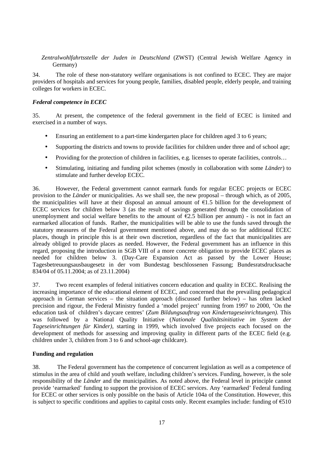*Zentralwohlfahrtsstelle der Juden in Deutschland* (ZWST) (Central Jewish Welfare Agency in Germany)

34. The role of these non-statutory welfare organisations is not confined to ECEC. They are major providers of hospitals and services for young people, families, disabled people, elderly people, and training colleges for workers in ECEC.

# *Federal competence in ECEC*

35. At present, the competence of the federal government in the field of ECEC is limited and exercised in a number of ways.

- Ensuring an entitlement to a part-time kindergarten place for children aged 3 to 6 years;
- Supporting the districts and towns to provide facilities for children under three and of school age;
- Providing for the protection of children in facilities, e.g. licenses to operate facilities, controls…
- Stimulating, initiating and funding pilot schemes (mostly in collaboration with some *Länder*) to stimulate and further develop ECEC.

36. However, the Federal government cannot earmark funds for regular ECEC projects or ECEC provision to the *Länder* or municipalities. As we shall see, the new proposal – through which, as of 2005, the municipalities will have at their disposal an annual amount of  $E1.5$  billion for the development of ECEC services for children below 3 (as the result of savings generated through the consolidation of unemployment and social welfare benefits to the amount of  $E2.5$  billion per annum) - is not in fact an earmarked allocation of funds. Rather, the municipalities will be able to use the funds saved through the statutory measures of the Federal government mentioned above, and may do so for additional ECEC places, though in principle this is at their own discretion, regardless of the fact that municipalities are already obliged to provide places as needed. However, the Federal government has an influence in this regard, proposing the introduction in SGB VIII of a more concrete obligation to provide ECEC places as needed for children below 3. (Day-Care Expansion Act as passed by the Lower House; Tagesbetreuungsausbaugesetz in der vom Bundestag beschlossenen Fassung; Bundesratsdrucksache 834/04 of 05.11.2004; as of 23.11.2004)

37. Two recent examples of federal initiatives concern education and quality in ECEC. Realising the increasing importance of the educational element of ECEC, and concerned that the prevailing pedagogical approach in German services – the situation approach (discussed further below) – has often lacked precision and rigour, the Federal Ministry funded a 'model project' running from 1997 to 2000, 'On the education task of children's daycare centres' (*Zum Bildungsauftrag von Kindertageseinrichtungen).* This was followed by a National Quality Initiative (*Nationale Qualitätsinitiative im System der Tageseinrichtungen für Kinder)*, starting in 1999, which involved five projects each focused on the development of methods for assessing and improving quality in different parts of the ECEC field (e.g. children under 3, children from 3 to 6 and school-age childcare).

### **Funding and regulation**

38. The Federal government has the competence of concurrent legislation as well as a competence of stimulus in the area of child and youth welfare, including children's services. Funding, however, is the sole responsibility of the *Länder* and the municipalities. As noted above, the Federal level in principle cannot provide 'earmarked' funding to support the provision of ECEC services. Any 'earmarked' Federal funding for ECEC or other services is only possible on the basis of Article 104a of the Constitution. However, this is subject to specific conditions and applies to capital costs only. Recent examples include: funding of  $\epsilon$ 510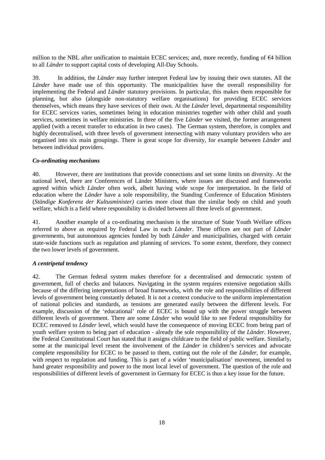million to the NBL after unification to maintain ECEC services; and, more recently, funding of  $\epsilon$ 4 billion to all *Länder* to support capital costs of developing All-Day Schools.

39. In addition, the *Länder* may further interpret Federal law by issuing their own statutes. All the *Länder* have made use of this opportunity. The municipalities have the overall responsibility for implementing the Federal and *Länder* statutory provisions. In particular, this makes them responsible for planning, but also (alongside non-statutory welfare organisations) for providing ECEC services themselves, which means they have services of their own. At the *Länder* level, departmental responsibility for ECEC services varies, sometimes being in education ministries together with other child and youth services, sometimes in welfare ministries. In three of the five *Länder* we visited, the former arrangement applied (with a recent transfer to education in two cases). The German system, therefore, is complex and highly decentralised, with three levels of government intersecting with many voluntary providers who are organised into six main groupings. There is great scope for diversity, for example between *Länder* and between individual providers.

# *Co-ordinating mechanisms*

40. However, there are institutions that provide connections and set some limits on diversity. At the national level, there are Conferences of Länder Ministers, where issues are discussed and frameworks agreed within which *Länder* often work, albeit having wide scope for interpretation. In the field of education where the *Länder* have a sole responsibility, the Standing Conference of Education Ministers (*Ständige Konferenz der Kultusminister)* carries more clout than the similar body on child and youth welfare, which is a field where responsibility is divided between all three levels of government.

41. Another example of a co-ordinating mechanism is the structure of State Youth Welfare offices referred to above as required by Federal Law in each *Länder*. These offices are not part of *Länder* governments, but autonomous agencies funded by both *Länder* and municipalities, charged with certain state-wide functions such as regulation and planning of services. To some extent, therefore, they connect the two lower levels of government.

### *A centripetal tendency*

42. The German federal system makes therefore for a decentralised and democratic system of government, full of checks and balances. Navigating in the system requires extensive negotiation skills because of the differing interpretations of broad frameworks, with the role and responsibilities of different levels of government being constantly debated. It is not a context conducive to the uniform implementation of national policies and standards, as tensions are generated easily between the different levels. For example, discussion of the 'educational' role of ECEC is bound up with the power struggle between different levels of government. There are some *Länder* who would like to see Federal responsibility for ECEC removed to *Länder* level, which would have the consequence of moving ECEC from being part of youth welfare system to being part of education - already the sole responsibility of the *Länder*. However, the Federal Constitutional Court has stated that it assigns childcare to the field of public welfare. Similarly, some at the municipal level resent the involvement of the *Länder* in children's services and advocate complete responsibility for ECEC to be passed to them, cutting out the role of the *Länder*, for example, with respect to regulation and funding. This is part of a wider 'municipalisation' movement, intended to hand greater responsibility and power to the most local level of government. The question of the role and responsibilities of different levels of government in Germany for ECEC is thus a key issue for the future.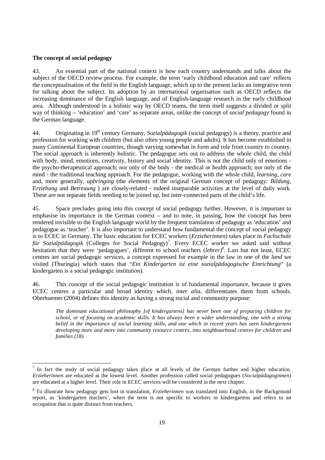## **The concept of social pedagogy**

43. An essential part of the national context is how each country understands and talks about the subject of the OECD review process. For example, the term 'early childhood education and care' reflects the conceptualisation of the field in the English language, which up to the present lacks an integrative term for talking about the subject. Its adoption by an international organisation such as OECD reflects the increasing dominance of the English language, and of English-language research in the early childhood area. Although understood in a holistic way by OECD teams, the term itself suggests a divided or split way of thinking – 'education' and 'care' as separate areas, unlike the concept of *social pedagogy* found in the German language.

44. Originating in 19th century Germany, *Sozialpädagogik* (social pedagogy) is a theory, practice and profession for working with children (but also often young people and adults). It has become established in many Continental European countries, though varying somewhat in form and role from country to country. The social approach is inherently holistic. The pedagogue sets out to address the whole child, the child with body, mind, emotions, creativity, history and social identity. This is not the child only of emotions the psycho-therapeutical approach; nor only of the body - the medical or health approach; nor only of the mind - the traditional teaching approach. For the pedagogue, working with the whole child, *learning*, *care* and, more generally, *upbringing* (the elements of the original German concept of pedagogy: *Bildung*, *Erziehung* and *Betreuung* ) are closely-related - indeed inseparable activities at the level of daily work. These are not separate fields needing to be joined up, but inter-connected parts of the child's life.

45. Space precludes going into this concept of social pedagogy further. However, it is important to emphasise its importance in the German context – and to note, in passing, how the concept has been rendered invisible to the English language world by the frequent translation of pedagogy as 'education' and pedagogue as 'teacher'. It is also important to understand how fundamental the concept of social pedagogy is to ECEC in Germany. The basic education for ECEC workers (*Erzieherinnen)* takes place in *Fachschule*  für Sozialpädagogik (Colleges for Social Pedagogy)<sup>7</sup>. Every ECEC worker we asked said without hesitation that they were 'pedagogues', different to school teachers (*lehrer*)<sup>8</sup>. Last but not least, ECEC centres are social pedagogic services, a concept expressed for example in the law in one of the *land* we visited (Thuringia) which states that "*Ein Kindergarten ist eine sozialpädagogische Einrichtung*" (a kindergarten is a social pedagogic institution).

46. This concept of the social pedagogic institution is of fundamental importance, because it gives ECEC centres a particular and broad identity which, *inter alia,* differentiates them from schools. Oberhuemer (2004) defines this identity as having a strong social and community purpose:

*The dominant educational philosophy [of kindergartens] has never been one of preparing children for school, or of focusing on academic skills. It has always been a wider understanding, one with a strong belief in the importance of social learning skills, and one which in recent years has seen kindergartens developing more and more into community resource centres, into neighbourhood centres for children and families (18).* 

<sup>&</sup>lt;sup>7</sup> In fact the study of social pedagogy takes place at all levels of the German further and higher education. *Erzieherinnen* are educated at the lowest level. Another profession called social pedagogues (*Socialpädagoginnen)*  are educated at a higher level. Their role in ECEC services will be considered in the next chapter.

<sup>8</sup> To illustrate how pedagogy gets lost in translation, *Erzieherinnen* was translated into English, in the Background report, as 'kindergarten teachers', when the term is not specific to workers in kindergartens and refers to an occupation that is quite distinct from teachers.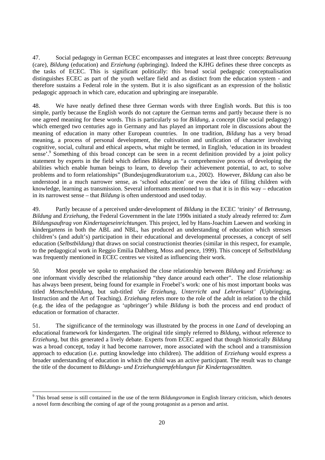47. Social pedagogy in German ECEC encompasses and integrates at least three concepts: *Betreuung*  (care), *Bildung* (education) and *Erziehung (*upbringing). Indeed the KJHG defines these three concepts as the tasks of ECEC. This is significant politically: this broad social pedagogic conceptualisation distinguishes ECEC as part of the youth welfare field and as distinct from the education system - and therefore sustains a Federal role in the system. But it is also significant as an expression of the holistic pedagogic approach in which care, education and upbringing are inseparable.

48. We have neatly defined these three German words with three English words. But this is too simple, partly because the English words do not capture the German terms and partly because there is no one agreed meaning for these words. This is particularly so for *Bildung*, a concept (like social pedagogy) which emerged two centuries ago in Germany and has played an important role in discussions about the meaning of education in many other European countries. In one tradition, *Bildung* has a very broad meaning, a process of personal development, the cultivation and unification of character involving cognitive, social, cultural and ethical aspects, what might be termed, in English, 'education in its broadest sense'.<sup>9</sup> Something of this broad concept can be seen in a recent definition provided by a joint policy statement by experts in the field which defines *Bildung* as "a comprehensive process of developing the abilities which enable human beings to learn, to develop their achievement potential, to act, to solve problems and to form relationships" (Bundesjugendkuratorium u.a., 2002). However, *Bildung* can also be understood in a much narrower sense, as 'school education' or even the idea of filling children with knowledge, learning as transmission. Several informants mentioned to us that it is in this way – education in its narrowest sense – that *Bildung* is often understood and used today.

49. Partly because of a perceived under-development of *Bildung* in the ECEC 'trinity' of *Betreuung*, *Bildung* and *Erziehung,* the Federal Government in the late 1990s initiated a study already referred to: *Zum Bildungsauftrag von Kindertageseinrichtungen.* This project, led by Hans-Joachim Laewen and working in kindergartens in both the ABL and NBL, has produced an understanding of education which stresses children's (and adult's) participation in their educational and developmental processes, a concept of self education (*Selbstbildung)* that draws on social constructionist theories (similar in this respect, for example, to the pedagogical work in Reggio Emilia Dahlberg, Moss and pence, 1999). This concept of *Selbstbildung* was frequently mentioned in ECEC centres we visited as influencing their work.

50. Most people we spoke to emphasised the close relationship between *Bildung* and *Erziehung:* as one informant vividly described the relationship "they dance around each other". The close relationship has always been present, being found for example in Froebel's work: one of his most important books was titled *Menschenbildung*, but sub-titled *'die Erziehung, Unterricht and Lehrerkunst' (*Upbringing, Instruction and the Art of Teaching). *Erziehung* refers more to the role of the adult in relation to the child (e.g. the idea of the pedagogue as 'upbringer') while *Bildung* is both the process and end product of education or formation of character.

51. The significance of the terminology was illustrated by the process in one *Land* of developing an educational framework for kindergarten. The original title simply referred to *Bildung,* without reference to *Erziehung*, but this generated a lively debate. Experts from ECEC argued that though historically *Bildung*  was a broad concept, today it had become narrower, more associated with the school and a transmission approach to education (i.e. putting knowledge into children). The addition of *Erziehung* would express a broader understanding of education in which the child was an active participant. The result was to change the title of the document to *Bildungs- und Erziehungsempfehlungun für Kindertagesstätten.* 

 9 This broad sense is still contained in the use of the term *Bildungsroman* in English literary criticism, which denotes a novel form describing the coming of age of the young protagonist as a person and artist.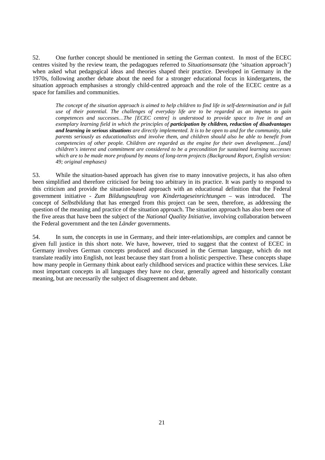52. One further concept should be mentioned in setting the German context. In most of the ECEC centres visited by the review team, the pedagogues referred to *Situationsansatz* (the 'situation approach') when asked what pedagogical ideas and theories shaped their practice. Developed in Germany in the 1970s, following another debate about the need for a stronger educational focus in kindergartens, the situation approach emphasises a strongly child-centred approach and the role of the ECEC centre as a space for families and communities.

*The concept of the situation approach is aimed to help children to find life in self-determination and in full use of their potential. The challenges of everyday life are to be regarded as an impetus to gain competences and successes…The [ECEC centre] is understood to provide space to live in and an exemplary learning field in which the principles of participation by children, reduction of disadvantages and learning in serious situations are directly implemented. It is to be open to and for the community, take parents seriously as educationalists and involve them, and children should also be able to benefit from competencies of other people. Children are regarded as the engine for their own development…[and] children's interest and commitment are considered to be a precondition for sustained learning successes which are to be made more profound by means of long-term projects (Background Report, English version: 49; original emphases)* 

53. While the situation-based approach has given rise to many innovative projects, it has also often been simplified and therefore criticised for being too arbitrary in its practice. It was partly to respond to this criticism and provide the situation-based approach with an educational definition that the Federal government initiative - *Zum Bildungsauftrag von Kindertageseinrichtungen* – was introduced. The concept of *Selbstbildung* that has emerged from this project can be seen, therefore, as addressing the question of the meaning and practice of the situation approach. The situation approach has also been one of the five areas that have been the subject of the *National Quality Initiative*, involving collaboration between the Federal government and the ten *Länder* governments.

54. In sum, the concepts in use in Germany, and their inter-relationships, are complex and cannot be given full justice in this short note. We have, however, tried to suggest that the context of ECEC in Germany involves German concepts produced and discussed in the German language, which do not translate readily into English, not least because they start from a holistic perspective. These concepts shape how many people in Germany think about early childhood services and practice within these services. Like most important concepts in all languages they have no clear, generally agreed and historically constant meaning, but are necessarily the subject of disagreement and debate.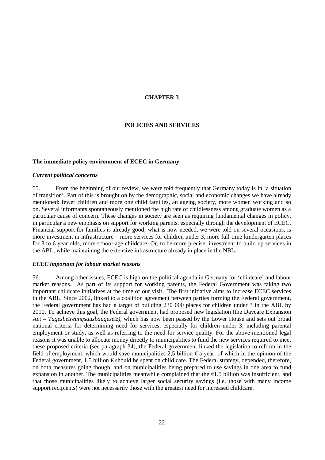## **CHAPTER 3**

# **POLICIES AND SERVICES**

#### **The immediate policy environment of ECEC in Germany**

#### *Current political concerns*

55. From the beginning of our review, we were told frequently that Germany today is in 'a situation of transition'. Part of this is brought on by the demographic, social and economic changes we have already mentioned: fewer children and more one child families, an ageing society, more women working and so on. Several informants spontaneously mentioned the high rate of childlessness among graduate women as a particular cause of concern. These changes in society are seen as requiring fundamental changes in policy, in particular a new emphasis on support for working parents, especially through the development of ECEC. Financial support for families is already good; what is now needed, we were told on several occasions, is more investment in infrastructure – more services for children under 3, more full-time kindergarten places for 3 to 6 year olds, more school-age childcare. Or, to be more precise, investment to build up services in the ABL, while maintaining the extensive infrastructure already in place in the NBL.

#### *ECEC important for labour market reasons*

56. Among other issues, ECEC is high on the political agenda in Germany for 'childcare' and labour market reasons. As part of its support for working parents, the Federal Government was taking two important childcare initiatives at the time of our visit. The first initiative aims to increase ECEC services in the ABL. Since 2002, linked to a coalition agreement between parties forming the Federal government, the Federal government has had a target of building 230 000 places for children under 3 in the ABL by 2010. To achieve this goal, the Federal government had proposed new legislation (the Daycare Expansion Act – *Tagesbetreungsausbaugesetz)*, which has now been passed by the Lower House and sets out broad national criteria for determining need for services, especially for children under 3, including parental employment or study, as well as referring to the need for service quality. For the above-mentioned legal reasons it was unable to allocate money directly to municipalities to fund the new services required to meet these proposed criteria (see paragraph 34), the Federal government linked the legislation to reform in the field of employment, which would save municipalities 2,5 billion  $\epsilon$  a year, of which in the opinion of the Federal government, 1,5 billion  $\epsilon$  should be spent on child care. The Federal strategy, depended, therefore, on both measures going though, and on municipalities being prepared to use savings in one area to fund expansion in another. The municipalities meanwhile complained that the  $\epsilon$ 1.5 billion was insufficient, and that those municipalities likely to achieve larger social security savings (i.e. those with many income support recipients) were not necessarily those with the greatest need for increased childcare.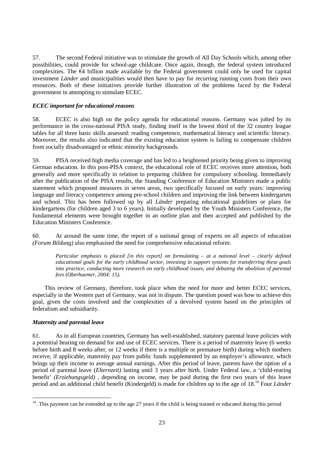57. The second Federal initiative was to stimulate the growth of All Day Schools which, among other possibilities, could provide for school-age childcare. Once again, though, the federal system introduced complexities. The €4 billion made available by the Federal government could only be used for capital investment *Länder* and municipalities would then have to pay for recurring running costs from their own resources. Both of these initiatives provide further illustration of the problems faced by the Federal government in attempting to stimulate ECEC.

# *ECEC important for educational reasons*

58. ECEC is also high on the policy agenda for educational reasons. Germany was jolted by its performance in the cross-national PISA study, finding itself in the lowest third of the 32 country league tables for all three basic skills assessed: reading competence, mathematical literacy and scientific literacy. Moreover, the results also indicated that the existing education system is failing to compensate children from socially disadvantaged or ethnic minority backgrounds.

59. PISA received high media coverage and has led to a heightened priority being given to improving German education. In this post-PISA context, the educational role of ECEC receives more attention, both generally and more specifically in relation to preparing children for compulsory schooling. Immediately after the publication of the PISA results, the Standing Conference of Education Ministers made a public statement which proposed measures in seven areas, two specifically focused on early years: improving language and literacy competence among pre-school children and improving the link between kindergarten and school. This has been followed up by all *Länder* preparing educational guidelines or plans for kindergartens (for children aged 3 to 6 years). Initially developed by the Youth Ministers Conference, the fundamental elements were brought together in an outline plan and then accepted and published by the Education Ministers Conference.

60. At around the same time, the report of a national group of experts on all aspects of education *(Forum Bildung)* also emphasised the need for comprehensive educational reform:

*Particular emphasis is placed [in this report] on formulating – at a national level – clearly defined educational goals for the early childhood sector, investing in support systems for transferring these goals into practice, conducting more research on early childhood issues, and debating the abolition of parental fees (Oberhuemer, 2004: 15).* 

This review of Germany, therefore, took place when the need for more and better ECEC services, especially in the Western part of Germany, was not in dispute. The question posed was how to achieve this goal, given the costs involved and the complexities of a devolved system based on the principles of federalism and subsidiarity.

# *Maternity and parental leave*

 $\overline{a}$ 

61. As in all European countries, Germany has well-established, statutory parental leave policies with a potential bearing on demand for and use of ECEC services. There is a period of maternity leave (6 weeks before birth and 8 weeks after, or 12 weeks if there is a multiple or premature birth) during which mothers receive, if applicable, maternity pay from public funds supplemented by an employer's allowance, which brings up their income to average annual earnings. After this period of leave, parents have the option of a period of parental leave (*Elternzeit)* lasting until 3 years after birth. Under Federal law, a 'child-rearing benefit' *(Erziehungsgeld)*, depending on income, may be paid during the first two years of this leave period and an additional child benefit (Kindergeld) is made for children up to the age of 18.10 Four *Länder*

 $10$ . This payment can be extended up to the age 27 years if the child is being trained or educated during this period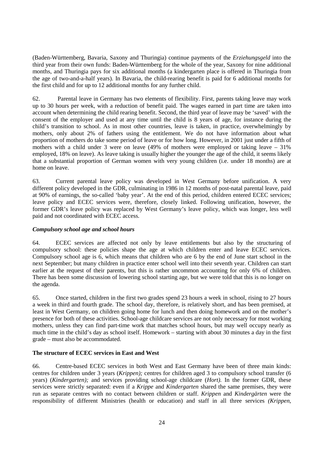(Baden-Württemberg, Bavaria, Saxony and Thuringia) continue payments of the *Erziehungsgeld* into the third year from their own funds: Baden-Württemberg for the whole of the year, Saxony for nine additional months, and Thuringia pays for six additional months (a kindergarten place is offered in Thuringia from the age of two-and-a-half years). In Bavaria, the child-rearing benefit is paid for 6 additional months for the first child and for up to 12 additional months for any further child.

62. Parental leave in Germany has two elements of flexibility. First, parents taking leave may work up to 30 hours per week, with a reduction of benefit paid. The wages earned in part time are taken into account when determining the child rearing benefit. Second, the third year of leave may be 'saved' with the consent of the employer and used at any time until the child is 8 years of age, for instance during the child's transition to school. As in most other countries, leave is taken, in practice, overwhelmingly by mothers, only about 2% of fathers using the entitlement. We do not have information about what proportion of mothers do take some period of leave or for how long. However, in 2001 just under a fifth of mothers with a child under 3 were on leave (49% of mothers were employed or taking leave – 31% employed, 18% on leave). As leave taking is usually higher the younger the age of the child, it seems likely that a substantial proportion of German women with very young children (i.e. under 18 months) are at home on leave.

63. Current parental leave policy was developed in West Germany before unification. A very different policy developed in the GDR, culminating in 1986 in 12 months of post-natal parental leave, paid at 90% of earnings, the so-called 'baby year'. At the end of this period, children entered ECEC services; leave policy and ECEC services were, therefore, closely linked. Following unification, however, the former GDR's leave policy was replaced by West Germany's leave policy, which was longer, less well paid and not coordinated with ECEC access.

# *Compulsory school age and school hours*

64. ECEC services are affected not only by leave entitlements but also by the structuring of compulsory school: these policies shape the age at which children enter and leave ECEC services. Compulsory school age is 6, which means that children who are 6 by the end of June start school in the next September; but many children in practice enter school well into their seventh year. Children can start earlier at the request of their parents, but this is rather uncommon accounting for only 6% of children. There has been some discussion of lowering school starting age, but we were told that this is no longer on the agenda.

65. Once started, children in the first two grades spend 23 hours a week in school, rising to 27 hours a week in third and fourth grade. The school day, therefore, is relatively short, and has been premised, at least in West Germany, on children going home for lunch and then doing homework and on the mother's presence for both of these activities. School-age childcare services are not only necessary for most working mothers, unless they can find part-time work that matches school hours, but may well occupy nearly as much time in the child's day as school itself. Homework – starting with about 30 minutes a day in the first grade – must also be accommodated.

# **The structure of ECEC services in East and West**

66. Centre-based ECEC services in both West and East Germany have been of three main kinds: centres for children under 3 years (*Krippen);* centres for children aged 3 to compulsory school transfer (6 years) (*Kindergarten);* and services providing school-age childcare (*Hort).* In the former GDR, these services were strictly separated: even if a *Krippe* and *Kindergarten* shared the same premises, they were run as separate centres with no contact between children or staff. *Krippen* and *Kindergärten* were the responsibility of different Ministries (health or education) and staff in all three services *(Krippen,*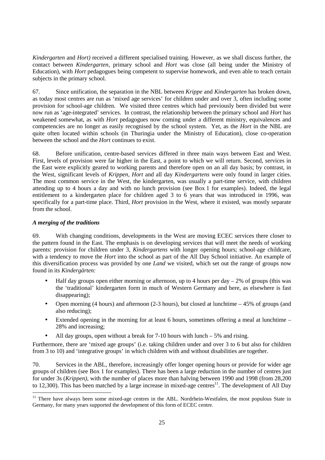*Kindergarten* and *Hort)* received a different specialised training. However, as we shall discuss further, the contact between *Kindergarten*, primary school and *Hort* was close (all being under the Ministry of Education), with *Hort* pedagogues being competent to supervise homework, and even able to teach certain subjects in the primary school.

67. Since unification, the separation in the NBL between *Krippe* and *Kindergarten* has broken down, as today most centres are run as 'mixed age services' for children under and over 3, often including some provision for school-age children. We visited three centres which had previously been divided but were now run as 'age-integrated' services. In contrast, the relationship between the primary school and *Hort* has weakened somewhat, as with *Hort* pedagogues now coming under a different ministry, equivalences and competencies are no longer as easily recognised by the school system. Yet, as the *Hort* in the NBL are quite often located within schools (in Thuringia under the Ministry of Education), close co-operation between the school and the *Hort* continues to exist.

68. Before unification, centre-based services differed in three main ways between East and West. First, levels of provision were far higher in the East, a point to which we will return. Second, services in the East were explicitly geared to working parents and therefore open on an all day basis; by contrast, in the West, significant levels of *Krippen, Hort* and all day *Kindergartens* were only found in larger cities. The most common service in the West, the kindergarten, was usually a part-time service, with children attending up to 4 hours a day and with no lunch provision (see Box 1 for examples). Indeed, the legal entitlement to a kindergarten place for children aged 3 to 6 years that was introduced in 1996, was specifically for a part-time place. Third, *Hort* provision in the West, where it existed, was mostly separate from the school.

# *A merging of the traditions*

 $\overline{a}$ 

69. With changing conditions, developments in the West are moving ECEC services there closer to the pattern found in the East. The emphasis is on developing services that will meet the needs of working parents: provision for children under 3, *Kindergartens* with longer opening hours; school-age childcare, with a tendency to move the *Hort* into the school as part of the All Day School initiative. An example of this diversification process was provided by one *Land* we visited, which set out the range of groups now found in its *Kindergärten:* 

- Half day groups open either morning or afternoon, up to 4 hours per day  $-2\%$  of groups (this was the 'traditional' kindergarten form in much of Western Germany and here, as elsewhere is fast disappearing);
- Open morning (4 hours) and afternoon (2-3 hours), but closed at lunchtime  $-45\%$  of groups (and also reducing);
- Extended opening in the morning for at least 6 hours, sometimes offering a meal at lunchtime 28% and increasing;
- All day groups, open without a break for  $7-10$  hours with lunch  $-5\%$  and rising.

Furthermore, there are 'mixed age groups' (i.e. taking children under and over 3 to 6 but also for children from 3 to 10) and 'integrative groups' in which children with and without disabilities are together.

70. Services in the ABL, therefore, increasingly offer longer opening hours or provide for wider age groups of children (see Box 1 for examples). There has been a large reduction in the number of centres just for under 3s (*Krippen)*, with the number of places more than halving between 1990 and 1998 (from 28,200 to 12,300). This has been matched by a large increase in mixed-age centres<sup>11</sup>. The development of All Day

<sup>&</sup>lt;sup>11</sup> There have always been some mixed-age centres in the ABL. Nordrhein-Westfalen, the most populous State in Germany, for many years supported the development of this form of ECEC centre.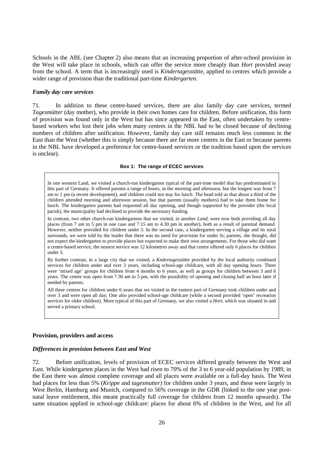Schools in the ABL (see Chapter 2) also means that an increasing proportion of after-school provision in the West will take place in schools, which can offer the service more cheaply than *Hort* provided away from the school. A term that is increasingly used is *Kindertagesstätte*, applied to centres which provide a wider range of provision than the traditional part-time *Kindergarten.* 

#### *Family day care services*

71. In addition to these centre-based services, there are also family day care services, termed *Tagesmütter* (day mother), who provide in their own homes care for children. Before unification, this form of provision was found only in the West but has since appeared in the East, often undertaken by centrebased workers who lost their jobs when many centres in the NBL had to be closed because of declining numbers of children after unification. However, family day care still remains much less common in the East than the West (whether this is simply because there are far more centres in the East or because parents in the NBL have developed a preference for centre-based services or the tradition based upon the services is unclear).

#### **Box 1: The range of ECEC services**

In one western Land, we visited a church-run kindergarten typical of the part-time model that has predominated in this part of Germany. It offered parents a range of hours, in the morning and afternoon, but the longest was from 7 am to 1 pm (a recent development), and children could not stay for lunch. The head told us that about a third of the children attended morning and afternoon session, but that parents (usually mothers) had to take them home for lunch. The kindergarten parents had requested all day opening, and though supported by the provider (the local parish), the municipality had declined to provide the necessary funding.

In contrast, two other church-run kindergartens that we visited, in another *Land*, were now both providing all day places (from 7 am to 5 pm in one case and 7.15 am to 4.30 pm in another), both as a result of parental demand. However, neither provided for children under 3. In the second case, a kindergarten serving a village and its rural surrounds, we were told by the leader that there was no need for provision for under 3s; parents, she thought, did not expect the kindergarten to provide places but expected to make their own arrangements. For those who did want a centre-based service, the nearest service was 12 kilometres away and that centre offered only 6 places for children under 3.

By further contrast, in a large city that we visited, a *Kndertagesstätte* provided by the local authority combined services for children under and over 3 years, including school-age childcare, with all day opening hours. There were 'mixed age' groups for children from 4 months to 6 years, as well as groups for children between 3 and 6 years. The centre was open from 7.30 am to 5 pm, with the possibility of opening and closing half an hour later if needed by parents.

All three centres for children under 6 years that we visited in the eastern part of Germany took children under and over 3 and were open all day; One also provided school-age childcare (while a second provided 'open' recreation services for older children). More typical of this part of Germany, we also visited a *Hort*, which was situated in and served a primary school.

#### **Provision, providers and access**

## *Differences in provision between East and West*

72. Before unification, levels of provision of ECEC services differed greatly between the West and East. While kindergarten places in the West had risen to 70% of the 3 to 6 year-old population by 1989, in the East there was almost complete coverage and all places were available on a full-day basis. The West had places for less than 5% (*Krippe* and *tagesmutter)* for children under 3 years, and these were largely in West Berlin, Hamburg and Munich, compared to 56% coverage in the GDR (linked to the one year postnatal leave entitlement, this meant practically full coverage for children from 12 months upwards). The same situation applied in school-age childcare: places for about 6% of children in the West, and for all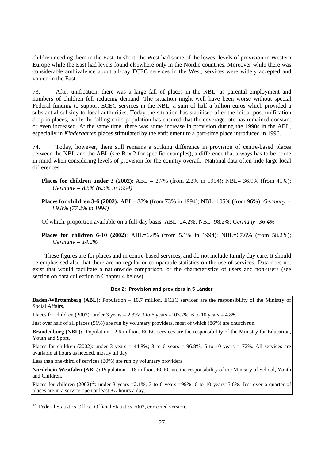children needing them in the East. In short, the West had some of the lowest levels of provision in Western Europe while the East had levels found elsewhere only in the Nordic countries. Moreover while there was considerable ambivalence about all-day ECEC services in the West*,* services were widely accepted and valued in the East.

73. After unification, there was a large fall of places in the NBL, as parental employment and numbers of children fell reducing demand. The situation might well have been worse without special Federal funding to support ECEC services in the NBL, a sum of half a billion euros which provided a substantial subsidy to local authorities. Today the situation has stabilised after the initial post-unification drop in places, while the falling child population has ensured that the coverage rate has remained constant or even increased. At the same time, there was some increase in provision during the 1990s in the ABL, especially in *Kindergarten* places stimulated by the entitlement to a part-time place introduced in 1996.

74. Today, however, there still remains a striking difference in provision of centre-based places between the NBL and the ABL (see Box 2 for specific examples), a difference that always has to be borne in mind when considering levels of provision for the country overall. National data often hide large local differences:

- **Places for children under 3 (2002)**: ABL = 2.7% (from 2.2% in 1994); NBL= 36.9% (from 41%); *Germany = 8.5% (6.3% in 1994)*
- **Places for children 3-6 (2002):** ABL= 88% (from 73% in 1994); NBL=105% (from 96%); *Germany* = *89.8% (77.2% in 1994)*

Of which, proportion available on a full-day basis: ABL=24.2%; NBL=98.2%; *Germany=36,4%* 

**Places for children 6-10 (2002)**: ABL=6.4% (from 5.1% in 1994); NBL=67.6% (from 58.2%); *Germany = 14.2%*

These figures are for places and in centre-based services, and do not include family day care. It should be emphasised also that there are no regular or comparable statistics on the use of services. Data does not exist that would facilitate a nationwide comparison, or the characteristics of users and non-users (see section on data collection in Chapter 4 below).

#### **Box 2: Provision and providers in 5 Länder**

**Baden-Württemberg (ABL):** Population – 10.7 million. ECEC services are the responsibility of the Ministry of Social Affairs.

Places for children (2002): under 3 years =  $2.3\%$ ; 3 to 6 years =  $103.7\%$ ; 6 to 10 years =  $4.8\%$ 

Just over half of all places (56%) are run by voluntary providers, most of which (86%) are church run.

**Brandenburg (NBL):** Population - 2.6 million. ECEC services are the responsibility of the Ministry for Education, Youth and Sport.

Places for children (2002): under 3 years =  $44.8\%$ ; 3 to 6 years =  $96.8\%$ ; 6 to 10 years =  $72\%$ . All services are available at hours as needed, mostly all day.

Less than one-third of services (30%) are run by voluntary providers

**Nordrhein-Westfalen (ABL):** Population – 18 million. ECEC are the responsibility of the Ministry of School, Youth and Children.

Places for children  $(2002)^{12}$ : under 3 years =2.1%; 3 to 6 years =99%; 6 to 10 years =5.6%. Just over a quarter of places are in a service open at least 8½ hours a day.

 $\overline{a}$ 

<sup>&</sup>lt;sup>12</sup> Federal Statistics Office. Official Statistics 2002, corrected version.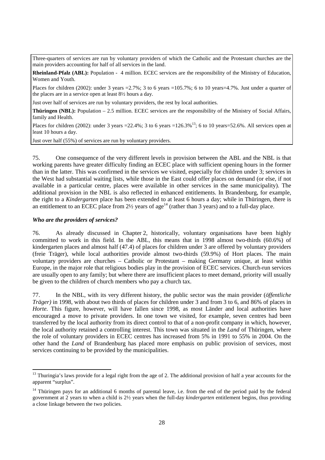Three-quarters of services are run by voluntary providers of which the Catholic and the Protestant churches are the main providers accounting for half of all services in the land.

**Rheinland-Pfalz (ABL):** Population - 4 million. ECEC services are the responsibility of the Ministry of Education, Women and Youth.

Places for children (2002): under 3 years =2.7%; 3 to 6 years =105.7%; 6 to 10 years=4.7%. Just under a quarter of the places are in a service open at least 8½ hours a day.

Just over half of services are run by voluntary providers, the rest by local authorities.

**Thüringen (NBL):** Population – 2.5 million. ECEC services are the responsibility of the Ministry of Social Affairs, family and Health.

Places for children (2002): under 3 years =22.4%; 3 to 6 years =126.3%<sup>13</sup>; 6 to 10 years=52.6%. All services open at least 10 hours a day.

Just over half (55%) of services are run by voluntary providers.

75. One consequence of the very different levels in provision between the ABL and the NBL is that working parents have greater difficulty finding an ECEC place with sufficient opening hours in the former than in the latter. This was confirmed in the services we visited, especially for children under 3; services in the West had substantial waiting lists, while those in the East could offer places on demand (or else, if not available in a particular centre, places were available in other services in the same municipality). The additional provision in the NBL is also reflected in enhanced entitlements. In Brandenburg, for example, the right to a *Kindergarten* place has been extended to at least 6 hours a day; while in Thüringen, there is an entitlement to an ECEC place from  $2\frac{1}{2}$  years of age<sup>14</sup> (rather than 3 years) and to a full-day place.

# *Who are the providers of services?*

 $\overline{a}$ 

76. As already discussed in Chapter 2, historically, voluntary organisations have been highly committed to work in this field. In the ABL, this means that in 1998 almost two-thirds (60.6%) of kindergarten places and almost half (47.4) of places for children under 3 are offered by voluntary providers (freie Träger), while local authorities provide almost two-thirds (59.9%) of Hort places. The main voluntary providers are churches – Catholic or Protestant – making Germany unique, at least within Europe, in the major role that religious bodies play in the provision of ECEC services. Church-run services are usually open to any family; but where there are insufficient places to meet demand, priority will usually be given to the children of church members who pay a church tax.

77. In the NBL, with its very different history, the public sector was the main provider (*öffentliche Träger)* in 1998, with about two thirds of places for children under 3 and from 3 to 6, and 86% of places in *Horte*. This figure, however, will have fallen since 1998, as most Länder and local authorities have encouraged a move to private providers. In one town we visited, for example, seven centres had been transferred by the local authority from its direct control to that of a non-profit company in which, however, the local authority retained a controlling interest. This town was situated in the *Land* of Thüringen, where the role of voluntary providers in ECEC centres has increased from 5% in 1991 to 55% in 2004. On the other hand the *Land* of Brandenburg has placed more emphasis on public provision of services, most services continuing to be provided by the municipalities.

 $13$  Thuringia's laws provide for a legal right from the age of 2. The additional provision of half a year accounts for the apparent "surplus".

 $14$  Thüringen pays for an additional 6 months of parental leave, i.e. from the end of the period paid by the federal government at 2 years to when a child is 2½ years when the full-day *kindergarten* entitlement begins, thus providing a close linkage between the two policies.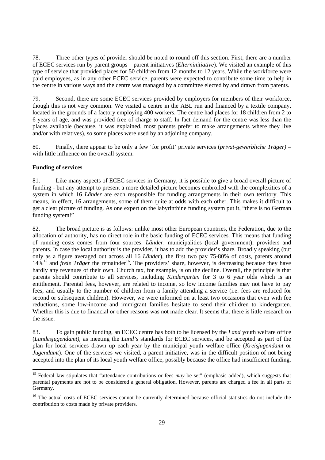78. Three other types of provider should be noted to round off this section. First, there are a number of ECEC services run by parent groups – parent initiatives (*Elterninitiative*). We visited an example of this type of service that provided places for 50 children from 12 months to 12 years. While the workforce were paid employees, as in any other ECEC service, parents were expected to contribute some time to help in the centre in various ways and the centre was managed by a committee elected by and drawn from parents.

79. Second, there are some ECEC services provided by employers for members of their workforce, though this is not very common. We visited a centre in the ABL run and financed by a textile company, located in the grounds of a factory employing 400 workers. The centre had places for 18 children from 2 to 6 years of age, and was provided free of charge to staff. In fact demand for the centre was less than the places available (because, it was explained, most parents prefer to make arrangements where they live and/or with relatives), so some places were used by an adjoining company.

80. Finally, there appear to be only a few 'for profit' private services (*privat-gewerbliche Träger) –*  with little influence on the overall system.

# **Funding of services**

 $\overline{a}$ 

81. Like many aspects of ECEC services in Germany, it is possible to give a broad overall picture of funding - but any attempt to present a more detailed picture becomes embroiled with the complexities of a system in which 16 *Länder* are each responsible for funding arrangements in their own territory. This means, in effect, 16 arrangements, some of them quite at odds with each other. This makes it difficult to get a clear picture of funding. As one expert on the labyrinthine funding system put it, "there is no German funding system!"

82. The broad picture is as follows: unlike most other European countries, the Federation, due to the allocation of authority, has no direct role in the basic funding of ECEC services. This means that funding of running costs comes from four sources: *Länder*; municipalities (local government); providers and parents. In case the local authority is the provider, it has to add the provider's share. Broadly speaking (but only as a figure averaged out across all 16 *Länder*), the first two pay 75-80% of costs, parents around 14%<sup>15</sup> and *freie Träger* the remainder<sup>16</sup>. The providers' share, however, is decreasing because they have hardly any revenues of their own. Church tax, for example, is on the decline. Overall, the principle is that parents should contribute to all services, including *Kindergarten* for 3 to 6 year olds which is an entitlement. Parental fees, however, are related to income, so low income families may not have to pay fees, and usually to the number of children from a family attending a service (i.e. fees are reduced for second or subsequent children). However, we were informed on at least two occasions that even with fee reductions, some low-income and immigrant families hesitate to send their children to kindergarten. Whether this is due to financial or other reasons was not made clear. It seems that there is little research on the issue.

83. To gain public funding, an ECEC centre has both to be licensed by the *Land* youth welfare office (*Landesjugendamt),* as meeting the *Land's* standards for ECEC services, and be accepted as part of the plan for local services drawn up each year by the municipal youth welfare office (*Kreisjugendamt* or *Jugendamt*). One of the services we visited, a parent initiative, was in the difficult position of not being accepted into the plan of its local youth welfare office, possibly because the office had insufficient funding.

<sup>&</sup>lt;sup>15</sup> Federal law stipulates that "attendance contributions or fees *may* be set" (emphasis added), which suggests that parental payments are not to be considered a general obligation. However, parents are charged a fee in all parts of Germany.

<sup>&</sup>lt;sup>16</sup> The actual costs of ECEC services cannot be currently determined because official statistics do not include the contribution to costs made by private providers.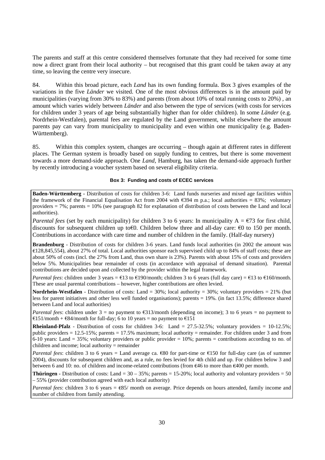The parents and staff at this centre considered themselves fortunate that they had received for some time now a direct grant from their local authority – but recognised that this grant could be taken away at any time, so leaving the centre very insecure.

84. Within this broad picture, each *Land* has its own funding formula. Box 3 gives examples of the variations in the five *Länder* we visited. One of the most obvious differences is in the amount paid by municipalities (varying from 30% to 83%) and parents (from about 10% of total running costs to  $20\%$ ), an amount which varies widely between *Länder* and also between the type of services (with costs for services for children under 3 years of age being substantially higher than for older children). In some *Länder* (e.g. Nordrhein-Westfalen), parental fees are regulated by the Land government, whilst elsewhere the amount parents pay can vary from municipality to municipality and even within one municipality (e.g. Baden-Württemberg).

85. Within this complex system, changes are occurring – though again at different rates in different places. The German system is broadly based on supply funding to centres, but there is some movement towards a more demand-side approach. One *Land*, Hamburg, has taken the demand-side approach further by recently introducing a voucher system based on several eligibility criteria.

#### **Box 3: Funding and costs of ECEC services**

**Baden-Württemberg -** Distribution of costs for children 3-6: Land funds nurseries and mixed age facilities within the framework of the Financial Equalisation Act from 2004 with  $\epsilon$ 394 m p.a.; local authorities = 83%; voluntary providers = 7%; parents = 10% (see paragraph 82 for explanation of distribution of costs between the Land and local authorities).

*Parental fees* (set by each municipality) for children 3 to 6 years: In municipality  $A = \epsilon$ 73 for first child, discounts for subsequent children up to€0. Children below three and all-day care: €0 to 150 per month. Contributions in accordance with care time and number of children in the family. (Half-day nursery)

**Brandenburg** - Distribution of costs for children 3-6 years. Land funds local authorities (in 2002 the amount was €128,845,554), about 27% of total. Local authorities sponsor each supervised child up to 84% of staff costs; these are about 50% of costs (incl. the 27% from Land, thus own share is 23%). Parents with about 15% of costs and providers below 5%. Municipalities bear remainder of costs (in accordance with appraisal of demand situation). Parental contributions are decided upon and collected by the provider within the legal framework.

*Parental fees*: children under 3 years =  $\epsilon$ 13 to  $\epsilon$ 190/month; children 3 to 6 years (full day care) =  $\epsilon$ 13 to  $\epsilon$ 160/month. These are usual parental contributions – however, higher contributions are often levied.

**Nordrhein-Westfalen** - Distribution of costs: Land = 30%; local authority = 30%; voluntary providers = 21% (but less for parent initiatives and other less well funded organisations); parents = 19%. (in fact 13.5%; difference shared between Land and local authorities)

*Parental fees*: children under  $3 =$  no payment to  $\epsilon$ 313/month (depending on income); 3 to 6 years = no payment to  $\text{\textsterling}151/month + \text{\textsterling}84/month$  for full-day; 6 to 10 years = no payment to  $\text{\textsterling}151$ 

**Rheinland-Pfalz** - Distribution of costs for children 3-6: Land  $= 27.5-32.5\%$ ; voluntary providers  $= 10-12.5\%$ ; public providers  $= 12.5-15\%$ ; parents  $= 17.5\%$  maximum; local authority  $=$  remainder. For children under 3 and from 6-10 years: Land = 35%; voluntary providers or public provider =  $10\%$ ; parents = contributions according to no. of children and income; local authority = remainder

*Parental fees*: children 3 to 6 years = Land average ca. €80 for part-time or €150 for full-day care (as of summer 2004), discounts for subsequent children and, as a rule, no fees levied for 4th child and up. For children below 3 and between 6 and 10: no. of children and income-related contributions (from  $\epsilon$ 46 to more than  $\epsilon$ 400 per month.

**Thüringen -** Distribution of costs: Land =  $30 - 35\%$ ; parents =  $15{\text -}20\%$ ; local authority and voluntary providers =  $50$ – 55% (provider contribution agreed with each local authority)

*Parental fees*: children 3 to 6 years = €85/ month on average. Price depends on hours attended, family income and number of children from family attending.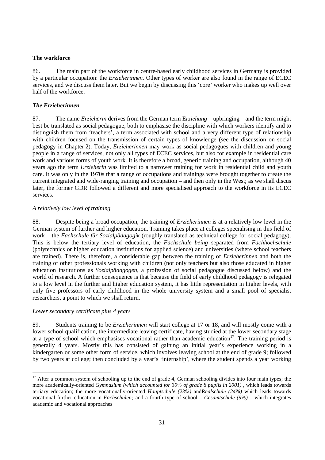# **The workforce**

86. The main part of the workforce in centre-based early childhood services in Germany is provided by a particular occupation: the *Erzieherinnen.* Other types of worker are also found in the range of ECEC services, and we discuss them later. But we begin by discussing this 'core' worker who makes up well over half of the workforce.

# *The Erzieherinnen*

87. The name *Erzieherin* derives from the German term E*rziehung* – upbringing – and the term might best be translated as social pedagogue, both to emphasise the discipline with which workers identify and to distinguish them from 'teachers', a term associated with school and a very different type of relationship with children focused on the transmission of certain types of knowledge (see the discussion on social pedagogy in Chapter 2). Today, *Erzieherinnen* may work as social pedagogues with children and young people in a range of services, not only all types of ECEC services, but also for example in residential care work and various forms of youth work. It is therefore a broad, generic training and occupation, although 40 years ago the term *Erzieherin* was limited to a narrower training for work in residential child and youth care. It was only in the 1970s that a range of occupations and trainings were brought together to create the current integrated and wide-ranging training and occupation – and then only in the West; as we shall discus later, the former GDR followed a different and more specialised approach to the workforce in its ECEC services.

## *A relatively low level of training*

88. Despite being a broad occupation, the training of *Erzieherinnen* is at a relatively low level in the German system of further and higher education. Training takes place at colleges specialising in this field of work – the *Fachschule für Sozialpädagogik* (roughly translated as technical college for social pedagogy). This is below the tertiary level of education, the *Fachschule being* separated from *Fachhochschule*  (polytechnics or higher education institutions for applied science) and universities (where school teachers are trained). There is, therefore, a considerable gap between the training of *Erzieherinnen* and both the training of other professionals working with children (not only teachers but also those educated in higher education institutions as *Sozialpädagogen,* a profession of social pedagogue discussed below) and the world of research. A further consequence is that because the field of early childhood pedagogy is relegated to a low level in the further and higher education system, it has little representation in higher levels, with only five professors of early childhood in the whole university system and a small pool of specialist researchers, a point to which we shall return.

# *Lower secondary certificate plus 4 years*

 $\overline{a}$ 

89. Students training to be *Erzieherinnen* will start college at 17 or 18, and will mostly come with a lower school qualification, the intermediate leaving certificate, having studied at the lower secondary stage at a type of school which emphasises vocational rather than academic education<sup>17</sup>. The training period is generally 4 years. Mostly this has consisted of gaining an initial year's experience working in a kindergarten or some other form of service, which involves leaving school at the end of grade 9; followed by two years at college; then concluded by a year's 'internship', where the student spends a year working

 $17$  After a common system of schooling up to the end of grade 4, German schooling divides into four main types; the more academically-oriented *Gymnasium (which accounted for 30% of grade 8 pupils in 2001)*, which leads towards tertiary education; the more vocationally-oriented *Hauptschule (23%)* andR*ealschule (24%)* which leads towards vocational further education in *Fachschulen;* and a fourth type of school – *Gesamtschule (9%) –* which integrates academic and vocational approaches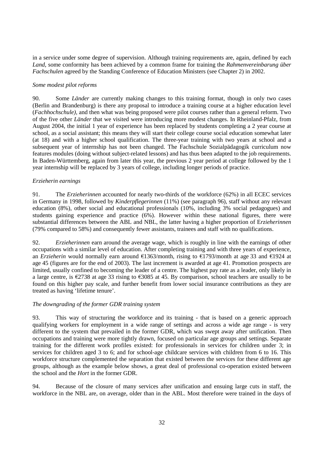in a service under some degree of supervision. Although training requirements are, again, defined by each *Land*, some conformity has been achieved by a common frame for training the *Rahmenvereinbarung über Fachschulen* agreed by the Standing Conference of Education Ministers (see Chapter 2) in 2002.

# *Some modest pilot reforms*

90. Some *Länder* are currently making changes to this training format, though in only two cases (Berlin and Brandenburg) is there any proposal to introduce a training course at a higher education level (*Fachhochschule),* and then what was being proposed were pilot courses rather than a general reform. Two of the five other *Länder* that we visited were introducing more modest changes. In Rheinland-Pfalz, from August 2004, the initial 1 year of experience has been replaced by students completing a 2 year course at school, as a social assistant; this means they will start their college course social education somewhat later (at 18) and with a higher school qualification. The three-year training with two years at school and a subsequent year of internship has not been changed. The Fachschule Sozialpädagogik curriculum now features modules (doing without subject-related lessons) and has thus been adapted to the job requirements. In Baden-Württemberg, again from later this year, the previous 2 year period at college followed by the 1 year internship will be replaced by 3 years of college, including longer periods of practice.

## *Erzieherin earnings*

91. The *Erzieherinnen* accounted for nearly two-thirds of the workforce (62%) in all ECEC services in Germany in 1998, followed by *Kinderpflegerinnen* (11%) (see paragraph 96), staff without any relevant education (8%), other social and educational professionals (10%, including 3% social pedagogues) and students gaining experience and practice (6%). However within these national figures, there were substantial differences between the ABL and NBL, the latter having a higher proportion of E*rzieherinnen* (79% compared to 58%) and consequently fewer assistants, trainees and staff with no qualifications.

92. *Erzieherinnen* earn around the average wage, which is roughly in line with the earnings of other occupations with a similar level of education. After completing training and with three years of experience, an *Erzieherin* would normally earn around €1363/month, rising to €1793/month at age 33 and €1924 at age 45 (figures are for the end of 2003). The last increment is awarded at age 41. Promotion prospects are limited, usually confined to becoming the leader of a centre. The highest pay rate as a leader, only likely in a large centre, is €2738 at age 33 rising to €3085 at 45. By comparison, school teachers are usually to be found on this higher pay scale, and further benefit from lower social insurance contributions as they are treated as having 'lifetime tenure'.

### *The downgrading of the former GDR training system*

93. This way of structuring the workforce and its training - that is based on a generic approach qualifying workers for employment in a wide range of settings and across a wide age range - is very different to the system that prevailed in the former GDR, which was swept away after unification. Then occupations and training were more tightly drawn, focused on particular age groups and settings. Separate training for the different work profiles existed: for professionals in services for children under 3; in services for children aged 3 to 6; and for school-age childcare services with children from 6 to 16. This workforce structure complemented the separation that existed between the services for these different age groups, although as the example below shows, a great deal of professional co-operation existed between the school and the *Hort* in the former GDR.

94. Because of the closure of many services after unification and ensuing large cuts in staff, the workforce in the NBL are, on average, older than in the ABL. Most therefore were trained in the days of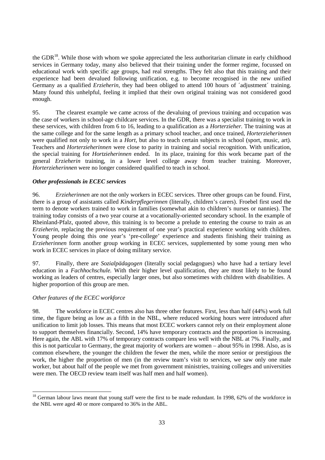the GDR<sup>18</sup>. While those with whom we spoke appreciated the less authoritarian climate in early childhood services in Germany today, many also believed that their training under the former regime, focussed on educational work with specific age groups, had real strengths. They felt also that this training and their experience had been devalued following unification, e.g. to become recognised in the new unified Germany as a qualified *Erzieherin*, they had been obliged to attend 100 hours of 'adjustment' training. Many found this unhelpful, feeling it implied that their own original training was not considered good enough.

95. The clearest example we came across of the devaluing of previous training and occupation was the case of workers in school-age childcare services. In the GDR, there was a specialist training to work in these services, with children from 6 to 16, leading to a qualification as a *Horterzieher.* The training was at the same college and for the same length as a primary school teacher, and once trained, *Horterzieherinnen*  were qualified not only to work in a *Hort,* but also to teach certain subjects in school (sport, music, art). Teachers and *Horterzieherinnen* were close to parity in training and social recognition. With unification, the special training for *Hortzieherinnen* ended. In its place, training for this work became part of the general *Erzieherin* training, in a lower level college away from teacher training. Moreover, *Horterzieherinnen* were no longer considered qualified to teach in school.

## *Other professionals in ECEC services*

96. *Erzieherinnen* are not the only workers in ECEC services. Three other groups can be found. First, there is a group of assistants called *Kinderpflegerinnen* (literally, children's carers). Froebel first used the term to denote workers trained to work in families (somewhat akin to children's nurses or nannies). The training today consists of a two year course at a vocationally-oriented secondary school. In the example of Rheinland-Pfalz, quoted above, this training is to become a prelude to entering the course to train as an *Erzieherin*, replacing the previous requirement of one year's practical experience working with children. Young people doing this one year's 'pre-college' experience and students finishing their training as *Erzieherinnen* form another group working in ECEC services, supplemented by some young men who work in ECEC services in place of doing military service.

97. Finally, there are *Sozialpädagogen* (literally social pedagogues) who have had a tertiary level education in a *Fachhochschule.* With their higher level qualification, they are most likely to be found working as leaders of centres, especially larger ones, but also sometimes with children with disabilities. A higher proportion of this group are men.

# *Other features of the ECEC workforce*

98. The workforce in ECEC centres also has three other features. First, less than half (44%) work full time, the figure being as low as a fifth in the NBL, where reduced working hours were introduced after unification to limit job losses. This means that most ECEC workers cannot rely on their employment alone to support themselves financially. Second, 14% have temporary contracts and the proportion is increasing. Here again, the ABL with 17% of temporary contracts compare less well with the NBL at 7%. Finally, and this is not particular to Germany, the great majority of workers are women – about 95% in 1998. Also, as is common elsewhere, the younger the children the fewer the men, while the more senior or prestigious the work, the higher the proportion of men (in the review team's visit to services, we saw only one male worker, but about half of the people we met from government ministries, training colleges and universities were men. The OECD review team itself was half men and half women).

 $18$  German labour laws meant that young staff were the first to be made redundant. In 1998, 62% of the workforce in the NBL were aged 40 or more compared to 36% in the ABL.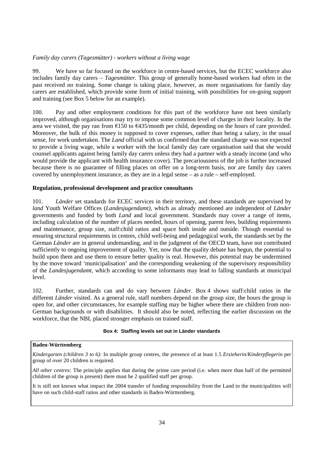# *Family day carers (Tagesmütter) - workers without a living wage*

99. We have so far focused on the workforce in centre-based services, but the ECEC workforce also includes family day carers – *Tagesmütter.* This group of generally home-based workers had often in the past received no training. Some change is taking place, however, as more organisations for family day carers are established, which provide some form of initial training, with possibilities for on-going support and training (see Box 5 below for an example).

100. Pay and other employment conditions for this part of the workforce have not been similarly improved, although organisations may try to impose some common level of charges in their locality. In the area we visited, the pay ran from €150 to €435/month per child, depending on the hours of care provided. Moreover, the bulk of this money is supposed to cover expenses, rather than being a salary, in the usual sense, for work undertaken. The *Land* official with us confirmed that the standard charge was not expected to provide a living wage, while a worker with the local family day care organisation said that she would counsel applicants against being family day carers unless they had a partner with a steady income (and who would provide the applicant with health insurance cover). The precariousness of the job is further increased because there is no guarantee of filling places on offer on a long-term basis, nor are family day carers covered by unemployment insurance, as they are in a legal sense – as a rule – self-employed.

# **Regulation, professional development and practice consultants**

101. *Länder* set standards for ECEC services in their territory, and these standards are supervised by *land* Youth Welfare Offices (*Landesjugendamt),* which as already mentioned are independent of *Länder* governments and funded by both *Land* and local government. Standards may cover a range of items, including calculation of the number of places needed, hours of opening, parent fees, building requirements and maintenance, group size, staff:child ratios and space both inside and outside. Though essential to ensuring structural requirements in centres, child well-being and pedagogical work, the standards set by the German *Länder* are in general undemanding, and in the judgment of the OECD team, have not contributed sufficiently to ongoing improvement of quality. Yet, now that the quality debate has begun, the potential to build upon them and use them to ensure better quality is real. However, this potential may be undermined by the move toward 'municipalisation' and the corresponding weakening of the supervisory responsibility of the *Landesjugendamt*, which according to some informants may lead to falling standards at municipal level.

102. Further, standards can and do vary between *Länder*. Box 4 shows staff:child ratios in the different *Länder* visited. As a general rule, staff numbers depend on the group size, the hours the group is open for, and other circumstances, for example staffing may be higher where there are children from non-German backgrounds or with disabilities. It should also be noted, reflecting the earlier discussion on the workforce, that the NBL placed stronger emphasis on trained staff.

### **Box 4: Staffing levels set out in Länder standards**

# **Baden-Württemberg**

*Kindergarten (children 3 to 6):* In multiple group centres, the presence of at least 1.5 *Erzieherin/Kinderpflegerin* per group of over 20 children is required.

*All other centres:* The principle applies that during the prime care period (i.e. when more than half of the permitted children of the group is present) there must be 2 qualified staff per group.

It is still not known what impact the 2004 transfer of funding responsibility from the Land to the municipalities will have on such child-staff ratios and other standards in Baden-Württemberg.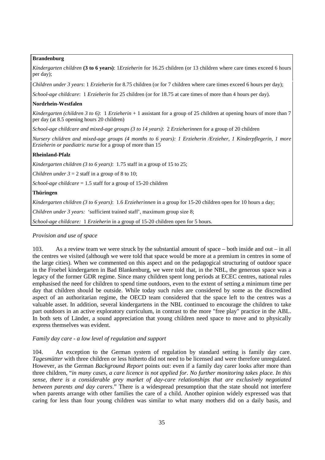### **Brandenburg**

*Kindergarten children* **(3 to 6 years)**: 1*Erzieherin* for 16.25 children (or 13 children where care times exceed 6 hours per day);

*Children under 3 years*: 1 *Erzieherin* for 8.75 children (or for 7 children where care times exceed 6 hours per day);

*School-age childcare*: 1 *Erzieherin* for 25 children (or for 18.75 at care times of more than 4 hours per day).

## **Nordrhein-Westfalen**

*Kindergarten (children 3 to 6)*: 1 *Erzieherin* + 1 assistant for a group of 25 children at opening hours of more than 7 per day (at 8.5 opening hours 20 children)

*School-age childcare and mixed-age groups (3 to 14 years)*: 2 *Erzieherinnen* for a group of 20 children

*Nursery children and mixed-age groups (4 months to 6 years): 1 Erzieherin /Erzieher, 1 Kinderpflegerin, 1 more Erzieherin or paediatric nurse* for a group of more than 15

## **Rheinland-Pfalz**

*Kindergarten children (3 to 6 years)*: 1.75 staff in a group of 15 to 25;

*Children under*  $3 = 2$  staff in a group of 8 to 10;

*School-age childcare* = 1.5 staff for a group of 15-20 children

## **Thüringen**

*Kindergarten children (3 to 6 years)*: 1.6 *Erzieherinnen* in a group for 15-20 children open for 10 hours a day;

*Children under 3 years:* 'sufficient trained staff', maximum group size 8;

*School-age childcare:* 1 *Erzieherin* in a group of 15-20 children open for 5 hours.

# *Provision and use of space*

103. As a review team we were struck by the substantial amount of space – both inside and out – in all the centres we visited (although we were told that space would be more at a premium in centres in some of the large cities). When we commented on this aspect and on the pedagogical structuring of outdoor space in the Froebel kindergarten in Bad Blankenburg, we were told that, in the NBL, the generous space was a legacy of the former GDR regime. Since many children spent long periods at ECEC centres, national rules emphasised the need for children to spend time outdoors, even to the extent of setting a minimum time per day that children should be outside. While today such rules are considered by some as the discredited aspect of an authoritarian regime, the OECD team considered that the space left to the centres was a valuable asset. In addition, several kindergartens in the NBL continued to encourage the children to take part outdoors in an active exploratory curriculum, in contrast to the more "free play" practice in the ABL. In both sets of Länder, a sound appreciation that young children need space to move and to physically express themselves was evident.

### *Family day care - a low level of regulation and support*

104. An exception to the German system of regulation by standard setting is family day care. *Tagesmütter* with three children or less hitherto did not need to be licensed and were therefore unregulated. However, as the German *Background Report* points out: even if a family day carer looks after more than three children, "*in many cases, a care licence is not applied for. No further monitoring takes place. In this sense, there is a considerable grey market of day-care relationships that are exclusively negotiated between parents and day carers*." There is a widespread presumption that the state should not interfere when parents arrange with other families the care of a child. Another opinion widely expressed was that caring for less than four young children was similar to what many mothers did on a daily basis, and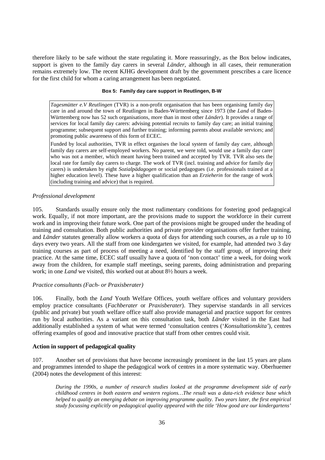therefore likely to be safe without the state regulating it. More reassuringly, as the Box below indicates, support is given to the family day carers in several *Länder*, although in all cases, their remuneration remains extremely low. The recent KJHG development draft by the government prescribes a care licence for the first child for whom a caring arrangement has been negotiated.

#### **Box 5: Family day care support in Reutlingen, B-W**

*Tagesmütter e.V Reutlingen* (TVR) is a non-profit organisation that has been organising family day care in and around the town of Reutlingen in Baden-Württemberg since 1973 (the *Land* of Baden-Württemberg now has 52 such organisations, more than in most other *Länder*). It provides a range of services for local family day carers: advising potential recruits to family day care; an initial training programme; subsequent support and further training; informing parents about available services; and promoting public awareness of this form of ECEC.

Funded by local authorities, TVR in effect organises the local system of family day care, although family day carers are self-employed workers. No parent, we were told, would use a family day carer who was not a member, which meant having been trained and accepted by TVR. TVR also sets the local rate for family day carers to charge. The work of TVR (incl. training and advice for family day carers) is undertaken by eight *Sozialpädagogen* or social pedagogues (i.e. professionals trained at a higher education level). These have a higher qualification than an *Erzieherin* for the range of work (including training and advice) that is required.

### *Professional development*

105. Standards usually ensure only the most rudimentary conditions for fostering good pedagogical work. Equally, if not more important, are the provisions made to support the workforce in their current work and in improving their future work. One part of the provisions might be grouped under the heading of training and consultation. Both public authorities and private provider organisations offer further training, and *Länder* statutes generally allow workers a quota of days for attending such courses, as a rule up to 10 days every two years. All the staff from one kindergarten we visited, for example, had attended two 3 day training courses as part of process of meeting a need, identified by the staff group, of improving their practice. At the same time, ECEC staff usually have a quota of 'non contact' time a week, for doing work away from the children, for example staff meetings, seeing parents, doing administration and preparing work; in one *Land* we visited, this worked out at about 8½ hours a week.

### *Practice consultants (Fach- or Praxisberater)*

106. Finally, both the *Land* Youth Welfare Offices, youth welfare offices and voluntary providers employ practice consultants (*Fachberater* or *Praxisberater*). They supervise standards in all services (public and private) but youth welfare office staff also provide managerial and practice support for centres run by local authorities. As a variant on this consultation task, both *Länder* visited in the East had additionally established a system of what were termed 'consultation centres ('*Konsultationskita'*), centres offering examples of good and innovative practice that staff from other centres could visit.

### **Action in support of pedagogical quality**

107. Another set of provisions that have become increasingly prominent in the last 15 years are plans and programmes intended to shape the pedagogical work of centres in a more systematic way. Oberhuemer (2004) notes the development of this interest:

*During the 1990s, a number of research studies looked at the programme development side of early childhood centres in both eastern and western regions…The result was a data-rich evidence base which helped to qualify an emerging debate on improving programme quality. Two years later, the first empirical study focussing explicitly on pedagogical quality appeared with the title 'How good are our kindergartens'*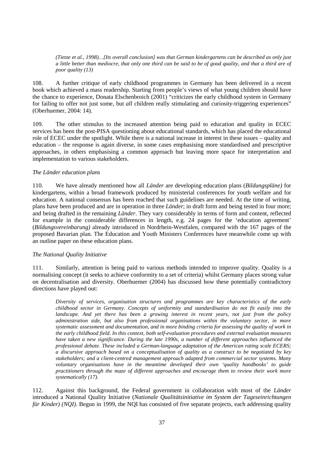*(Tietze et al., 1998)…[Its overall conclusion] was that German kindergartens can be described as only just a little better than mediocre, that only one third can be said to be of good quality, and that a third are of poor quality (13)* 

108. A further critique of early childhood programmes in Germany has been delivered in a recent book which achieved a mass readership. Starting from people's views of what young children should have the chance to experience, Donata Elschenbroich (2001) "criticizes the early childhood system in Germany for failing to offer not just some, but *all* children really stimulating and curiosity-triggering experiences" (Oberhuemer, 2004: 14).

109. The other stimulus to the increased attention being paid to education and quality in ECEC services has been the post-PISA questioning about educational standards, which has placed the educational role of ECEC under the spotlight. While there is a national increase in interest in these issues – quality and education – the response is again diverse, in some cases emphasising more standardised and prescriptive approaches, in others emphasising a common approach but leaving more space for interpretation and implementation to various stakeholders.

### *The Länder education plans*

110. We have already mentioned how all *Länder* are developing education plans (*Bildungspläne)* for kindergartens, within a broad framework produced by ministerial conferences for youth welfare and for education. A national consensus has been reached that such guidelines are needed. At the time of writing, plans have been produced and are in operation in three *Länder*; in draft form and being tested in four more; and being drafted in the remaining *Länder*. They vary considerably in terms of form and content, reflected for example in the considerable differences in length, e.g. 24 pages for the 'education agreement' (*Bildungsvereinbarung)* already introduced in Nordrhein-Westfalen, compared with the 167 pages of the proposed Bavarian plan. The Education and Youth Ministers Conferences have meanwhile come up with an outline paper on these education plans.

# *The National Quality Initiative*

111. Similarly, attention is being paid to various methods intended to improve quality. Quality is a normalising concept (it seeks to achieve conformity to a set of criteria) whilst Germany places strong value on decentralisation and diversity. Oberhuemer (2004) has discussed how these potentially contradictory directions have played out:

*Diversity of services, organisation structures and programmes are key characteristics of the ea*r*ly childhood sector in Germany. Concepts of uniformity and standardisation do not fit easily into the landscape. And yet there has been a growing interest in recent years, not just from the policy administration side, but also from professional organisations within the voluntary sector, in more systematic assessment and documentation, and in more binding criteria for assessing the quality of work in the early childhood field. In this context, both self-evaluation procedures and external evaluation measures have taken a new significance. During the late 1990s, a number of different approaches influenced the professional debate. These included a German-language adaptation of the American rating scale ECERS; a discursive approach based on a conceptualisation of quality as a construct to be negotiated by key stakeholders; and a client-centred management approach adapted from commercial sector systems. Many voluntary organisations have in the meantime developed their own 'quality handbooks' to guide practitioners through the maze of different approaches and encourage them to review their work more systematically (17).* 

112. Against this background, the Federal government in collaboration with most of the *Länder* introduced a National Quality Initiative (*Nationale Qualitätsinitiative im System der Tageseinrichtungen für Kinder) (NOI).* Begun in 1999, the NQI has consisted of five separate projects, each addressing quality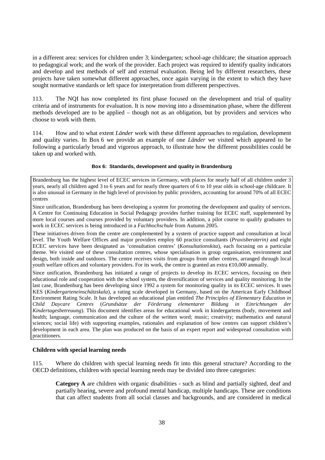in a different area: services for children under 3; kindergarten; school-age childcare; the situation approach to pedagogical work; and the work of the provider. Each project was required to identify quality indicators and develop and test methods of self and external evaluation. Being led by different researchers, these projects have taken somewhat different approaches, once again varying in the extent to which they have sought normative standards or left space for interpretation from different perspectives.

113. The NQI has now completed its first phase focused on the development and trial of quality criteria and of instruments for evaluation. It is now moving into a dissemination phase, where the different methods developed are to be applied – though not as an obligation, but by providers and services who choose to work with them.

114. How and to what extent *Länder* work with these different approaches to regulation, development and quality varies. In Box 6 we provide an example of one *Länder* we visited which appeared to be following a particularly broad and vigorous approach, to illustrate how the different possibilities could be taken up and worked with.

#### **Box 6: Standards, development and quality in Brandenburg**

Brandenburg has the highest level of ECEC services in Germany, with places for nearly half of all children under 3 years, nearly all children aged 3 to 6 years and for nearly three quarters of 6 to 10 year olds in school-age childcare. It is also unusual in Germany in the high level of provision by public providers, accounting for around 70% of all ECEC centres

Since unification, Brandenburg has been developing a system for promoting the development and quality of services. A Centre for Continuing Education in Social Pedagogy provides further training for ECEC staff, supplemented by more local courses and courses provided by voluntary providers. In addition, a pilot course to qualify graduates to work in ECEC services is being introduced in a *Fachhochschule* from Autumn 2005.

These initiatives driven from the centre are complemented by a system of practice support and consultation at local level. The Youth Welfare Offices and major providers employ 60 practice consultants (*Praxisberaterin)* and eight ECEC services have been designated as 'consultation centres' (*Konsultationskita*), each focusing on a particular theme. We visited one of these consultation centres, whose specialisation is group organisation, environment and design, both inside and outdoors. The centre receives visits from groups from other centres, arranged through local youth welfare offices and voluntary providers. For its work, the centre is granted an extra €10,000 annually.

Since unification, Brandenburg has initiated a range of projects to develop its ECEC services, focusing on their educational role and cooperation with the school system, the diversification of services and quality monitoring. In the last case, Brandenburg has been developing since 1992 a system for monitoring quality in its ECEC services. It uses KES (*Kindergarteneinschätzskala*), a rating scale developed in Germany, based on the American Early Childhood Environment Rating Scale. It has developed an educational plan entitled *The Principles of Elementary Education in Child Daycare Centres* (*Grundsätze der Förderung elementarer Bildung in Einrichtungen der Kindertagesbetreuung*). This document identifies areas for educational work in kindergartens (body, movement and health; language, communication and the culture of the written word; music; creativity; mathematics and natural sciences; social life) with supporting examples, rationales and explanation of how centres can support children's development in each area. The plan was produced on the basis of an expert report and widespread consultation with practitioners.

## **Children with special learning needs**

115. Where do children with special learning needs fit into this general structure? According to the OECD definitions, children with special learning needs may be divided into three categories:

**Category A** are children with organic disabilities - such as blind and partially sighted, deaf and partially hearing, severe and profound mental handicap, multiple handicaps. These are conditions that can affect students from all social classes and backgrounds, and are considered in medical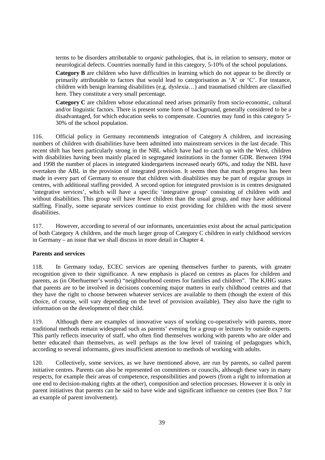terms to be disorders attributable to *organic* pathologies, that is, in relation to sensory, motor or neurological defects. Countries normally fund in this category, 5-10% of the school populations.

**Category B** are children who have difficulties in learning which do not appear to be directly or primarily attributable to factors that would lead to categorisation as 'A' or 'C'. For instance, children with benign learning disabilities (e.g. dyslexia…) and traumatised children are classified here. They constitute a very small percentage.

**Category C** are children whose educational need arises primarily from socio-economic, cultural and/or linguistic factors. There is present some form of background, generally considered to be a disadvantaged, for which education seeks to compensate. Countries may fund in this category 5- 30% of the school population.

116. Official policy in Germany recommends integration of Category A children, and increasing numbers of children with disabilities have been admitted into mainstream services in the last decade. This recent shift has been particularly strong in the NBL which have had to catch up with the West, children with disabilities having been mainly placed in segregated institutions in the former GDR. Between 1994 and 1998 the number of places in integrated kindergartens increased nearly 60%, and today the NBL have overtaken the ABL in the provision of integrated provision. It seems then that much progress has been made in every part of Germany to ensure that children with disabilities may be part of regular groups in centres, with additional staffing provided. A second option for integrated provision is in centres designated 'integrative services', which will have a specific 'integrative group' consisting of children with and without disabilities. This group will have fewer children than the usual group, and may have additional staffing. Finally, some separate services continue to exist providing for children with the most severe disabilities.

117. However, according to several of our informants, uncertainties exist about the actual participation of both Category A children, and the much larger group of Category C children in early childhood services in Germany – an issue that we shall discuss in more detail in Chapter 4.

## **Parents and services**

118. In Germany today, ECEC services are opening themselves further to parents, with greater recognition given to their significance. A new emphasis is placed on centres as places for children and parents, as (in Oberhuemer's words) "neighbourhood centres for families and children". The KJHG states that parents are to be involved in decisions concerning major matters in early childhood centres and that they have the right to choose between whatever services are available to them (though the extent of this choice, of course, will vary depending on the level of provision available). They also have the right to information on the development of their child.

119. Although there are examples of innovative ways of working co-operatively with parents, more traditional methods remain widespread such as parents' evening for a group or lectures by outside experts. This partly reflects insecurity of staff, who often find themselves working with parents who are older and better educated than themselves, as well perhaps as the low level of training of pedagogues which, according to several informants, gives insufficient attention to methods of working with adults.

120. Collectively, some services, as we have mentioned above, are run by parents, so called parent initiative centres. Parents can also be represented on committees or councils, although these vary in many respects, for example their areas of competence, responsibilities and powers (from a right to information at one end to decision-making rights at the other), composition and selection processes. However it is only in parent initiatives that parents can be said to have wide and significant influence on centres (see Box 7 for an example of parent involvement).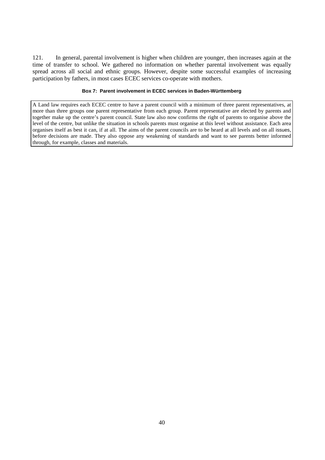121. In general, parental involvement is higher when children are younger, then increases again at the time of transfer to school. We gathered no information on whether parental involvement was equally spread across all social and ethnic groups. However, despite some successful examples of increasing participation by fathers, in most cases ECEC services co-operate with mothers.

#### **Box 7: Parent involvement in ECEC services in Baden-Württemberg**

A Land law requires each ECEC centre to have a parent council with a minimum of three parent representatives, at more than three groups one parent representative from each group. Parent representative are elected by parents and together make up the centre's parent council. State law also now confirms the right of parents to organise above the level of the centre, but unlike the situation in schools parents must organise at this level without assistance. Each area organises itself as best it can, if at all. The aims of the parent councils are to be heard at all levels and on all issues, before decisions are made. They also oppose any weakening of standards and want to see parents better informed through, for example, classes and materials.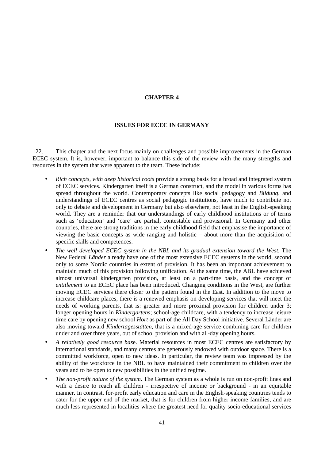# **CHAPTER 4**

## **ISSUES FOR ECEC IN GERMANY**

122. This chapter and the next focus mainly on challenges and possible improvements in the German ECEC system. It is, however, important to balance this side of the review with the many strengths and resources in the system that were apparent to the team. These include:

- *Rich concepts, with deep historical roots* provide a strong basis for a broad and integrated system of ECEC services. Kindergarten itself is a German construct, and the model in various forms has spread throughout the world. Contemporary concepts like social pedagogy and *Bildung*, and understandings of ECEC centres as social pedagogic institutions, have much to contribute not only to debate and development in Germany but also elsewhere, not least in the English-speaking world. They are a reminder that our understandings of early childhood institutions or of terms such as 'education' and 'care' are partial, contestable and provisional. In Germany and other countries, there are strong traditions in the early childhood field that emphasise the importance of viewing the basic concepts as wide ranging and holistic – about more than the acquisition of specific skills and competences.
- *The well developed ECEC system in the NBL and its gradual extension toward the West.* The New Federal *Länder* already have one of the most extensive ECEC systems in the world, second only to some Nordic countries in extent of provision. It has been an important achievement to maintain much of this provision following unification. At the same time, the ABL have achieved almost universal kindergarten provision, at least on a part-time basis, and the concept of *entitlement* to an ECEC place has been introduced. Changing conditions in the West, are further moving ECEC services there closer to the pattern found in the East. In addition to the move to increase childcare places, there is a renewed emphasis on developing services that will meet the needs of working parents, that is: greater and more proximal provision for children under 3; longer opening hours in *Kindergartens*; school-age childcare, with a tendency to increase leisure time care by opening new school *Hort* as part of the All Day School initiative. Several Länder are also moving toward *Kindertagesstätten*, that is a mixed-age service combining care for children under and over three years, out of school provision and with all-day opening hours.
- *A relatively good resource bas*e. Material resources in most ECEC centres are satisfactory by international standards, and many centres are generously endowed with outdoor space. There is a committed workforce, open to new ideas. In particular, the review team was impressed by the ability of the workforce in the NBL to have maintained their commitment to children over the years and to be open to new possibilities in the unified regime.
- *The non-profit nature of the system*. The German system as a whole is run on non-profit lines and with a desire to reach all children - irrespective of income or background - in an equitable manner. In contrast, for-profit early education and care in the English-speaking countries tends to cater for the upper end of the market, that is for children from higher income families, and are much less represented in localities where the greatest need for quality socio-educational services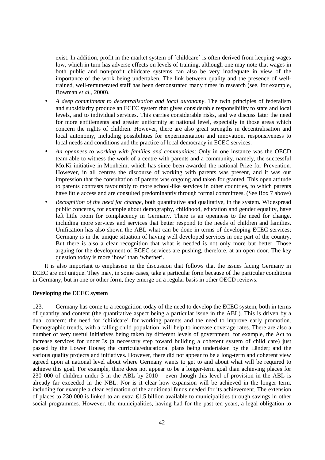exist. In addition, profit in the market system of ´childcare´ is often derived from keeping wages low, which in turn has adverse effects on levels of training, although one may note that wages in both public and non-profit childcare systems can also be very inadequate in view of the importance of the work being undertaken. The link between quality and the presence of welltrained, well-remunerated staff has been demonstrated many times in research (see, for example, Bowman *et al.,* 2000).

- *A deep commitment to decentralisation and local autonomy*. The twin principles of federalism and subsidiarity produce an ECEC system that gives considerable responsibility to state and local levels, and to individual services. This carries considerable risks, and we discuss later the need for more entitlements and greater uniformity at national level, especially in those areas which concern the rights of children. However, there are also great strengths in decentralisation and local autonomy, including possibilities for experimentation and innovation, responsiveness to local needs and conditions and the practice of local democracy in ECEC services.
- *An openness to working with families and communities*: Only in one instance was the OECD team able to witness the work of a centre with parents and a community, namely, the successful Mo.Ki initiative in Monheim, which has since been awarded the national Prize for Prevention. However, in all centres the discourse of working with parents was present, and it was our impression that the consultation of parents was ongoing and taken for granted. This open attitude to parents contrasts favourably to more school-like services in other countries, to which parents have little access and are consulted predominantly through formal committees. (See Box 7 above)
- *Recognition of the need for change*, both quantitative and qualitative, in the system. Widespread public concerns, for example about demography, childhood, education and gender equality, have left little room for complacency in Germany. There is an openness to the need for change, including more services and services that better respond to the needs of children and families. Unification has also shown the ABL what can be done in terms of developing ECEC services; Germany is in the unique situation of having well developed services in one part of the country. But there is also a clear recognition that what is needed is not only more but better. Those arguing for the development of ECEC services are pushing, therefore, at an open door. The key question today is more 'how' than 'whether'.

It is also important to emphasise in the discussion that follows that the issues facing Germany in ECEC are not unique. They may, in some cases, take a particular form because of the particular conditions in Germany, but in one or other form, they emerge on a regular basis in other OECD reviews.

## **Developing the ECEC system**

123. Germany has come to a recognition today of the need to develop the ECEC system, both in terms of quantity and content (the quantitative aspect being a particular issue in the ABL). This is driven by a dual concern: the need for 'childcare' for working parents and the need to improve early promotion. Demographic trends, with a falling child population, will help to increase coverage rates. There are also a number of very useful initiatives being taken by different levels of government, for example, the Act to increase services for under 3s (a necessary step toward building a coherent system of child care) just passed by the Lower House; the curricula/educational plans being undertaken by the Länder; and the various quality projects and initiatives. However, there did not appear to be a long-term and coherent view agreed upon at national level about where Germany wants to get to and about what will be required to achieve this goal. For example, there does not appear to be a longer-term goal than achieving places for 230 000 of children under 3 in the ABL by 2010 – even though this level of provision in the ABL is already far exceeded in the NBL. Nor is it clear how expansion will be achieved in the longer term, including for example a clear estimation of the additional funds needed for its achievement. The extension of places to 230 000 is linked to an extra  $\epsilon$ 1.5 billion available to municipalities through savings in other social programmes. However, the municipalities, having had for the past ten years, a legal obligation to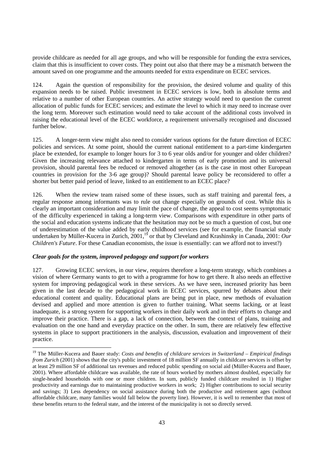provide childcare as needed for all age groups, and who will be responsible for funding the extra services, claim that this is insufficient to cover costs. They point out also that there may be a mismatch between the amount saved on one programme and the amounts needed for extra expenditure on ECEC services.

124. Again the question of responsibility for the provision, the desired volume and quality of this expansion needs to be raised. Public investment in ECEC services is low, both in absolute terms and relative to a number of other European countries. An active strategy would need to question the current allocation of public funds for ECEC services; and estimate the level to which it may need to increase over the long term. Moreover such estimation would need to take account of the additional costs involved in raising the educational level of the ECEC workforce, a requirement universally recognised and discussed further below.

125. A longer-term view might also need to consider various options for the future direction of ECEC policies and services. At some point, should the current national entitlement to a part-time kindergarten place be extended, for example to longer hours for 3 to 6 year olds and/or for younger and older children? Given the increasing relevance attached to kindergarten in terms of early promotion and its universal provision, should parental fees be reduced or removed altogether (as is the case in most other European countries in provision for the 3-6 age group)? Should parental leave policy be reconsidered to offer a shorter but better paid period of leave, linked to an entitlement to an ECEC place?

126. When the review team raised some of these issues, such as staff training and parental fees, a regular response among informants was to rule out change especially on grounds of cost. While this is clearly an important consideration and may limit the pace of change, the appeal to cost seems symptomatic of the difficulty experienced in taking a long-term view. Comparisons with expenditure in other parts of the social and education systems indicate that the hesitation may not be so much a question of cost, but one of underestimation of the value added by early childhood services (see for example, the financial study undertaken by Müller-Kucera in Zurich, 2001,<sup>19</sup> or that by Cleveland and Krashinsky in Canada, 2001: Our *Children's Future*. For these Canadian economists, the issue is essentially: can we afford not to invest?)

### *Clear goals for the system, improved pedagogy and support for workers*

 $\overline{a}$ 

127. Growing ECEC services, in our view, requires therefore a long-term strategy, which combines a vision of where Germany wants to get to with a programme for how to get there. It also needs an effective system for improving pedagogical work in these services. As we have seen, increased priority has been given in the last decade to the pedagogical work in ECEC services, spurred by debates about their educational content and quality. Educational plans are being put in place, new methods of evaluation devised and applied and more attention is given to further training. What seems lacking, or at least inadequate, is a strong system for supporting workers in their daily work and in their efforts to change and improve their practice. There is a gap, a lack of connection, between the context of plans, training and evaluation on the one hand and everyday practice on the other. In sum, there are relatively few effective systems in place to support practitioners in the analysis, discussion, evaluation and improvement of their practice.

<sup>19</sup> The Müller-Kucera and Bauer study: *Costs and benefits of childcare services in Switzerland – Empirical findings from Zurich* (2001) shows that the city's public investment of 18 million SF annually in childcare services is offset by at least 29 million SF of additional tax revenues and reduced public spending on social aid (Müller-Kucera and Bauer, 2001). Where affordable childcare was available, the rate of hours worked by mothers almost doubled, especially for single-headed households with one or more children. In sum, publicly funded childcare resulted in 1) Higher productivity and earnings due to maintaining productive workers in work; 2) Higher contributions to social security and savings; 3) Less dependency on social assistance during both the productive and retirement ages (without affordable childcare, many families would fall below the poverty line). However, it is well to remember that most of these benefits return to the federal state, and the interest of the municipality is not so directly served.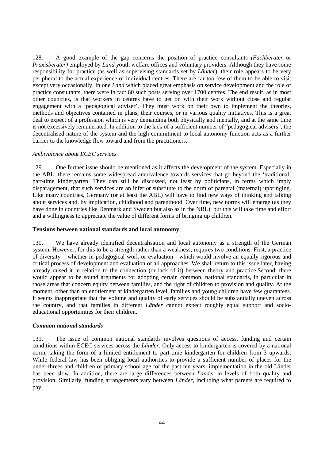128. A good example of the gap concerns the position of practice consultants *(Fachberater* or *Praxisberater)* employed by *Land* youth welfare offices and voluntary providers. Although they have some responsibility for practice (as well as supervising standards set by *Länder*), their role appears to be very peripheral to the actual experience of individual centres. There are far too few of them to be able to visit except very occasionally. In one *Land* which placed great emphasis on service development and the role of practice consultants, there were in fact 60 such posts serving over 1700 centres. The end result, as in most other countries, is that workers in centres have to get on with their work without close and regular engagement with a 'pedagogical adviser'. They must work on their own to implement the theories, methods and objectives contained in plans, their courses, or in various quality initiatives. This is a great deal to expect of a profession which is very demanding both physically and mentally, and at the same time is not excessively remunerated. In addition to the lack of a sufficient number of "pedagogical advisers", the decentralised nature of the system and the high commitment to local autonomy function acts as a further barrier to the knowledge flow toward and from the practitioners.

### *Ambivalence about ECEC services*

129. One further issue should be mentioned as it affects the development of the system. Especially in the ABL, there remains some widespread ambivalence towards services that go beyond the 'traditional' part-time kindergarten. They can still be discussed, not least by politicians, in terms which imply disparagement, that such services are an inferior substitute to the norm of parental (maternal) upbringing. Like many countries, Germany (or at least the ABL) will have to find new ways of thinking and talking about services and, by implication, childhood and parenthood. Over time, new norms will emerge (as they have done in countries like Denmark and Sweden but also as in the NBL); but this will take time and effort and a willingness to appreciate the value of different forms of bringing up children.

#### **Tensions between national standards and local autonomy**

130. We have already identified decentralisation and local autonomy as a strength of the German system. However, for this to be a strength rather than a weakness, requires two conditions. First, a practice of diversity – whether in pedagogical work or evaluation - which would involve an equally rigorous and critical process of development and evaluation of all approaches. We shall return to this issue later, having already raised it in relation to the connection (or lack of it) between theory and practice.Second, there would appear to be sound arguments for adopting certain common, national standards, in particular in those areas that concern equity between families, and the right of children to provision and quality. At the moment, other than an entitlement at kindergarten level, families and young children have few guarantees. It seems inappropriate that the volume and quality of early services should be substantially uneven across the country, and that families in different *Länder* cannot expect roughly equal support and socioeducational opportunities for their children.

## *Common national standards*

131. The issue of common national standards involves questions of access, funding and certain conditions within ECEC services across the *Länder*. Only access to kindergarten is covered by a national norm, taking the form of a limited entitlement to part-time kindergarten for children from 3 upwards. While federal law has been obliging local authorities to provide a sufficient number of places for the under-threes and children of primary school age for the past ten years, implementation in the old Länder has been slow. In addition, there are large differences between *Länder* in levels of both quality and provision. Similarly, funding arrangements vary between *Länder*, including what parents are required to pay.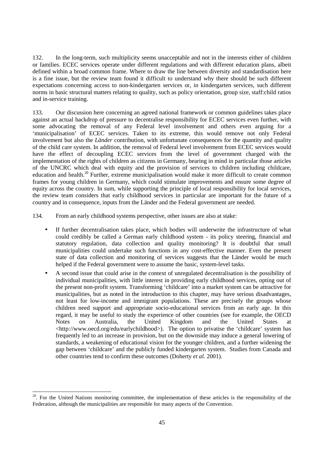132. In the long-term, such multiplicity seems unacceptable and not in the interests either of children or families. ECEC services operate under different regulations and with different education plans, albeit defined within a broad common frame. Where to draw the line between diversity and standardisation here is a fine issue, but the review team found it difficult to understand why there should be such different expectations concerning access to non-kindergarten services or, in kindergarten services, such different norms in basic structural matters relating to quality, such as policy orientation, group size, staff:child ratios and in-service training.

133. Our discussion here concerning an agreed national framework or common guidelines takes place against an actual backdrop of pressure to decentralise responsibility for ECEC services even further, with some advocating the removal of any Federal level involvement and others even arguing for a 'municipalisation' of ECEC services. Taken to its extreme, this would remove not only Federal involvement but also the *Länder* contribution, with unfortunate consequences for the quantity and quality of the child care system. In addition, the removal of Federal level involvement from ECEC services would have the effect of decoupling ECEC services from the level of government charged with the implementation of the rights of children as citizens in Germany, bearing in mind in particular those articles of the UNCRC which deal with equity and the provision of services to children including childcare, education and health.<sup>20</sup> Further, extreme municipalisation would make it more difficult to create common frames for young children in Germany, which could stimulate improvements and ensure some degree of equity across the country. In sum, while supporting the principle of local responsibility for local services, the review team considers that early childhood services in particular are important for the future of a country and in consequence, inputs from the Länder and the Federal government are needed.

134. From an early childhood systems perspective, other issues are also at stake:

- If further decentralisation takes place, which bodies will underwrite the infrastructure of what could credibly be called a German early childhood system - its policy steering, financial and statutory regulation, data collection and quality monitoring? It is doubtful that small municipalities could undertake such functions in any cost-effective manner. Even the present state of data collection and monitoring of services suggests that the Länder would be much helped if the Federal government were to assume the basic, system-level tasks.
- A second issue that could arise in the context of unregulated decentralisation is the possibility of individual municipalities, with little interest in providing early childhood services, opting out of the present non-profit system. Transforming 'childcare' into a market system can be attractive for municipalities, but as noted in the introduction to this chapter, may have serious disadvantages, not least for low-income and immigrant populations. These are precisely the groups whose children need support and appropriate socio-educational services from an early age. In this regard, it may be useful to study the experience of other countries (see for example, the OECD Notes on Australia, the United Kingdom and the United States at <http://www.oecd.org/edu/earlychildhood>). The option to privatise the 'childcare' system has frequently led to an increase in provision, but on the downside may induce a general lowering of standards, a weakening of educational vision for the younger children, and a further widening the gap between 'childcare' and the publicly funded kindergarten system. Studies from Canada and other countries tend to confirm these outcomes (Doherty *et al*. 2001).

<sup>&</sup>lt;sup>20</sup>. For the United Nations monitoring committee, the implementation of these articles is the responsibility of the Federation, although the municipalities are responsible for many aspects of the Convention.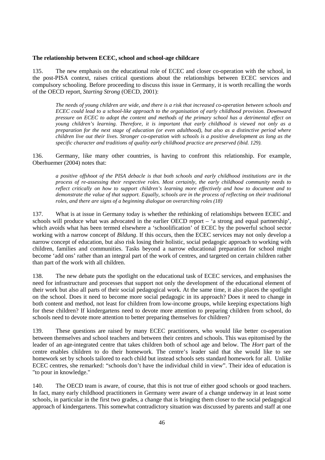### **The relationship between ECEC, school and school-age childcare**

135. The new emphasis on the educational role of ECEC and closer co-operation with the school, in the post-PISA context, raises critical questions about the relationships between ECEC services and compulsory schooling. Before proceeding to discuss this issue in Germany, it is worth recalling the words of the OECD report, *Starting Strong* (OECD, 2001):

*The needs of young children are wide, and there is a risk that increased co-operation between schools and ECEC could lead to a school-like approach to the organisation of early childhood provision. Downward pressure on ECEC to adopt the content and methods of the primary school has a detrimental effect on young children's learning. Therefore, it is important that early childhood is viewed not only as a preparation for the next stage of education (or even adulthood), but also as a distinctive period where children live out their lives. Stronger co-operation with schools is a positive development as long as the specific character and traditions of quality early childhood practice are preserved (ibid. 129).* 

136. Germany, like many other countries, is having to confront this relationship. For example, Oberhuemer (2004) notes that:

*a positive offshoot of the PISA debacle is that both schools and early childhood institutions are in the process of re-assessing their respective roles. Most certainly, the early childhood community needs to reflect critically on how to support children's learning more effectively and how to document and to demonstrate the value of that support. Equally, schools are in the process of reflecting on their traditional roles, and there are signs of a beginning dialogue on overarching roles (18)* 

137. What is at issue in Germany today is whether the rethinking of relationships between ECEC and schools will produce what was advocated in the earlier OECD report – 'a strong and equal partnership', which avoids what has been termed elsewhere a 'schoolification' of ECEC by the powerful school sector working with a narrow concept of *Bildung*. If this occurs, then the ECEC services may not only develop a narrow concept of education, but also risk losing their holistic, social pedagogic approach to working with children, families and communities. Tasks beyond a narrow educational preparation for school might become 'add ons' rather than an integral part of the work of centres, and targeted on certain children rather than part of the work with all children.

138. The new debate puts the spotlight on the educational task of ECEC services, and emphasises the need for infrastructure and processes that support not only the development of the educational element of their work but also all parts of their social pedagogical work. At the same time, it also places the spotlight on the school. Does it need to become more social pedagogic in its approach? Does it need to change in both content and method, not least for children from low-income groups, while keeping expectations high for these children? If kindergartens need to devote more attention to preparing children from school, do schools need to devote more attention to better preparing themselves for children?

139. These questions are raised by many ECEC practitioners, who would like better co-operation between themselves and school teachers and between their centres and schools. This was epitomised by the leader of an age-integrated centre that takes children both of school age and below. The *Hort* part of the centre enables children to do their homework. The centre's leader said that she would like to see homework set by schools tailored to each child but instead schools sets standard homework for all. Unlike ECEC centres, she remarked: "schools don't have the individual child in view". Their idea of education is "to pour in knowledge."

140. The OECD team is aware, of course, that this is not true of either good schools or good teachers. In fact, many early childhood practitioners in Germany were aware of a change underway in at least some schools, in particular in the first two grades, a change that is bringing them closer to the social pedagogical approach of kindergartens. This somewhat contradictory situation was discussed by parents and staff at one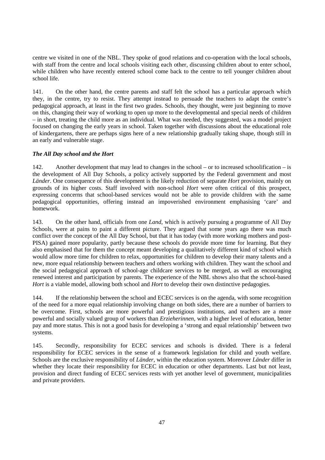centre we visited in one of the NBL. They spoke of good relations and co-operation with the local schools, with staff from the centre and local schools visiting each other, discussing children about to enter school, while children who have recently entered school come back to the centre to tell younger children about school life.

141. On the other hand, the centre parents and staff felt the school has a particular approach which they, in the centre, try to resist. They attempt instead to persuade the teachers to adapt the centre's pedagogical approach, at least in the first two grades. Schools, they thought, were just beginning to move on this, changing their way of working to open up more to the developmental and special needs of children – in short, treating the child more as an individual. What was needed, they suggested, was a model project focused on changing the early years in school. Taken together with discussions about the educational role of kindergartens, there are perhaps signs here of a new relationship gradually taking shape, though still in an early and vulnerable stage.

# *The All Day school and the Hort*

142. Another development that may lead to changes in the school – or to increased schoolification – is the development of All Day Schools, a policy actively supported by the Federal government and most *Länder*. One consequence of this development is the likely reduction of separate *Hort* provision, mainly on grounds of its higher costs. Staff involved with non-school *Hort* were often critical of this prospect, expressing concerns that school-based services would not be able to provide children with the same pedagogical opportunities, offering instead an impoverished environment emphasising 'care' and homework.

143. On the other hand, officials from one *Land*, which is actively pursuing a programme of All Day Schools, were at pains to paint a different picture. They argued that some years ago there was much conflict over the concept of the All Day School, but that it has today (with more working mothers and post-PISA) gained more popularity, partly because these schools do provide more time for learning. But they also emphasised that for them the concept meant developing a qualitatively different kind of school which would allow more time for children to relax, opportunities for children to develop their many talents and a new, more equal relationship between teachers and others working with children. They want the school and the social pedagogical approach of school-age childcare services to be merged, as well as encouraging renewed interest and participation by parents. The experience of the NBL shows also that the school-based *Hort* is a viable model, allowing both school and *Hort* to develop their own distinctive pedagogies.

144. If the relationship between the school and ECEC services is on the agenda, with some recognition of the need for a more equal relationship involving change on both sides, there are a number of barriers to be overcome. First, schools are more powerful and prestigious institutions, and teachers are a more powerful and socially valued group of workers than *Erzieherinnen*, with a higher level of education, better pay and more status. This is not a good basis for developing a 'strong and equal relationship' between two systems.

145. Secondly, responsibility for ECEC services and schools is divided. There is a federal responsibility for ECEC services in the sense of a framework legislation for child and youth welfare. Schools are the exclusive responsibility of *Länder*, within the education system. Moreover *Länder* differ in whether they locate their responsibility for ECEC in education or other departments. Last but not least, provision and direct funding of ECEC services rests with yet another level of government, municipalities and private providers.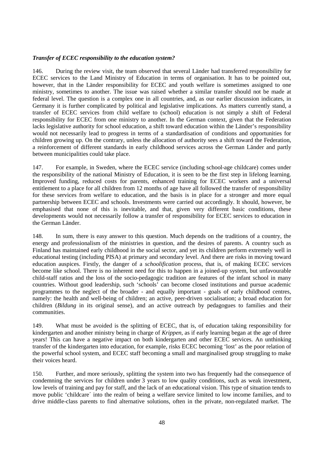## *Transfer of ECEC responsibility to the education system?*

146. During the review visit, the team observed that several Länder had transferred responsibility for ECEC services to the Land Ministry of Education in terms of organisation. It has to be pointed out, however, that in the Länder responsibility for ECEC and youth welfare is sometimes assigned to one ministry, sometimes to another. The issue was raised whether a similar transfer should not be made at federal level. The question is a complex one in all countries, and, as our earlier discussion indicates, in Germany it is further complicated by political and legislative implications. As matters currently stand, a transfer of ECEC services from child welfare to (school) education is not simply a shift of Federal responsibility for ECEC from one ministry to another. In the German context, given that the Federation lacks legislative authority for school education, a shift toward education within the Länder's responsibility would not necessarily lead to progress in terms of a standardisation of conditions and opportunities for children growing up. On the contrary, unless the allocation of authority sees a shift toward the Federation, a reinforcement of different standards in early childhood services across the German Länder and partly between municipalities could take place.

147. For example, in Sweden, where the ECEC service (including school-age childcare) comes under the responsibility of the national Ministry of Education, it is seen to be the first step in lifelong learning. Improved funding, reduced costs for parents, enhanced training for ECEC workers and a universal entitlement to a place for all children from 12 months of age have all followed the transfer of responsibility for these services from welfare to education, and the basis is in place for a stronger and more equal partnership between ECEC and schools. Investments were carried out accordingly. It should, however, be emphasised that none of this is inevitable, and that, given very different basic conditions, these developments would not necessarily follow a transfer of responsibility for ECEC services to education in the German Länder.

148. In sum, there is easy answer to this question. Much depends on the traditions of a country, the energy and professionalism of the ministries in question, and the desires of parents. A country such as Finland has maintained early childhood in the social sector, and yet its children perform extremely well in educational testing (including PISA) at primary and secondary level. And there are risks in moving toward education auspices. Firstly, the danger of a *schoolification* process, that is, of making ECEC services become like school. There is no inherent need for this to happen in a joined-up system, but unfavourable child-staff ratios and the loss of the socio-pedagogic tradition are features of the infant school in many countries. Without good leadership, such 'schools' can become closed institutions and pursue academic programmes to the neglect of the broader - and equally important - goals of early childhood centres, namely: the health and well-being of children; an active, peer-driven socialisation; a broad education for children (*Bildung* in its original sense), and an active outreach by pedagogues to families and their communities.

149. What must be avoided is the splitting of ECEC, that is, of education taking responsibility for kindergarten and another ministry being in charge of *Krippen*, as if early learning began at the age of three years! This can have a negative impact on both kindergarten and other ECEC services. An unthinking transfer of the kindergarten into education, for example, risks ECEC becoming 'lost' as the poor relation of the powerful school system, and ECEC staff becoming a small and marginalised group struggling to make their voices heard.

150. Further, and more seriously, splitting the system into two has frequently had the consequence of condemning the services for children under 3 years to low quality conditions, such as weak investment, low levels of training and pay for staff, and the lack of an educational vision. This type of situation tends to move public 'childcare´ into the realm of being a welfare service limited to low income families, and to drive middle-class parents to find alternative solutions, often in the private, non-regulated market. The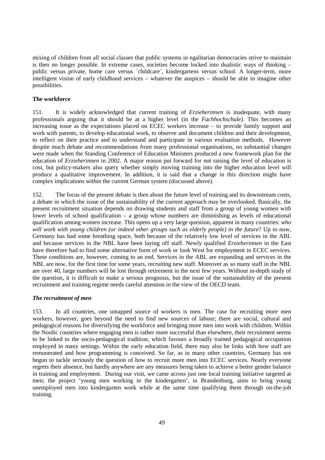mixing of children from all social classes that public systems in egalitarian democracies strive to maintain is then no longer possible. In extreme cases, societies become locked into dualistic ways of thinking – public versus private, home care versus ´childcare´, kindergartens versus school. A longer-term, more intelligent vision of early childhood services – whatever the auspices – should be able to imagine other possibilities.

## **The workforce**

151. It is widely acknowledged that current training of *Erzieherinnen* is inadequate, with many professionals arguing that it should be at a higher level (in the *Fachhochschule).* This becomes an increasing issue as the expectations placed on ECEC workers increase – to provide family support and work with parents, to develop educational work, to observe and document children and their development, to reflect on their practice and to understand and participate in various evaluation methods. However despite much debate and recommendations from many professional organisations, no substantial changes were made when the Standing Conference of Education Ministers produced a new framework plan for the education of *Erzieherinnen* in 2002. A major reason put forward for not raising the level of education is cost, but policy-makers also query whether simply moving training into the higher education level will produce a qualitative improvement. In addition, it is said that a change in this direction might have complex implications within the current German system (discussed above).

152. The focus of the present debate is then about the future level of training and its downstream costs, a debate in which the issue of the sustainability of the current approach may be overlooked. Basically, the present recruitment situation depends on drawing students and staff from a group of young women with lower levels of school qualification – a group whose numbers are diminishing as levels of educational qualification among women increase. This opens up a very large question, apparent in many countries: *who*  will work with young children (or indeed other groups such as elderly people) in the future? Up to now, Germany has had some breathing space, both because of the relatively low level of services in the ABL and because services in the NBL have been laying off staff. Newly qualified *Erzieherinnen* in the East have therefore had to find some alternative form of work or look West for employment in ECEC services. These conditions are, however, coming to an end. Services in the ABL are expanding and services in the NBL are now, for the first time for some years, recruiting new staff. Moreover as so many staff in the NBL are over 40, large numbers will be lost through retirement in the next few years. Without in-depth study of the question, it is difficult to make a serious prognosis, but the issue of the sustainability of the present recruitment and training regime needs careful attention in the view of the OECD team.

### *The recruitment of men*

153. In all countries, one untapped source of workers is men. The case for recruiting more men workers, however, goes beyond the need to find new sources of labour; there are social, cultural and pedagogical reasons for diversifying the workforce and bringing more men into work with children. Within the Nordic countries where engaging men is rather more successful than elsewhere, their recruitment seems to be linked to the socio-pedagogical tradition, which favours a broadly trained pedagogical occupation employed in many settings. Within the early education field, there may also be links with how staff are remunerated and how programming is conceived. So far, as in many other countries, Germany has not begun to tackle seriously the question of how to recruit more men into ECEC services. Nearly everyone regrets their absence, but hardly anywhere are any measures being taken to achieve a better gender balance in training and employment. During our visit, we came across just one local training initiative targeted at men; the project 'young men working in the kindergarten', in Brandenburg, aims to bring young unemployed men into kindergarten work while at the same time qualifying them through on-the-job training.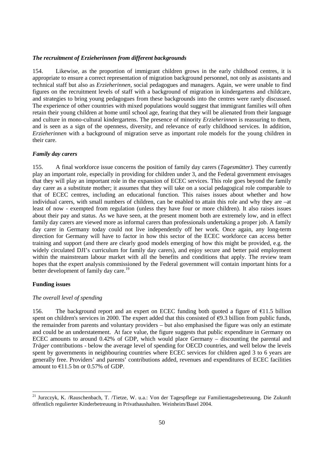### *The recruitment of Erzieherinnen from different backgrounds*

154. Likewise, as the proportion of immigrant children grows in the early childhood centres, it is appropriate to ensure a correct representation of migration background personnel, not only as assistants and technical staff but also as *Erzieherinnen,* social pedagogues and managers. Again, we were unable to find figures on the recruitment levels of staff with a background of migration in kindergartens and childcare, and strategies to bring young pedagogues from these backgrounds into the centres were rarely discussed. The experience of other countries with mixed populations would suggest that immigrant families will often retain their young children at home until school age, fearing that they will be alienated from their language and culture in mono-cultural kindergartens. The presence of minority *Erzieherinnen* is reassuring to them, and is seen as a sign of the openness, diversity, and relevance of early childhood services. In addition, *Erzieherinnen* with a background of migration serve as important role models for the young children in their care.

### *Family day carers*

155. A final workforce issue concerns the position of family day carers (*Tagesmütter).* They currently play an important role, especially in providing for children under 3, and the Federal government envisages that they will play an important role in the expansion of ECEC services. This role goes beyond the family day carer as a substitute mother; it assumes that they will take on a social pedagogical role comparable to that of ECEC centres, including an educational function. This raises issues about whether and how individual carers, with small numbers of children, can be enabled to attain this role and why they are –at least of now - exempted from regulation (unless they have four or more children). It also raises issues about their pay and status. As we have seen, at the present moment both are extremely low, and in effect family day carers are viewed more as informal carers than professionals undertaking a proper job. A family day carer in Germany today could not live independently off her work. Once again, any long-term direction for Germany will have to factor in how this sector of the ECEC workforce can access better training and support (and there are clearly good models emerging of how this might be provided, e.g. the widely circulated DJI's curriculum for family day carers), and enjoy secure and better paid employment within the mainstream labour market with all the benefits and conditions that apply. The review team hopes that the expert analysis commissioned by the Federal government will contain important hints for a better development of family day care.<sup>19</sup>

## **Funding issues**

### *The overall level of spending*

156. The background report and an expert on ECEC funding both quoted a figure of  $\epsilon$ 11.5 billion spent on children's services in 2000. The expert added that this consisted of  $\epsilon$ 9.3 billion from public funds, the remainder from parents and voluntary providers – but also emphasised the figure was only an estimate and could be an understatement. At face value, the figure suggests that public expenditure in Germany on ECEC amounts to around 0.42% of GDP, which would place Germany – discounting the parental and *Träger* contributions - below the average level of spending for OECD countries, and well below the levels spent by governments in neighbouring countries where ECEC services for children aged 3 to 6 years are generally free. Providers' and parents' contributions added, revenues and expenditures of ECEC facilities amount to  $\epsilon$ 11.5 bn or 0.57% of GDP.

<sup>&</sup>lt;sup>21</sup> Jurzczyk, K. /Rauschenbach, T. /Tietze, W. u.a.: Von der Tagespflege zur Familientagesbetreuung. Die Zukunft öffentlich regulierter Kinderbetreuung in Privathaushalten. Weinheim/Basel 2004.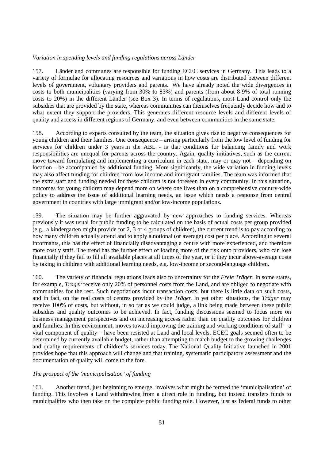# *Variation in spending levels and funding regulations across Länder*

157. Länder and communes are responsible for funding ECEC services in Germany. This leads to a variety of formulae for allocating resources and variations in how costs are distributed between different levels of government, voluntary providers and parents. We have already noted the wide divergences in costs to both municipalities (varying from 30% to 83%) and parents (from about 8-9% of total running costs to 20%) in the different Länder (see Box 3). In terms of regulations, most Land control only the subsidies that are provided by the state, whereas communities can themselves frequently decide how and to what extent they support the providers. This generates different resource levels and different levels of quality and access in different regions of Germany, and even between communities in the same state.

158. According to experts consulted by the team, the situation gives rise to negative consequences for young children and their families. One consequence – arising particularly from the low level of funding for services for children under 3 years in the ABL - is that conditions for balancing family and work responsibilities are unequal for parents across the country. Again, quality initiatives, such as the current move toward formulating and implementing a curriculum in each state, may or may not – depending on location – be accompanied by additional funding. More significantly, the wide variation in funding levels may also affect funding for children from low income and immigrant families. The team was informed that the extra staff and funding needed for these children is not foreseen in every community. In this situation, outcomes for young children may depend more on where one lives than on a comprehensive country-wide policy to address the issue of additional learning needs, an issue which needs a response from central government in countries with large immigrant and/or low-income populations.

159. The situation may be further aggravated by new approaches to funding services. Whereas previously it was usual for public funding to be calculated on the basis of actual costs per group provided (e.g., a kindergarten might provide for 2, 3 or 4 groups of children), the current trend is to pay according to how many children actually attend and to apply a notional (or average) cost per place. According to several informants, this has the effect of financially disadvantaging a centre with more experienced, and therefore more costly staff. The trend has the further effect of loading more of the risk onto providers, who can lose financially if they fail to fill all available places at all times of the year, or if they incur above-average costs by taking in children with additional learning needs, e.g. low-income or second-language children.

160. The variety of financial regulations leads also to uncertainty for the *Freie Träger*. In some states, for example, *Träger* receive only 20% of personnel costs from the Land, and are obliged to negotiate with communities for the rest. Such negotiations incur transaction costs, but there is little data on such costs, and in fact, on the real costs of centres provided by the *Träger*. In yet other situations, the *Träger* may receive 100% of costs, but without, in so far as we could judge, a link being made between these public subsidies and quality outcomes to be achieved. In fact, funding discussions seemed to focus more on business management perspectives and on increasing access rather than on quality outcomes for children and families. In this environment, moves toward improving the training and working conditions of staff – a vital component of quality – have been resisted at Land and local levels. ECEC goals seemed often to be determined by currently available budget, rather than attempting to match budget to the growing challenges and quality requirements of children's services today. The National Quality Initiative launched in 2001 provides hope that this approach will change and that training, systematic participatory assessment and the documentation of quality will come to the fore.

### *The prospect of the 'municipalisation' of funding*

161. Another trend, just beginning to emerge, involves what might be termed the 'municipalisation' of funding. This involves a Land withdrawing from a direct role in funding, but instead transfers funds to municipalities who then take on the complete public funding role. However, just as federal funds to other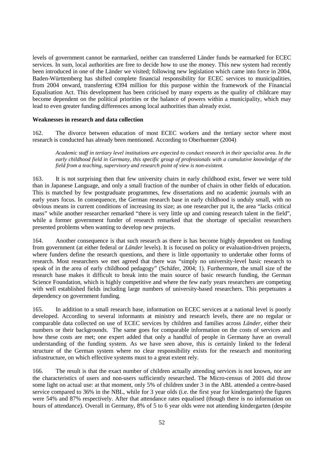levels of government cannot be earmarked, neither can transferred Länder funds be earmarked for ECEC services. In sum, local authorities are free to decide how to use the money. This new system had recently been introduced in one of the Länder we visited; following new legislation which came into force in 2004, Baden-Württemberg has shifted complete financial responsibility for ECEC services to municipalities, from 2004 onward, transferring €394 million for this purpose within the framework of the Financial Equalisation Act. This development has been criticised by many experts as the quality of childcare may become dependent on the political priorities or the balance of powers within a municipality, which may lead to even greater funding differences among local authorities than already exist.

### **Weaknesses in research and data collection**

162. The divorce between education of most ECEC workers and the tertiary sector where most research is conducted has already been mentioned. According to Oberhuemer (2004)

*Academic staff in tertiary level institutions are expected to conduct research in their specialist area. In the early childhood field in Germany, this specific group of professionals with a cumulative knowledge of the field from a teaching, supervisory and research point of view is non-existent.* 

163. It is not surprising then that few university chairs in early childhood exist, fewer we were told than in Japanese Language, and only a small fraction of the number of chairs in other fields of education. This is matched by few postgraduate programmes, few dissertations and no academic journals with an early years focus. In consequence, the German research base in early childhood is unduly small, with no obvious means in current conditions of increasing its size; as one researcher put it, the area "lacks critical mass" while another researcher remarked "there is very little up and coming research talent in the field", while a former government funder of research remarked that the shortage of specialist researchers presented problems when wanting to develop new projects.

164. Another consequence is that such research as there is has become highly dependent on funding from government (at either federal or *Länder* levels). It is focused on policy or evaluation-driven projects, where funders define the research questions, and there is little opportunity to undertake other forms of research. Most researchers we met agreed that there was "simply no university-level basic research to speak of in the area of early childhood pedagogy" (Schäfer, 2004; 1). Furthermore, the small size of the research base makes it difficult to break into the main source of basic research funding, the German Science Foundation, which is highly competitive and where the few early years researchers are competing with well established fields including large numbers of university-based researchers. This perpetuates a dependency on government funding.

165. In addition to a small research base, information on ECEC services at a national level is poorly developed. According to several informants at ministry and research levels, there are no regular or comparable data collected on use of ECEC services by children and families across *Länder*, either their numbers or their backgrounds. The same goes for comparable information on the costs of services and how these costs are met; one expert added that only a handful of people in Germany have an overall understanding of the funding system. As we have seen above, this is certainly linked to the federal structure of the German system where no clear responsibility exists for the research and monitoring infrastructure, on which effective systems must to a great extent rely.

166. The result is that the exact number of children actually attending services is not known, nor are the characteristics of users and non-users sufficiently researched. The Micro-census of 2001 did throw some light on actual use: at that moment, only 5% of children under 3 in the ABL attended a centre-based service compared to 36% in the NBL, while for 3 year olds (i.e. the first year for kindergarten) the figures were 54% and 87% respectively. After that attendance rates equalised (though there is no information on hours of attendance). Overall in Germany, 8% of 5 to 6 year olds were not attending kindergarten (despite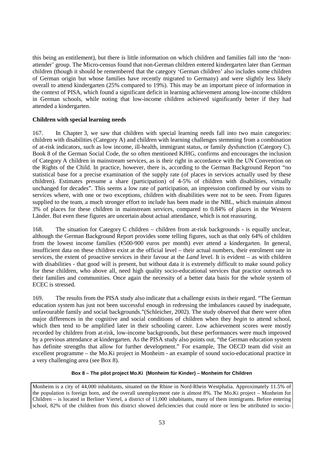this being an entitlement), but there is little information on which children and families fall into the 'nonattender' group. The Micro-census found that non-German children entered kindergarten later than German children (though it should be remembered that the category 'German children' also includes some children of German origin but whose families have recently migrated to Germany) and were slightly less likely overall to attend kindergarten (25% compared to 19%). This may be an important piece of information in the context of PISA, which found a significant deficit in learning achievement among low-income children in German schools, while noting that low-income children achieved significantly better if they had attended a kindergarten.

## **Children with special learning needs**

167. In Chapter 3, we saw that children with special learning needs fall into two main categories: children with disabilities (Category A) and children with learning challenges stemming from a combination of at-risk indicators, such as low income, ill-health, immigrant status, or family dysfunction (Category C). Book 8 of the German Social Code, the so often mentioned KJHG, confirms and encourages the inclusion of Category A children in mainstream services, as is their right in accordance with the UN Convention on the Rights of the Child. In practice, however, there is, according to the German Background Report "no statistical base for a precise examination of the supply rate (of places in services actually used by these children). Estimates presume a share (participation) of 4-5% of children with disabilities, virtually unchanged for decades". This seems a low rate of participation, an impression confirmed by our visits to services where, with one or two exceptions, children with disabilities were not to be seen. From figures supplied to the team, a much stronger effort to include has been made in the NBL, which maintain almost 3% of places for these children in mainstream services, compared to 0.84% of places in the Western Länder. But even these figures are uncertain about actual attendance, which is not reassuring.

168. The situation for Category C children – children from at-risk backgrounds - is equally unclear, although the German Background Report provides some telling figures, such as that only 64% of children from the lowest income families (€500-900 euros per month) ever attend a kindergarten. In general, insufficient data on these children exist at the official level – their actual numbers, their enrolment rate in services, the extent of proactive services in their favour at the *Land* level. It is evident – as with children with disabilities - that good will is present, but without data it is extremely difficult to make sound policy for these children, who above all, need high quality socio-educational services that practice outreach to their families and communities. Once again the necessity of a better data basis for the whole system of ECEC is stressed.

169. The results from the PISA study also indicate that a challenge exists in their regard. "The German education system has just not been successful enough in redressing the imbalances caused by inadequate, unfavourable family and social backgrounds."(Schleicher, 2002). The study observed that there were often major differences in the cognitive and social conditions of children when they *begin* to attend school, which then tend to be amplified later in their schooling career. Low achievement scores were mostly recorded by children from at-risk, low-income backgrounds, but these performances were much improved by a previous attendance at kindergarten. As the PISA study also points out, "the German education system has definite strengths that allow for further development." For example, The OECD team did visit an excellent programme – the Mo.Ki project in Monheim - an example of sound socio-educational practice in a very challenging area (see Box 8).

### **Box 8 – The pilot project Mo.Ki (Monheim für Kinder) – Monheim for Children**

Monheim is a city of 44,000 inhabitants, situated on the Rhine in Nord-Rhein Westphalia. Approximately 11.5% of the population is foreign born, and the overall unemployment rate is almost 8%. The Mo.Ki project – Monheim for Children – is located in Berliner Viertel, a district of 11,000 inhabitants, many of them immigrants. Before entering school, 82% of the children from this district showed deficiencies that could more or less be attributed to socio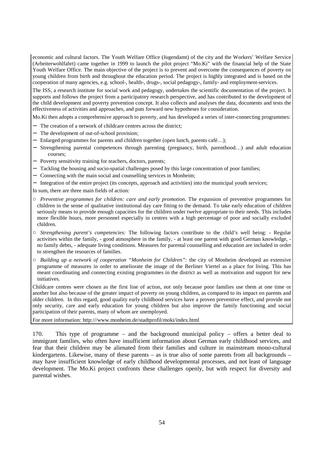economic and cultural factors. The Youth Welfare Office (Jugendamt) of the city and the Workers' Welfare Service (Arbeiterwohlfahrt) came together in 1999 to launch the pilot project "Mo.Ki" with the financial help of the State Youth Welfare Office. The main objective of the project is to prevent and overcome the consequences of poverty on young children from birth and throughout the education period. The project is highly integrated and is based on the cooperation of many agencies, e.g. school-, health-, drugs-, social pedagogy-, family- and employment-services.

The ISS, a research institute for social work and pedagogy, undertakes the scientific documentation of the project. It supports and follows the project from a participatory research perspective, and has contributed to the development of the child development and poverty prevention concept. It also collects and analyses the data, documents and tests the effectiveness of activities and approaches, and puts forward new hypotheses for consideration.

Mo.Ki then adopts a comprehensive approach to poverty, and has developed a series of inter-connecting programmes:

- − The creation of a network of childcare centres across the district;
- − The development of out-of-school provision;
- − Enlarged programmes for parents and children together (open lunch, parents café…);
- − Strengthening parental competences through parenting (pregnancy, birth, parenthood…) and adult education courses;
- − Poverty sensitivity training for teachers, doctors, parents;
- − Tackling the housing and socio-spatial challenges posed by this large concentration of poor families;
- − Connecting with the main social and counselling services in Monheim;
- − Integration of the entire project (its concepts, approach and activities) into the municipal youth services;

In sum, there are three main fields of action:

- *Preventive programmes for children: care and early promotion.* The expansion of preventive programmes for children in the sense of qualitative institutional day care fitting to the demand. To take early education of children seriously means to provide enough capacities for the children under twelve appropriate to their needs. This includes more flexible hours, more personnel especially in centres with a high percentage of poor and socially excluded children.
- *Strengthening parent's competencies:* The following factors contribute to the child's well being: Regular activities within the family, - good atmosphere in the family, - at least one parent with good German knowledge, no family debts, - adequate living conditions. Measures for parental counselling and education are included in order to strengthen the resources of families.
- *Building up a network of cooperation "Monheim for Children":* the city of Monheim developed an extensive programme of measures in order to ameliorate the image of the Berliner Viertel as a place for living. This has meant coordinating and connecting existing programmes in the district as well as motivation and support for new initiatives.

Childcare centres were chosen as the first line of action, not only because poor families use them at one time or another but also because of the greater impact of poverty on young children, as compared to its impact on parents and older children. In this regard, good quality early childhood services have a proven preventive effect, and provide not only security, care and early education for young children but also improve the family functioning and social participation of their parents, many of whom are unemployed.

For more information: http:///www.monheim.de/stadtprofil/moki/index.html

170. This type of programme – and the background municipal policy – offers a better deal to immigrant families, who often have insufficient information about German early childhood services, and fear that their children may be alienated from their families and culture in mainstream mono-cultural kindergartens. Likewise, many of these parents – as is true also of some parents from all backgrounds – may have insufficient knowledge of early childhood developmental processes, and not least of language development. The Mo.Ki project confronts these challenges openly, but with respect for diversity and parental wishes.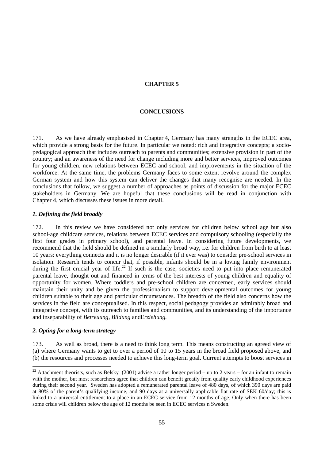# **CHAPTER 5**

# **CONCLUSIONS**

171. As we have already emphasised in Chapter 4, Germany has many strengths in the ECEC area, which provide a strong basis for the future. In particular we noted: rich and integrative concepts; a sociopedagogical approach that includes outreach to parents and communities; extensive provision in part of the country; and an awareness of the need for change including more and better services, improved outcomes for young children, new relations between ECEC and school, and improvements in the situation of the workforce. At the same time, the problems Germany faces to some extent revolve around the complex German system and how this system can deliver the changes that many recognise are needed. In the conclusions that follow, we suggest a number of approaches as points of discussion for the major ECEC stakeholders in Germany. We are hopeful that these conclusions will be read in conjunction with Chapter 4, which discusses these issues in more detail.

## *1. Defining the field broadly*

172. In this review we have considered not only services for children below school age but also school-age childcare services, relations between ECEC services and compulsory schooling (especially the first four grades in primary school), and parental leave. In considering future developments, we recommend that the field should be defined in a similarly broad way, i.e. for children from birth to at least 10 years: everything connects and it is no longer desirable (if it ever was) to consider pre-school services in isolation. Research tends to concur that, if possible, infants should be in a loving family environment during the first crucial year of life.<sup>22</sup> If such is the case, societies need to put into place remunerated parental leave, thought out and financed in terms of the best interests of young children and equality of opportunity for women. Where toddlers and pre-school children are concerned, early services should maintain their unity and be given the professionalism to support developmental outcomes for young children suitable to their age and particular circumstances. The breadth of the field also concerns how the services in the field are conceptualised. In this respect, social pedagogy provides an admirably broad and integrative concept, with its outreach to families and communities, and its understanding of the importance and inseparability of *Betreuung, Bildung* andE*rziehung.*

### *2. Opting for a long-term strategy*

 $\overline{a}$ 

173. As well as broad, there is a need to think long term. This means constructing an agreed view of (a) where Germany wants to get to over a period of 10 to 15 years in the broad field proposed above, and (b) the resources and processes needed to achieve this long-term goal. Current attempts to boost services in

<sup>&</sup>lt;sup>22</sup> Attachment theorists, such as Belsky (2001) advise a rather longer period – up to 2 years – for an infant to remain with the mother, but most researchers agree that children can benefit greatly from quality early childhood experiences during their second year. Sweden has adopted a remunerated parental leave of 480 days, of which 390 days are paid at 80% of the parent's qualifying income, and 90 days at a universally applicable flat rate of SEK 60/day; this is linked to a universal entitlement to a place in an ECEC service from 12 months of age. Only when there has been some crisis will children below the age of 12 months be seen in ECEC services n Sweden.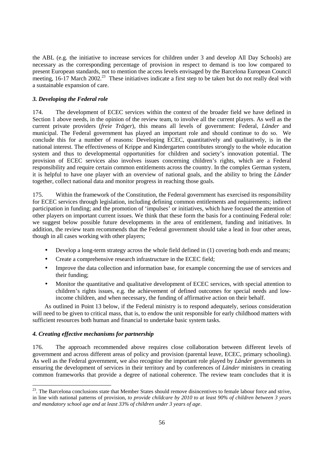the ABL (e.g. the initiative to increase services for children under 3 and develop All Day Schools) are necessary as the corresponding percentage of provision in respect to demand is too low compared to present European standards, not to mention the access levels envisaged by the Barcelona European Council meeting, 16-17 March 2002.<sup>23</sup> These initiatives indicate a first step to be taken but do not really deal with a sustainable expansion of care.

# *3. Developing the Federal role*

174. The development of ECEC services within the context of the broader field we have defined in Section 1 above needs, in the opinion of the review team, to involve all the current players. As well as the current private providers (*freie Träger*), this means all levels of government: Federal, *Länder* and municipal. The Federal government has played an important role and should continue to do so. We conclude this for a number of reasons: Developing ECEC, quantitatively and qualitatively, is in the national interest. The effectiveness of Krippe and Kindergarten contributes strongly to the whole education system and thus to developmental opportunities for children and society's innovation potential. The provision of ECEC services also involves issues concerning children's rights, which are a Federal responsibility and require certain common entitlements across the country. In the complex German system, it is helpful to have one player with an overview of national goals, and the ability to bring the *Länder* together, collect national data and monitor progress in reaching those goals.

175. Within the framework of the Constitution, the Federal government has exercised its responsibility for ECEC services through legislation, including defining common entitlements and requirements; indirect participation in funding; and the promotion of 'impulses' or initiatives, which have focused the attention of other players on important current issues. We think that these form the basis for a continuing Federal role: we suggest below possible future developments in the area of entitlement, funding and initiatives. In addition, the review team recommends that the Federal government should take a lead in four other areas, though in all cases working with other players;

- Develop a long-term strategy across the whole field defined in (1) covering both ends and means;
- Create a comprehensive research infrastructure in the ECEC field;
- Improve the data collection and information base, for example concerning the use of services and their funding;
- Monitor the quantitative and qualitative development of ECEC services, with special attention to children's rights issues, e.g. the achievement of defined outcomes for special needs and lowincome children, and when necessary, the funding of affirmative action on their behalf.

As outlined in Point 13 below, if the Federal ministry is to respond adequately, serious consideration will need to be given to critical mass, that is, to endow the unit responsible for early childhood matters with sufficient resources both human and financial to undertake basic system tasks.

# *4. Creating effective mechanisms for partnership*

 $\overline{a}$ 

176. The approach recommended above requires close collaboration between different levels of government and across different areas of policy and provision (parental leave, ECEC, primary schooling). As well as the Federal government, we also recognise the important role played by *Länder* governments in ensuring the development of services in their territory and by conferences of *Länder* ministers in creating common frameworks that provide a degree of national coherence. The review team concludes that it is

 $2<sup>23</sup>$ . The Barcelona conclusions state that Member States should remove disincentives to female labour force and strive, in line with national patterns of provision*, to provide childcare by 2010 to at least 90% of children between 3 years and mandatory school age and at least 33% of children under 3 years of age*.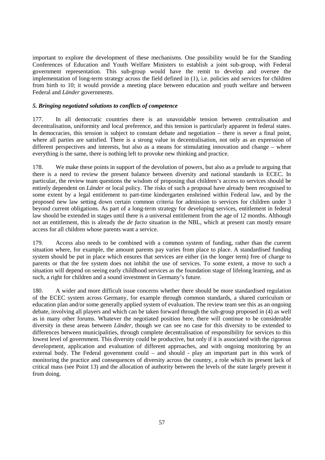important to explore the development of these mechanisms. One possibility would be for the Standing Conferences of Education and Youth Welfare Ministers to establish a joint sub-group, with Federal government representation. This sub-group would have the remit to develop and oversee the implementation of long-term strategy across the field defined in (1), i.e. policies and services for children from birth to 10; it would provide a meeting place between education and youth welfare and between Federal and *Länder* governments.

# *5. Bringing negotiated solutions to conflicts of competence*

177. In all democratic countries there is an unavoidable tension between centralisation and decentralisation, uniformity and local preference, and this tension is particularly apparent in federal states. In democracies, this tension is subject to constant debate and negotiation – there is never a final point, where all parties are satisfied. There is a strong value in decentralisation, not only as an expression of different perspectives and interests, but also as a means for stimulating innovation and change – where everything is the same, there is nothing left to provoke new thinking and practice.

178. We make these points in support of the devolution of powers, but also as a prelude to arguing that there is a need to review the present balance between diversity and national standards in ECEC. In particular, the review team questions the wisdom of proposing that children's access to services should be entirely dependent on *Länder* or local policy. The risks of such a proposal have already been recognised to some extent by a legal entitlement to part-time kindergarten enshrined within Federal law, and by the proposed new law setting down certain common criteria for admission to services for children under 3 beyond current obligations. As part of a long-term strategy for developing services, entitlement in federal law should be extended in stages until there is a universal entitlement from the age of 12 months. Although not an entitlement, this is already the *de facto* situation in the NBL, which at present can mostly ensure access for all children whose parents want a service.

179. Access also needs to be combined with a common system of funding, rather than the current situation where, for example, the amount parents pay varies from place to place. A standardised funding system should be put in place which ensures that services are either (in the longer term) free of charge to parents or that the fee system does not inhibit the use of services. To some extent, a move to such a situation will depend on seeing early childhood services as the foundation stage of lifelong learning, and as such, a right for children and a sound investment in Germany's future.

180. A wider and more difficult issue concerns whether there should be more standardised regulation of the ECEC system across Germany, for example through common standards, a shared curriculum or education plan and/or some generally applied system of evaluation. The review team see this as an ongoing debate, involving all players and which can be taken forward through the sub-group proposed in (4) as well as in many other forums. Whatever the negotiated position here, there will continue to be considerable diversity in these areas between *Länder,* though we can see no case for this diversity to be extended to differences between municipalities, through complete decentralisation of responsibility for services to this lowest level of government. This diversity could be productive, but only if it is associated with the rigorous development, application and evaluation of different approaches, and with ongoing monitoring by an external body. The Federal government could – and should - play an important part in this work of monitoring the practice and consequences of diversity across the country, a role which its present lack of critical mass (see Point 13) and the allocation of authority between the levels of the state largely prevent it from doing.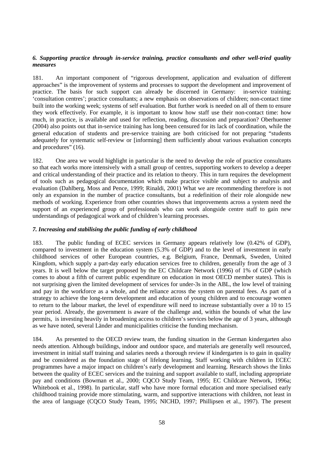# *6. Supporting practice through in-service training, practice consultants and other well-tried quality measures*

181. An important component of "rigorous development, application and evaluation of different approaches" is the improvement of systems and processes to support the development and improvement of practice. The basis for such support can already be discerned in Germany: in-service training; 'consultation centres'; practice consultants; a new emphasis on observations of children; non-contact time built into the working week; systems of self evaluation. But further work is needed on all of them to ensure they work effectively. For example, it is important to know how staff use their non-contact time: how much, in practice, is available and used for reflection, reading, discussion and preparation? Oberhuemer (2004) also points out that in-service training has long been censured for its lack of coordination, while the general education of students and pre-service training are both criticised for not preparing "students adequately for systematic self-review or [informing] them sufficiently about various evaluation concepts and procedures" (16).

182. One area we would highlight in particular is the need to develop the role of practice consultants so that each works more intensively with a small group of centres, supporting workers to develop a deeper and critical understanding of their practice and its relation to theory. This in turn requires the development of tools such as pedagogical documentation which make practice visible and subject to analysis and evaluation (Dahlberg, Moss and Pence, 1999; Rinaldi, 2001) What we are recommending therefore is not only an expansion in the number of practice consultants, but a redefinition of their role alongside new methods of working. Experience from other countries shows that improvements across a system need the support of an experienced group of professionals who can work alongside centre staff to gain new understandings of pedagogical work and of children's learning processes.

# *7. Increasing and stabilising the public funding of early childhood*

183. The public funding of ECEC services in Germany appears relatively low (0.42% of GDP), compared to investment in the education system (5.3% of GDP) and to the level of investment in early childhood services of other European countries, e.g. Belgium, France, Denmark, Sweden, United Kingdom, which supply a part-day early education services free to children, generally from the age of 3 years. It is well below the target proposed by the EC Childcare Network (1996) of 1% of GDP (which comes to about a fifth of current public expenditure on education in most OECD member states). This is not surprising given the limited development of services for under-3s in the ABL, the low level of training and pay in the workforce as a whole, and the reliance across the system on parental fees. As part of a strategy to achieve the long-term development and education of young children and to encourage women to return to the labour market, the level of expenditure will need to increase substantially over a 10 to 15 year period. Already, the government is aware of the challenge and, within the bounds of what the law permits, is investing heavily in broadening access to children's services below the age of 3 years, although as we have noted, several Länder and municipalities criticise the funding mechanism.

184. As presented to the OECD review team, the funding situation in the German kindergarten also needs attention. Although buildings, indoor and outdoor space, and materials are generally well resourced, investment in initial staff training and salaries needs a thorough review if kindergarten is to gain in quality and be considered as the foundation stage of lifelong learning. Staff working with children in ECEC programmes have a major impact on children's early development and learning. Research shows the links between the quality of ECEC services and the training and support available to staff, including appropriate pay and conditions (Bowman et al., 2000; CQCO Study Team, 1995; EC Childcare Network, 1996a; Whitebook et al., 1998). In particular, staff who have more formal education and more specialised early childhood training provide more stimulating, warm, and supportive interactions with children, not least in the area of language (CQCO Study Team, 1995; NICHD, 1997; Phillipsen et al., 1997). The present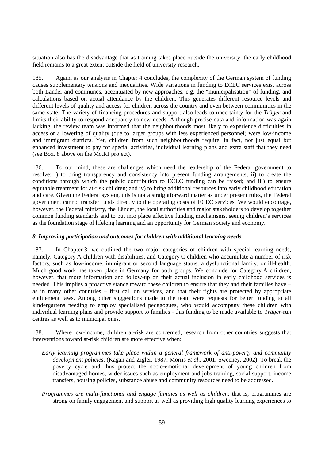situation also has the disadvantage that as training takes place outside the university, the early childhood field remains to a great extent outside the field of university research.

185. Again, as our analysis in Chapter 4 concludes, the complexity of the German system of funding causes supplementary tensions and inequalities. Wide variations in funding to ECEC services exist across both Länder and communes, accentuated by new approaches, e.g. the "municipalisation" of funding, and calculations based on actual attendance by the children. This generates different resource levels and different levels of quality and access for children across the country and even between communities in the same state. The variety of financing procedures and support also leads to uncertainty for the *Träger* and limits their ability to respond adequately to new needs. Although precise data and information was again lacking, the review team was informed that the neighbourhoods most likely to experience difficulties in access or a lowering of quality (due to larger groups with less experienced personnel) were low-income and immigrant districts. Yet, children from such neighbourhoods require, in fact, not just equal but enhanced investment to pay for special activities, individual learning plans and extra staff that they need (see Box. 8 above on the Mo.KI project).

186. To our mind, these are challenges which need the leadership of the Federal government to resolve: i) to bring transparency and consistency into present funding arrangements; ii) to create the conditions through which the public contribution to ECEC funding can be raised; and iii) to ensure equitable treatment for at-risk children; and iv) to bring additional resources into early childhood education and care. Given the Federal system, this is not a straightforward matter as under present rules, the Federal government cannot transfer funds directly to the operating costs of ECEC services. We would encourage, however, the Federal ministry, the Länder, the local authorities and major stakeholders to develop together common funding standards and to put into place effective funding mechanisms, seeing children's services as the foundation stage of lifelong learning and an opportunity for German society and economy.

# *8. Improving participation and outcomes for children with additional learning needs*

187. In Chapter 3, we outlined the two major categories of children with special learning needs, namely, Category A children with disabilities, and Category C children who accumulate a number of risk factors, such as low-income, immigrant or second language status, a dysfunctional family, or ill-health. Much good work has taken place in Germany for both groups. We conclude for Category A children, however, that more information and follow-up on their actual inclusion in early childhood services is needed. This implies a proactive stance toward these children to ensure that they and their families have – as in many other countries – first call on services, and that their rights are protected by appropriate entitlement laws. Among other suggestions made to the team were requests for better funding to all kindergartens needing to employ specialised pedagogues, who would accompany these children with individual learning plans and provide support to families - this funding to be made available to *Träger*-run centres as well as to municipal ones.

188. Where low-income, children at-risk are concerned, research from other countries suggests that interventions toward at-risk children are more effective when:

- *Early learning programmes take place within a general framework of anti-poverty and community development policies*. (Kagan and Zigler, 1987, Morris *et al*., 2001, Sweeney, 2002). To break the poverty cycle and thus protect the socio-emotional development of young children from disadvantaged homes, wider issues such as employment and jobs training, social support, income transfers, housing policies, substance abuse and community resources need to be addressed.
- *Programmes are multi-functional and engage families as well as children*: that is, programmes are strong on family engagement and support as well as providing high quality learning experiences to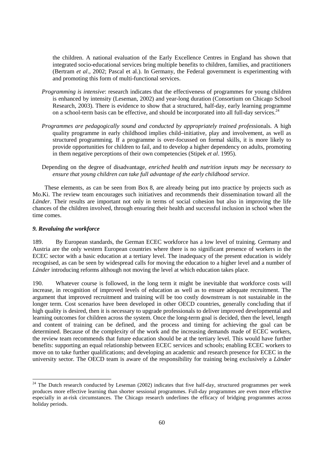the children. A national evaluation of the Early Excellence Centres in England has shown that integrated socio-educational services bring multiple benefits to children, families, and practitioners (Bertram *et al*., 2002; Pascal et al.). In Germany, the Federal government is experimenting with and promoting this form of multi-functional services.

- *Programming is intensive:* research indicates that the effectiveness of programmes for young children is enhanced by intensity (Leseman, 2002) and year-long duration (Consortium on Chicago School Research, 2003). There is evidence to show that a structured, half-day, early learning programme on a school-term basis can be effective, and should be incorporated into all full-day services.<sup>24</sup>
- *Programmes are pedagogically sound and conducted by appropriately trained profes*sionals. A high quality programme in early childhood implies child–initiative, play and involvement, as well as structured programming. If a programme is over-focussed on formal skills, it is more likely to provide opportunities for children to fail, and to develop a higher dependency on adults, promoting in them negative perceptions of their own competencies (Stipek *et al*. 1995).
- Depending on the degree of disadvantage, *enriched health and nutrition inputs may be necessary to ensure that young children can take full advantage of the early childhood service*.

These elements, as can be seen from Box 8, are already being put into practice by projects such as Mo.Ki. The review team encourages such initiatives and recommends their dissemination toward all the *Länder*. Their results are important not only in terms of social cohesion but also in improving the life chances of the children involved, through ensuring their health and successful inclusion in school when the time comes.

#### *9. Revaluing the workforce*

 $\overline{a}$ 

189. By European standards, the German ECEC workforce has a low level of training. Germany and Austria are the only western European countries where there is no significant presence of workers in the ECEC sector with a basic education at a tertiary level. The inadequacy of the present education is widely recognised, as can be seen by widespread calls for moving the education to a higher level and a number of *Länder* introducing reforms although not moving the level at which education takes place.

190. Whatever course is followed, in the long term it might be inevitable that workforce costs will increase, in recognition of improved levels of education as well as to ensure adequate recruitment. The argument that improved recruitment and training will be too costly downstream is not sustainable in the longer term. Cost scenarios have been developed in other OECD countries, generally concluding that if high quality is desired, then it is necessary to upgrade professionals to deliver improved developmental and learning outcomes for children across the system. Once the long-term goal is decided, then the level, length and content of training can be defined, and the process and timing for achieving the goal can be determined. Because of the complexity of the work and the increasing demands made of ECEC workers, the review team recommends that future education should be at the tertiary level. This would have further benefits: supporting an equal relationship between ECEC services and schools; enabling ECEC workers to move on to take further qualifications; and developing an academic and research presence for ECEC in the university sector. The OECD team is aware of the responsibility for training being exclusively a *Länder* 

<sup>&</sup>lt;sup>24</sup> The Dutch research conducted by Leseman (2002) indicates that five half-day, structured programmes per week produces more effective learning than shorter sessional programmes. Full-day programmes are even more effective especially in at-risk circumstances. The Chicago research underlines the efficacy of bridging programmes across holiday periods.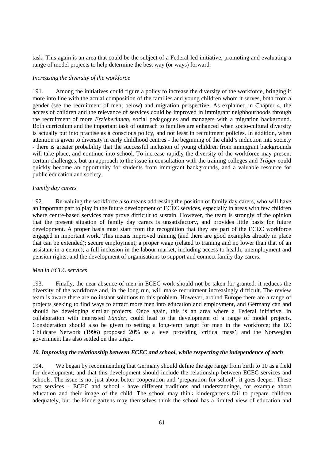task. This again is an area that could be the subject of a Federal-led initiative, promoting and evaluating a range of model projects to help determine the best way (or ways) forward.

# *Increasing the diversity of the workforce*

191. Among the initiatives could figure a policy to increase the diversity of the workforce, bringing it more into line with the actual composition of the families and young children whom it serves, both from a gender (see the recruitment of men, below) and migration perspective. As explained in Chapter 4, the access of children and the relevance of services could be improved in immigrant neighbourhoods through the recruitment of more *Erzieherinnen*, social pedagogues and managers with a migration background. Both curriculum and the important task of outreach to families are enhanced when socio-cultural diversity is actually put into practise as a conscious policy, and not least in recruitment policies. In addition, when attention is given to diversity in early childhood centres - the beginning of the child's induction into society - there is greater probability that the successful inclusion of young children from immigrant backgrounds will take place, and continue into school. To increase rapidly the diversity of the workforce may present certain challenges, but an approach to the issue in consultation with the training colleges and *Träger* could quickly become an opportunity for students from immigrant backgrounds, and a valuable resource for public education and society.

## *Family day carers*

192. Re-valuing the workforce also means addressing the position of family day carers, who will have an important part to play in the future development of ECEC services, especially in areas with few children where centre-based services may prove difficult to sustain. However, the team is strongly of the opinion that the present situation of family day carers is unsatisfactory, and provides little basis for future development. A proper basis must start from the recognition that they are part of the ECEC workforce engaged in important work. This means improved training (and there are good examples already in place that can be extended); secure employment; a proper wage (related to training and no lower than that of an assistant in a centre); a full inclusion in the labour market, including access to health, unemployment and pension rights; and the development of organisations to support and connect family day carers.

### *Men in ECEC services*

193. Finally, the near absence of men in ECEC work should not be taken for granted: it reduces the diversity of the workforce and, in the long run, will make recruitment increasingly difficult. The review team is aware there are no instant solutions to this problem. However, around Europe there are a range of projects seeking to find ways to attract more men into education and employment, and Germany can and should be developing similar projects. Once again, this is an area where a Federal initiative, in collaboration with interested *Länder*, could lead to the development of a range of model projects. Consideration should also be given to setting a long-term target for men in the workforce; the EC Childcare Network (1996) proposed 20% as a level providing 'critical mass', and the Norwegian government has also settled on this target.

# *10. Improving the relationship between ECEC and school, while respecting the independence of each*

194. We began by recommending that Germany should define the age range from birth to 10 as a field for development, and that this development should include the relationship between ECEC services and schools. The issue is not just about better cooperation and 'preparation for school': it goes deeper. These two services – ECEC and school - have different traditions and understandings, for example about education and their image of the child. The school may think kindergartens fail to prepare children adequately, but the kindergartens may themselves think the school has a limited view of education and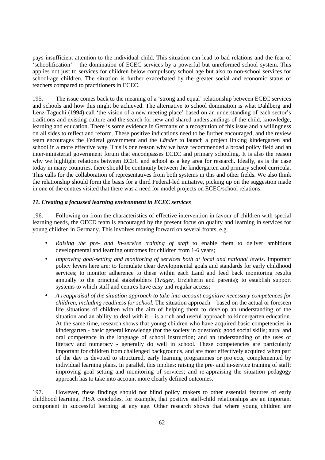pays insufficient attention to the individual child. This situation can lead to bad relations and the fear of 'schoolification' – the domination of ECEC services by a powerful but unreformed school system. This applies not just to services for children below compulsory school age but also to non-school services for school-age children. The situation is further exacerbated by the greater social and economic status of teachers compared to practitioners in ECEC.

195. The issue comes back to the meaning of a 'strong and equal' relationship between ECEC services and schools and how this might be achieved. The alternative to school domination is what Dahlberg and Lenz-Taguchi (1994) call 'the vision of a new meeting place' based on an understanding of each sector's traditions and existing culture and the search for new and shared understandings of the child, knowledge, learning and education. There is some evidence in Germany of a recognition of this issue and a willingness on all sides to reflect and reform. These positive indications need to be further encouraged, and the review team encourages the Federal government and the *Länder* to launch a project linking kindergarten and school in a more effective way. This is one reason why we have recommended a broad policy field and an inter-ministerial government forum that encompasses ECEC and primary schooling. It is also the reason why we highlight relations between ECEC and school as a key area for research. Ideally, as is the case today in many countries, there should be continuity between the kindergarten and primary school curricula. This calls for the collaboration of representatives from both systems in this and other fields. We also think the relationship should form the basis for a third Federal-led initiative, picking up on the suggestion made in one of the centres visited that there was a need for model projects on ECEC/school relations.

# *11. Creating a focussed learning environment in ECEC services*

196. Following on from the characteristics of effective intervention in favour of children with special learning needs, the OECD team is encouraged by the present focus on quality and learning in services for young children in Germany. This involves moving forward on several fronts, e.g.

- *Raising the pre- and in-service training of staff* to enable them to deliver ambitious developmental and learning outcomes for children from 1-6 years;
- *Improving goal-setting and monitoring of services both at local and national levels*. Important policy levers here are: to formulate clear developmental goals and standards for early childhood services; to monitor adherence to these within each Land and feed back monitoring results annually to the principal stakeholders (*Träger*, Erzieherin and parents); to establish support systems to which staff and centres have easy and regular access;
- *A reappraisal of the situation approach to take into account cognitive necessary competences for children, including readiness for school.* The situation approach – based on the actual or foreseen life situations of children with the aim of helping them to develop an understanding of the situation and an ability to deal with it – is a rich and useful approach to kindergarten education. At the same time, research shows that young children who have acquired basic competencies in kindergarten - basic general knowledge (for the society in question); good social skills; aural and oral competence in the language of school instruction; and an understanding of the uses of literacy and numeracy - generally do well in school. These competencies are particularly important for children from challenged backgrounds, and are most effectively acquired when part of the day is devoted to structured, early learning programmes or projects, complemented by individual learning plans. In parallel, this implies: raising the pre- and in-service training of staff; improving goal setting and monitoring of services; and re-appraising the situation pedagogy approach has to take into account more clearly defined outcomes.

197. However, these findings should not blind policy makers to other essential features of early childhood learning. PISA concludes, for example, that positive staff-child relationships are an important component in successful learning at any age. Other research shows that where young children are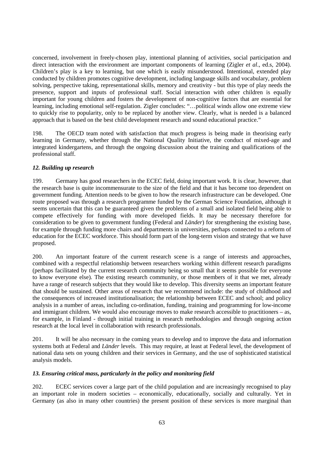concerned, involvement in freely-chosen play, intentional planning of activities, social participation and direct interaction with the environment are important components of learning (Zigler *et al*., ed.s, 2004). Children's play is a key to learning, but one which is easily misunderstood. Intentional, extended play conducted by children promotes cognitive development, including language skills and vocabulary, problem solving, perspective taking, representational skills, memory and creativity - but this type of play needs the presence, support and inputs of professional staff. Social interaction with other children is equally important for young children and fosters the development of non-cognitive factors that are essential for learning, including emotional self-regulation. Zigler concludes: "…political winds allow one extreme view to quickly rise to popularity, only to be replaced by another view. Clearly, what is needed is a balanced approach that is based on the best child development research and sound educational practice."

198. The OECD team noted with satisfaction that much progress is being made in theorising early learning in Germany, whether through the National Quality Initiative, the conduct of mixed-age and integrated kindergartens, and through the ongoing discussion about the training and qualifications of the professional staff.

# *12. Building up research*

199. Germany has good researchers in the ECEC field, doing important work. It is clear, however, that the research base is quite incommensurate to the size of the field and that it has become too dependent on government funding. Attention needs to be given to how the research infrastructure can be developed. One route proposed was through a research programme funded by the German Science Foundation, although it seems uncertain that this can be guaranteed given the problems of a small and isolated field being able to compete effectively for funding with more developed fields. It may be necessary therefore for consideration to be given to government funding (Federal and *Länder*) for strengthening the existing base, for example through funding more chairs and departments in universities, perhaps connected to a reform of education for the ECEC workforce. This should form part of the long-term vision and strategy that we have proposed.

200. An important feature of the current research scene is a range of interests and approaches, combined with a respectful relationship between researchers working within different research paradigms (perhaps facilitated by the current research community being so small that it seems possible for everyone to know everyone else). The existing research community, or those members of it that we met, already have a range of research subjects that they would like to develop. This diversity seems an important feature that should be sustained. Other areas of research that we recommend include: the study of childhood and the consequences of increased institutionalisation; the relationship between ECEC and school; and policy analysis in a number of areas, including co-ordination, funding, training and programming for low-income and immigrant children. We would also encourage moves to make research accessible to practitioners – as, for example, in Finland - through initial training in research methodologies and through ongoing action research at the local level in collaboration with research professionals.

201. It will be also necessary in the coming years to develop and to improve the data and information systems both at Federal and *Länder* levels. This may require, at least at Federal level, the development of national data sets on young children and their services in Germany, and the use of sophisticated statistical analysis models.

# *13. Ensuring critical mass, particularly in the policy and monitoring field*

202. ECEC services cover a large part of the child population and are increasingly recognised to play an important role in modern societies – economically, educationally, socially and culturally. Yet in Germany (as also in many other countries) the present position of these services is more marginal than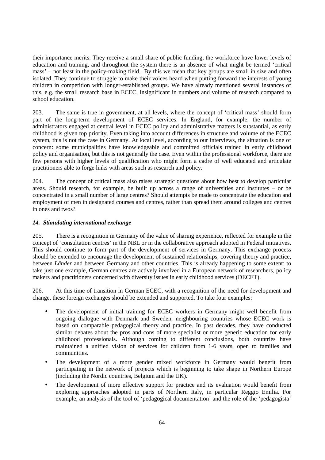their importance merits. They receive a small share of public funding, the workforce have lower levels of education and training, and throughout the system there is an absence of what might be termed 'critical mass' – not least in the policy-making field. By this we mean that key groups are small in size and often isolated. They continue to struggle to make their voices heard when putting forward the interests of young children in competition with longer-established groups. We have already mentioned several instances of this, e.g. the small research base in ECEC, insignificant in numbers and volume of research compared to school education.

203. The same is true in government, at all levels, where the concept of 'critical mass' should form part of the long-term development of ECEC services. In England, for example, the number of administrators engaged at central level in ECEC policy and administrative matters is substantial, as early childhood is given top priority. Even taking into account differences in structure and volume of the ECEC system, this is not the case in Germany. At local level, according to our interviews, the situation is one of concern: some municipalities have knowledgeable and committed officials trained in early childhood policy and organisation, but this is not generally the case. Even within the professional workforce, there are few persons with higher levels of qualification who might form a cadre of well educated and articulate practitioners able to forge links with areas such as research and policy.

204. The concept of critical mass also raises strategic questions about how best to develop particular areas. Should research, for example, be built up across a range of universities and institutes – or be concentrated in a small number of large centres? Should attempts be made to concentrate the education and employment of men in designated courses and centres, rather than spread them around colleges and centres in ones and twos?

# *14. Stimulating international exchange*

205. There is a recognition in Germany of the value of sharing experience, reflected for example in the concept of 'consultation centres' in the NBL or in the collaborative approach adopted in Federal initiatives. This should continue to form part of the development of services in Germany. This exchange process should be extended to encourage the development of sustained relationships, covering theory and practice, between *Länder* and between Germany and other countries. This is already happening to some extent: to take just one example, German centres are actively involved in a European network of researchers, policy makers and practitioners concerned with diversity issues in early childhood services (DECET).

206. At this time of transition in German ECEC, with a recognition of the need for development and change, these foreign exchanges should be extended and supported. To take four examples:

- The development of initial training for ECEC workers in Germany might well benefit from ongoing dialogue with Denmark and Sweden, neighbouring countries whose ECEC work is based on comparable pedagogical theory and practice. In past decades, they have conducted similar debates about the pros and cons of more specialist or more generic education for early childhood professionals. Although coming to different conclusions, both countries have maintained a unified vision of services for children from 1-6 years, open to families and communities.
- The development of a more gender mixed workforce in Germany would benefit from participating in the network of projects which is beginning to take shape in Northern Europe (including the Nordic countries, Belgium and the UK).
- The development of more effective support for practice and its evaluation would benefit from exploring approaches adopted in parts of Northern Italy, in particular Reggio Emilia. For example, an analysis of the tool of 'pedagogical documentation' and the role of the 'pedagogista'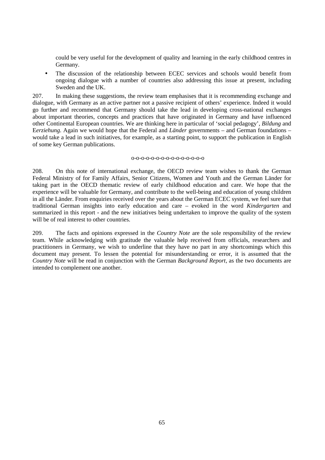could be very useful for the development of quality and learning in the early childhood centres in Germany.

• The discussion of the relationship between ECEC services and schools would benefit from ongoing dialogue with a number of countries also addressing this issue at present, including Sweden and the UK.

207. In making these suggestions, the review team emphasises that it is recommending exchange and dialogue, with Germany as an active partner not a passive recipient of others' experience. Indeed it would go further and recommend that Germany should take the lead in developing cross-national exchanges about important theories, concepts and practices that have originated in Germany and have influenced other Continental European countries. We are thinking here in particular of 'social pedagogy', *Bildung* and E*erziehung*. Again we would hope that the Federal and *Länder* governments – and German foundations – would take a lead in such initiatives, for example, as a starting point, to support the publication in English of some key German publications.

### o-o-o-o-o-o-o-o-o-o-o-o-o-o-o

208. On this note of international exchange, the OECD review team wishes to thank the German Federal Ministry of for Family Affairs, Senior Citizens, Women and Youth and the German Länder for taking part in the OECD thematic review of early childhood education and care. We hope that the experience will be valuable for Germany, and contribute to the well-being and education of young children in all the Länder. From enquiries received over the years about the German ECEC system, we feel sure that traditional German insights into early education and care – evoked in the word *Kindergarten* and summarized in this report - and the new initiatives being undertaken to improve the quality of the system will be of real interest to other countries.

209. The facts and opinions expressed in the *Country Note* are the sole responsibility of the review team. While acknowledging with gratitude the valuable help received from officials, researchers and practitioners in Germany, we wish to underline that they have no part in any shortcomings which this document may present. To lessen the potential for misunderstanding or error, it is assumed that the *Country Note* will be read in conjunction with the German *Background Report*, as the two documents are intended to complement one another.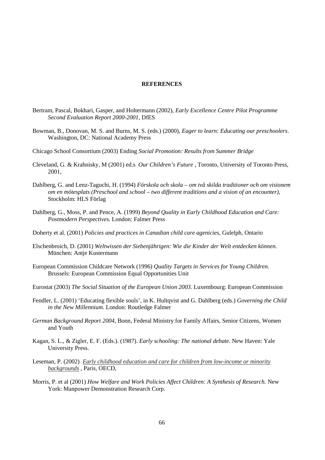#### **REFERENCES**

- Bertram, Pascal, Bokhari, Gasper, and Holtermann (2002), *Early Excellence Centre Pilot Programme Second Evaluation Report 2000-2001,* DfES
- Bowman, B., Donovan, M. S. and Burns, M. S. (eds.) (2000), *Eager to learn: Educating our preschoolers*. Washington, DC: National Academy Press
- Chicago School Consortium (2003) Ending *Social Promotion: Results from Summer Bridge*
- Cleveland, G. & Krahnisky, M (2001) ed.s *Our Children's Future* , Toronto, University of Toronto Press, 2001,
- Dahlberg, G. and Lenz-Taguchi, H. (1994) *Förskola och skola om två skilda traditioner och om visionem om en mötesplats (Preschool and school – two different traditions and a vision of an encounter),*  Stockholm: HLS Förlag
- Dahlberg, G., Moss, P. and Pence, A. (1999) *Beyond Quality in Early Childhood Education and Care: Postmodern Perspectives.* London: Falmer Press
- Doherty et al. (2001) *Policies and practices in Canadian child care agenicies,* Gulelph, Ontario
- Elschenbroich, D. (2001) *Weltwissen der Siebenjährigen: Wie die Kinder der Welt entdecken können.* München: Antje Kustermann
- European Commission Childcare Network (1996) *Quality Targets in Services for Young Children.*  Brussels: European Commission Equal Opportunities Unit
- Eurostat (2003) *The Social Situation of the European Union 2003.* Luxembourg: European Commission
- Fendler, L. (2001) 'Educating flexible souls', in K. Hultqvist and G. Dahlberg (eds.) *Governing the Child in the New Millennium.* London: Routledge Falmer
- *German Background Report 2004*, Bonn, Federal Ministry for Family Affairs, Senior Citizens, Women and Youth
- Kagan, S. L., & Zigler, E. F. (Eds.). (1987). *Early schooling: The national debate*. New Haven: Yale University Press.
- Leseman, P. (2002) *Early childhood education and care for children from low-income or minority backgrounds* , Paris, OECD,
- Morris, P. et al (2001) *How Welfare and Work Policies Affect Children: A Synthesis of Research.* New York: Manpower Demonstration Research Corp.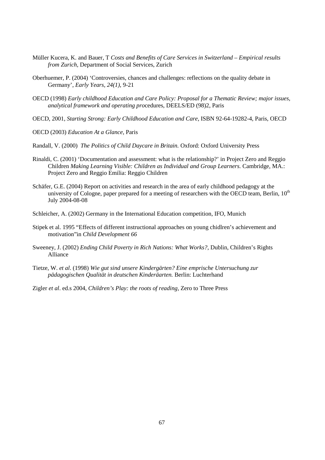- Müller Kucera, K. and Bauer, T *Costs and Benefits of Care Services in Switzerland Empirical results from Zurich,* Department of Social Services, Zurich
- Oberhuemer, P. (2004) 'Controversies, chances and challenges: reflections on the quality debate in Germany', *Early Years, 24(1),* 9-21
- OECD (1998) *Early childhood Education and Care Policy: Proposal for a Thematic Review; major issues, analytical framework and operating pro*cedures, DEELS/ED (98)2, Paris
- OECD, 2001, *Starting Strong: Early Childhood Education and Care*, ISBN 92-64-19282-4, Paris, OECD
- OECD (2003) *Education At a Glance*, Paris
- Randall, V. (2000) *The Politics of Child Daycare in Britain.* Oxford: Oxford University Press
- Rinaldi, C. (2001) 'Documentation and assessment: what is the relationship?' in Project Zero and Reggio Children *Making Learning Visible: Children as Individual and Group Learners*. Cambridge, MA.: Project Zero and Reggio Emilia: Reggio Children
- Schäfer, G.E. (2004) Report on activities and research in the area of early childhood pedagogy at the university of Cologne, paper prepared for a meeting of researchers with the OECD team, Berlin, 10<sup>th</sup> July 2004-08-08
- Schleicher, A. (2002) Germany in the International Education competition, IFO, Munich
- Stipek et al. 1995 "Effects of different instructional approaches on young chidlren's achievement and motivation"in *Child Development 66*
- Sweeney, J. (2002) *Ending Child Poverty in Rich Nations: What Works?*, Dublin, Children's Rights Alliance
- Tietze, W. *et al*. (1998) *Wie gut sind unsere Kindergärten? Eine emprische Untersuchung zur pädagogischen Qualität in deutschen Kinderäarten.* Berlin: Luchterhand
- Zigler *et al*. ed.s 2004, *Children's Play: the roots of reading,* Zero to Three Press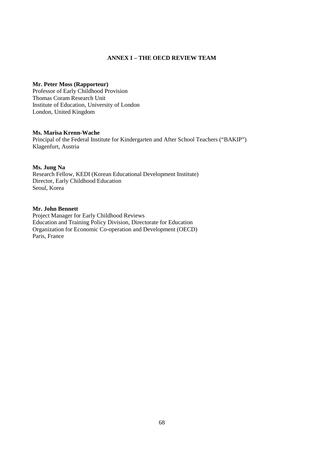# **ANNEX I – THE OECD REVIEW TEAM**

## **Mr. Peter Moss (Rapporteur)**

Professor of Early Childhood Provision Thomas Coram Research Unit Institute of Education, University of London London, United Kingdom

## **Ms. Marisa Krenn-Wache**

Principal of the Federal Institute for Kindergarten and After School Teachers ("BAKIP") Klagenfurt, Austria

## **Ms. Jung Na**

Research Fellow, KEDI (Korean Educational Development Institute) Director, Early Childhood Education Seoul, Korea

### **Mr. John Bennett**

Project Manager for Early Childhood Reviews Education and Training Policy Division, Directorate for Education Organization for Economic Co-operation and Development (OECD) Paris, France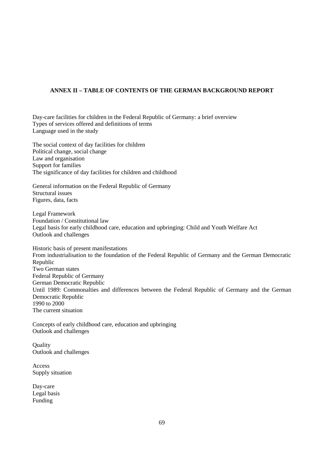# **ANNEX II – TABLE OF CONTENTS OF THE GERMAN BACKGROUND REPORT**

Day-care facilities for children in the Federal Republic of Germany: a brief overview Types of services offered and definitions of terms Language used in the study

The social context of day facilities for children Political change, social change Law and organisation Support for families The significance of day facilities for children and childhood

General information on the Federal Republic of Germany Structural issues Figures, data, facts

Legal Framework Foundation / Constitutional law Legal basis for early childhood care, education and upbringing: Child and Youth Welfare Act Outlook and challenges

Historic basis of present manifestations From industrialisation to the foundation of the Federal Republic of Germany and the German Democratic Republic Two German states Federal Republic of Germany German Democratic Republic Until 1989: Commonalties and differences between the Federal Republic of Germany and the German Democratic Republic 1990 to 2000 The current situation

Concepts of early childhood care, education and upbringing Outlook and challenges

**Ouality** Outlook and challenges

Access Supply situation

Day-care Legal basis Funding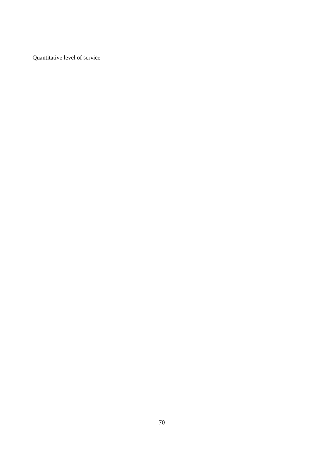Quantitative level of service